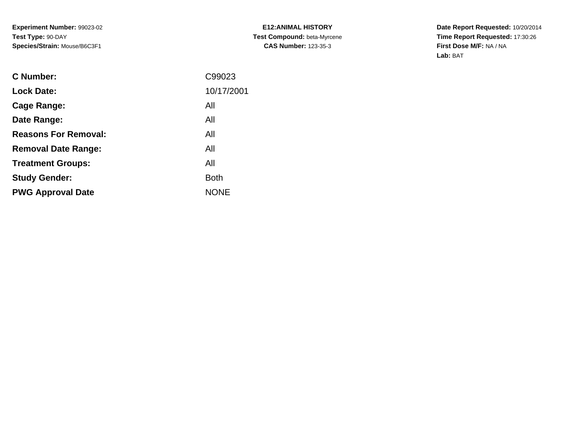**E12:ANIMAL HISTORY Test Compound:** beta-Myrcene**CAS Number:** 123-35-3

| <b>C</b> Number:            | C99023      |
|-----------------------------|-------------|
| <b>Lock Date:</b>           | 10/17/2001  |
| Cage Range:                 | All         |
| Date Range:                 | All         |
| <b>Reasons For Removal:</b> | All         |
| <b>Removal Date Range:</b>  | All         |
| <b>Treatment Groups:</b>    | All         |
| <b>Study Gender:</b>        | <b>Both</b> |
| <b>PWG Approval Date</b>    | <b>NONE</b> |
|                             |             |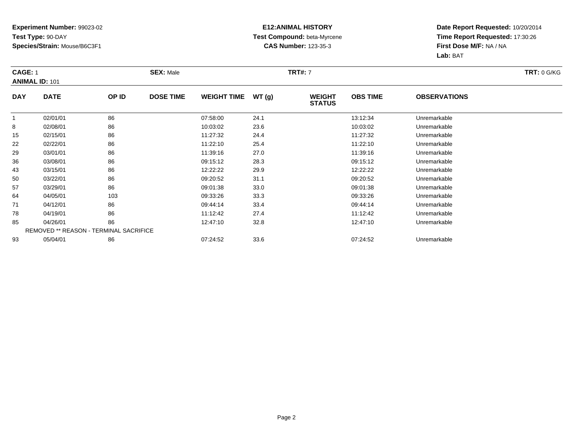### **E12:ANIMAL HISTORY Test Compound:** beta-Myrcene**CAS Number:** 123-35-3

|            | CAGE: 1<br><b>ANIMAL ID: 101</b>              |       | <b>SEX: Male</b> |                    |       | <b>TRT#:</b> 7                 | <b>TRT: 0 G/KG</b> |                     |  |
|------------|-----------------------------------------------|-------|------------------|--------------------|-------|--------------------------------|--------------------|---------------------|--|
|            |                                               |       |                  |                    |       |                                |                    |                     |  |
| <b>DAY</b> | <b>DATE</b>                                   | OP ID | <b>DOSE TIME</b> | <b>WEIGHT TIME</b> | WT(g) | <b>WEIGHT</b><br><b>STATUS</b> | <b>OBS TIME</b>    | <b>OBSERVATIONS</b> |  |
|            | 02/01/01                                      | 86    |                  | 07:58:00           | 24.1  |                                | 13:12:34           | Unremarkable        |  |
| 8          | 02/08/01                                      | 86    |                  | 10:03:02           | 23.6  |                                | 10:03:02           | Unremarkable        |  |
| 15         | 02/15/01                                      | 86    |                  | 11:27:32           | 24.4  |                                | 11:27:32           | Unremarkable        |  |
| 22         | 02/22/01                                      | 86    |                  | 11:22:10           | 25.4  |                                | 11:22:10           | Unremarkable        |  |
| 29         | 03/01/01                                      | 86    |                  | 11:39:16           | 27.0  |                                | 11:39:16           | Unremarkable        |  |
| 36         | 03/08/01                                      | 86    |                  | 09:15:12           | 28.3  |                                | 09:15:12           | Unremarkable        |  |
| 43         | 03/15/01                                      | 86    |                  | 12:22:22           | 29.9  |                                | 12:22:22           | Unremarkable        |  |
| 50         | 03/22/01                                      | 86    |                  | 09:20:52           | 31.1  |                                | 09:20:52           | Unremarkable        |  |
| 57         | 03/29/01                                      | 86    |                  | 09:01:38           | 33.0  |                                | 09:01:38           | Unremarkable        |  |
| 64         | 04/05/01                                      | 103   |                  | 09:33:26           | 33.3  |                                | 09:33:26           | Unremarkable        |  |
| 71         | 04/12/01                                      | 86    |                  | 09:44:14           | 33.4  |                                | 09:44:14           | Unremarkable        |  |
| 78         | 04/19/01                                      | 86    |                  | 11:12:42           | 27.4  |                                | 11:12:42           | Unremarkable        |  |
| 85         | 04/26/01                                      | 86    |                  | 12:47:10           | 32.8  |                                | 12:47:10           | Unremarkable        |  |
|            | <b>REMOVED ** REASON - TERMINAL SACRIFICE</b> |       |                  |                    |       |                                |                    |                     |  |
| 93         | 05/04/01                                      | 86    |                  | 07:24:52           | 33.6  |                                | 07:24:52           | Unremarkable        |  |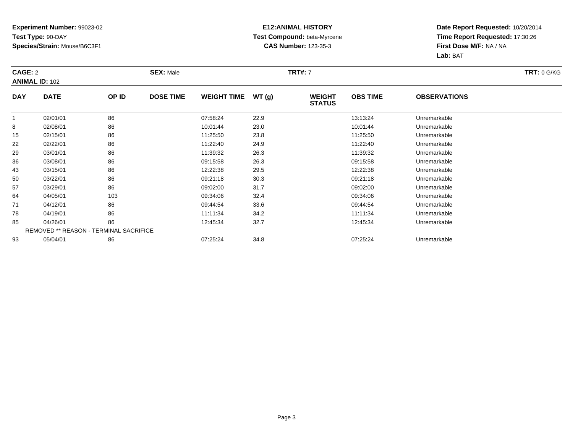### **E12:ANIMAL HISTORY Test Compound:** beta-Myrcene**CAS Number:** 123-35-3

| CAGE: 2    |                                               |       | <b>SEX: Male</b> |                    |       | <b>TRT#:</b> 7                 |                 |                     | <b>TRT: 0 G/KG</b> |
|------------|-----------------------------------------------|-------|------------------|--------------------|-------|--------------------------------|-----------------|---------------------|--------------------|
|            | <b>ANIMAL ID: 102</b>                         |       |                  |                    |       |                                |                 |                     |                    |
| <b>DAY</b> | <b>DATE</b>                                   | OP ID | <b>DOSE TIME</b> | <b>WEIGHT TIME</b> | WT(g) | <b>WEIGHT</b><br><b>STATUS</b> | <b>OBS TIME</b> | <b>OBSERVATIONS</b> |                    |
|            | 02/01/01                                      | 86    |                  | 07:58:24           | 22.9  |                                | 13:13:24        | Unremarkable        |                    |
| 8          | 02/08/01                                      | 86    |                  | 10:01:44           | 23.0  |                                | 10:01:44        | Unremarkable        |                    |
| 15         | 02/15/01                                      | 86    |                  | 11:25:50           | 23.8  |                                | 11:25:50        | Unremarkable        |                    |
| 22         | 02/22/01                                      | 86    |                  | 11:22:40           | 24.9  |                                | 11:22:40        | Unremarkable        |                    |
| 29         | 03/01/01                                      | 86    |                  | 11:39:32           | 26.3  |                                | 11:39:32        | Unremarkable        |                    |
| 36         | 03/08/01                                      | 86    |                  | 09:15:58           | 26.3  |                                | 09:15:58        | Unremarkable        |                    |
| 43         | 03/15/01                                      | 86    |                  | 12:22:38           | 29.5  |                                | 12:22:38        | Unremarkable        |                    |
| 50         | 03/22/01                                      | 86    |                  | 09:21:18           | 30.3  |                                | 09:21:18        | Unremarkable        |                    |
| 57         | 03/29/01                                      | 86    |                  | 09:02:00           | 31.7  |                                | 09:02:00        | Unremarkable        |                    |
| 64         | 04/05/01                                      | 103   |                  | 09:34:06           | 32.4  |                                | 09:34:06        | Unremarkable        |                    |
| 71         | 04/12/01                                      | 86    |                  | 09:44:54           | 33.6  |                                | 09:44:54        | Unremarkable        |                    |
| 78         | 04/19/01                                      | 86    |                  | 11:11:34           | 34.2  |                                | 11:11:34        | Unremarkable        |                    |
| 85         | 04/26/01                                      | 86    |                  | 12:45:34           | 32.7  |                                | 12:45:34        | Unremarkable        |                    |
|            | <b>REMOVED ** REASON - TERMINAL SACRIFICE</b> |       |                  |                    |       |                                |                 |                     |                    |
| 93         | 05/04/01                                      | 86    |                  | 07:25:24           | 34.8  |                                | 07:25:24        | Unremarkable        |                    |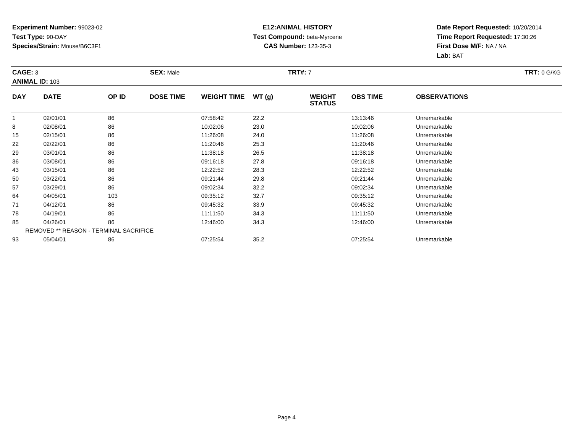### **E12:ANIMAL HISTORY Test Compound:** beta-Myrcene**CAS Number:** 123-35-3

| CAGE: 3    |                                               |       | <b>SEX: Male</b> |                    |       | <b>TRT#:</b> 7                 |                 |                     | <b>TRT: 0 G/KG</b> |
|------------|-----------------------------------------------|-------|------------------|--------------------|-------|--------------------------------|-----------------|---------------------|--------------------|
|            | <b>ANIMAL ID: 103</b>                         |       |                  |                    |       |                                |                 |                     |                    |
| <b>DAY</b> | <b>DATE</b>                                   | OP ID | <b>DOSE TIME</b> | <b>WEIGHT TIME</b> | WT(g) | <b>WEIGHT</b><br><b>STATUS</b> | <b>OBS TIME</b> | <b>OBSERVATIONS</b> |                    |
|            | 02/01/01                                      | 86    |                  | 07:58:42           | 22.2  |                                | 13:13:46        | Unremarkable        |                    |
| 8          | 02/08/01                                      | 86    |                  | 10:02:06           | 23.0  |                                | 10:02:06        | Unremarkable        |                    |
| 15         | 02/15/01                                      | 86    |                  | 11:26:08           | 24.0  |                                | 11:26:08        | Unremarkable        |                    |
| 22         | 02/22/01                                      | 86    |                  | 11:20:46           | 25.3  |                                | 11:20:46        | Unremarkable        |                    |
| 29         | 03/01/01                                      | 86    |                  | 11:38:18           | 26.5  |                                | 11:38:18        | Unremarkable        |                    |
| 36         | 03/08/01                                      | 86    |                  | 09:16:18           | 27.8  |                                | 09:16:18        | Unremarkable        |                    |
| 43         | 03/15/01                                      | 86    |                  | 12:22:52           | 28.3  |                                | 12:22:52        | Unremarkable        |                    |
| 50         | 03/22/01                                      | 86    |                  | 09:21:44           | 29.8  |                                | 09:21:44        | Unremarkable        |                    |
| 57         | 03/29/01                                      | 86    |                  | 09:02:34           | 32.2  |                                | 09:02:34        | Unremarkable        |                    |
| 64         | 04/05/01                                      | 103   |                  | 09:35:12           | 32.7  |                                | 09:35:12        | Unremarkable        |                    |
| 71         | 04/12/01                                      | 86    |                  | 09:45:32           | 33.9  |                                | 09:45:32        | Unremarkable        |                    |
| 78         | 04/19/01                                      | 86    |                  | 11:11:50           | 34.3  |                                | 11:11:50        | Unremarkable        |                    |
| 85         | 04/26/01                                      | 86    |                  | 12:46:00           | 34.3  |                                | 12:46:00        | Unremarkable        |                    |
|            | <b>REMOVED ** REASON - TERMINAL SACRIFICE</b> |       |                  |                    |       |                                |                 |                     |                    |
| 93         | 05/04/01                                      | 86    |                  | 07:25:54           | 35.2  |                                | 07:25:54        | Unremarkable        |                    |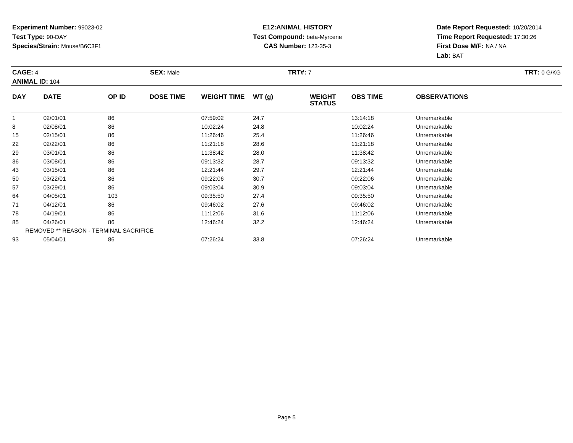### **E12:ANIMAL HISTORY Test Compound:** beta-Myrcene**CAS Number:** 123-35-3

| CAGE: 4    |                                        |       | <b>SEX: Male</b> |                    |       | <b>TRT#:</b> 7                 |                 |                     | <b>TRT: 0 G/KG</b> |
|------------|----------------------------------------|-------|------------------|--------------------|-------|--------------------------------|-----------------|---------------------|--------------------|
|            | <b>ANIMAL ID: 104</b>                  |       |                  |                    |       |                                |                 |                     |                    |
| <b>DAY</b> | <b>DATE</b>                            | OP ID | <b>DOSE TIME</b> | <b>WEIGHT TIME</b> | WT(g) | <b>WEIGHT</b><br><b>STATUS</b> | <b>OBS TIME</b> | <b>OBSERVATIONS</b> |                    |
|            | 02/01/01                               | 86    |                  | 07:59:02           | 24.7  |                                | 13:14:18        | Unremarkable        |                    |
| 8          | 02/08/01                               | 86    |                  | 10:02:24           | 24.8  |                                | 10:02:24        | Unremarkable        |                    |
| 15         | 02/15/01                               | 86    |                  | 11:26:46           | 25.4  |                                | 11:26:46        | Unremarkable        |                    |
| 22         | 02/22/01                               | 86    |                  | 11:21:18           | 28.6  |                                | 11:21:18        | Unremarkable        |                    |
| 29         | 03/01/01                               | 86    |                  | 11:38:42           | 28.0  |                                | 11:38:42        | Unremarkable        |                    |
| 36         | 03/08/01                               | 86    |                  | 09:13:32           | 28.7  |                                | 09:13:32        | Unremarkable        |                    |
| 43         | 03/15/01                               | 86    |                  | 12:21:44           | 29.7  |                                | 12:21:44        | Unremarkable        |                    |
| 50         | 03/22/01                               | 86    |                  | 09:22:06           | 30.7  |                                | 09:22:06        | Unremarkable        |                    |
| 57         | 03/29/01                               | 86    |                  | 09:03:04           | 30.9  |                                | 09:03:04        | Unremarkable        |                    |
| 64         | 04/05/01                               | 103   |                  | 09:35:50           | 27.4  |                                | 09:35:50        | Unremarkable        |                    |
| 71         | 04/12/01                               | 86    |                  | 09:46:02           | 27.6  |                                | 09:46:02        | Unremarkable        |                    |
| 78         | 04/19/01                               | 86    |                  | 11:12:06           | 31.6  |                                | 11:12:06        | Unremarkable        |                    |
| 85         | 04/26/01                               | 86    |                  | 12:46:24           | 32.2  |                                | 12:46:24        | Unremarkable        |                    |
|            | REMOVED ** REASON - TERMINAL SACRIFICE |       |                  |                    |       |                                |                 |                     |                    |
| 93         | 05/04/01                               | 86    |                  | 07:26:24           | 33.8  |                                | 07:26:24        | Unremarkable        |                    |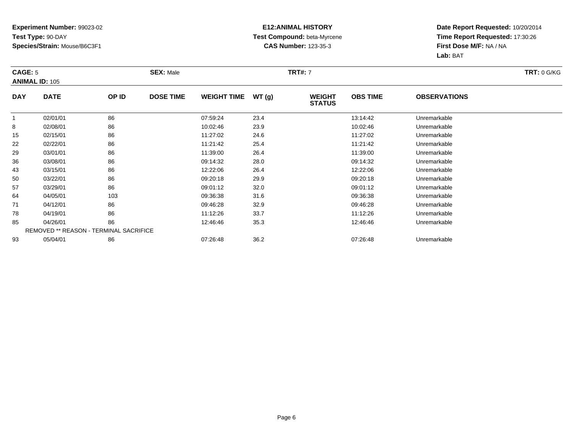### **E12:ANIMAL HISTORY Test Compound:** beta-Myrcene**CAS Number:** 123-35-3

| CAGE: 5    |                                               |       | <b>SEX: Male</b> |                    |       | <b>TRT#:</b> 7                 |                 |                     | <b>TRT: 0 G/KG</b> |
|------------|-----------------------------------------------|-------|------------------|--------------------|-------|--------------------------------|-----------------|---------------------|--------------------|
|            | <b>ANIMAL ID: 105</b>                         |       |                  |                    |       |                                |                 |                     |                    |
| <b>DAY</b> | <b>DATE</b>                                   | OP ID | <b>DOSE TIME</b> | <b>WEIGHT TIME</b> | WT(g) | <b>WEIGHT</b><br><b>STATUS</b> | <b>OBS TIME</b> | <b>OBSERVATIONS</b> |                    |
|            | 02/01/01                                      | 86    |                  | 07:59:24           | 23.4  |                                | 13:14:42        | Unremarkable        |                    |
| 8          | 02/08/01                                      | 86    |                  | 10:02:46           | 23.9  |                                | 10:02:46        | Unremarkable        |                    |
| 15         | 02/15/01                                      | 86    |                  | 11:27:02           | 24.6  |                                | 11:27:02        | Unremarkable        |                    |
| 22         | 02/22/01                                      | 86    |                  | 11:21:42           | 25.4  |                                | 11:21:42        | Unremarkable        |                    |
| 29         | 03/01/01                                      | 86    |                  | 11:39:00           | 26.4  |                                | 11:39:00        | Unremarkable        |                    |
| 36         | 03/08/01                                      | 86    |                  | 09:14:32           | 28.0  |                                | 09:14:32        | Unremarkable        |                    |
| 43         | 03/15/01                                      | 86    |                  | 12:22:06           | 26.4  |                                | 12:22:06        | Unremarkable        |                    |
| 50         | 03/22/01                                      | 86    |                  | 09:20:18           | 29.9  |                                | 09:20:18        | Unremarkable        |                    |
| 57         | 03/29/01                                      | 86    |                  | 09:01:12           | 32.0  |                                | 09:01:12        | Unremarkable        |                    |
| 64         | 04/05/01                                      | 103   |                  | 09:36:38           | 31.6  |                                | 09:36:38        | Unremarkable        |                    |
| 71         | 04/12/01                                      | 86    |                  | 09:46:28           | 32.9  |                                | 09:46:28        | Unremarkable        |                    |
| 78         | 04/19/01                                      | 86    |                  | 11:12:26           | 33.7  |                                | 11:12:26        | Unremarkable        |                    |
| 85         | 04/26/01                                      | 86    |                  | 12:46:46           | 35.3  |                                | 12:46:46        | Unremarkable        |                    |
|            | <b>REMOVED ** REASON - TERMINAL SACRIFICE</b> |       |                  |                    |       |                                |                 |                     |                    |
| 93         | 05/04/01                                      | 86    |                  | 07:26:48           | 36.2  |                                | 07:26:48        | Unremarkable        |                    |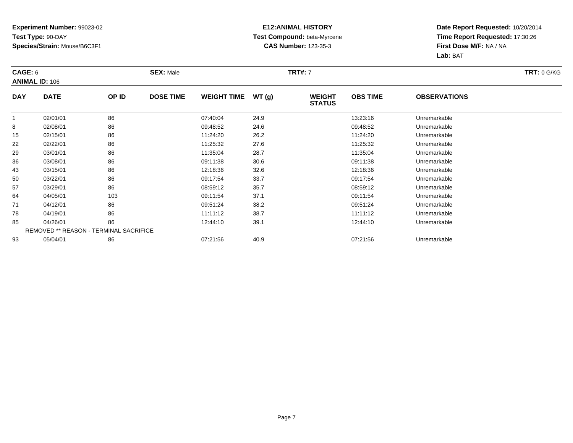### **E12:ANIMAL HISTORY Test Compound:** beta-Myrcene**CAS Number:** 123-35-3

|              | CAGE: 6                                       |       | <b>SEX: Male</b> |                    |       | <b>TRT#:</b> 7                 | <b>TRT: 0 G/KG</b> |                     |  |
|--------------|-----------------------------------------------|-------|------------------|--------------------|-------|--------------------------------|--------------------|---------------------|--|
|              | <b>ANIMAL ID: 106</b>                         |       |                  |                    |       |                                |                    |                     |  |
| <b>DAY</b>   | <b>DATE</b>                                   | OP ID | <b>DOSE TIME</b> | <b>WEIGHT TIME</b> | WT(g) | <b>WEIGHT</b><br><b>STATUS</b> | <b>OBS TIME</b>    | <b>OBSERVATIONS</b> |  |
| $\mathbf{1}$ | 02/01/01                                      | 86    |                  | 07:40:04           | 24.9  |                                | 13:23:16           | Unremarkable        |  |
| 8            | 02/08/01                                      | 86    |                  | 09:48:52           | 24.6  |                                | 09:48:52           | Unremarkable        |  |
| 15           | 02/15/01                                      | 86    |                  | 11:24:20           | 26.2  |                                | 11:24:20           | Unremarkable        |  |
| 22           | 02/22/01                                      | 86    |                  | 11:25:32           | 27.6  |                                | 11:25:32           | Unremarkable        |  |
| 29           | 03/01/01                                      | 86    |                  | 11:35:04           | 28.7  |                                | 11:35:04           | Unremarkable        |  |
| 36           | 03/08/01                                      | 86    |                  | 09:11:38           | 30.6  |                                | 09:11:38           | Unremarkable        |  |
| 43           | 03/15/01                                      | 86    |                  | 12:18:36           | 32.6  |                                | 12:18:36           | Unremarkable        |  |
| 50           | 03/22/01                                      | 86    |                  | 09:17:54           | 33.7  |                                | 09:17:54           | Unremarkable        |  |
| 57           | 03/29/01                                      | 86    |                  | 08:59:12           | 35.7  |                                | 08:59:12           | Unremarkable        |  |
| 64           | 04/05/01                                      | 103   |                  | 09:11:54           | 37.1  |                                | 09:11:54           | Unremarkable        |  |
| 71           | 04/12/01                                      | 86    |                  | 09:51:24           | 38.2  |                                | 09:51:24           | Unremarkable        |  |
| 78           | 04/19/01                                      | 86    |                  | 11:11:12           | 38.7  |                                | 11:11:12           | Unremarkable        |  |
| 85           | 04/26/01                                      | 86    |                  | 12:44:10           | 39.1  |                                | 12:44:10           | Unremarkable        |  |
|              | <b>REMOVED ** REASON - TERMINAL SACRIFICE</b> |       |                  |                    |       |                                |                    |                     |  |
| 93           | 05/04/01                                      | 86    |                  | 07:21:56           | 40.9  |                                | 07:21:56           | Unremarkable        |  |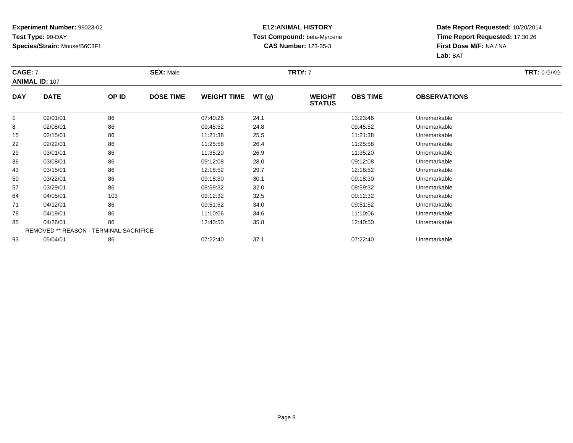### **E12:ANIMAL HISTORY Test Compound:** beta-Myrcene**CAS Number:** 123-35-3

| CAGE: 7    |                                        |       | <b>SEX: Male</b> |                    |       | <b>TRT#: 7</b>                 |                 |                     | <b>TRT: 0 G/KG</b> |
|------------|----------------------------------------|-------|------------------|--------------------|-------|--------------------------------|-----------------|---------------------|--------------------|
|            | <b>ANIMAL ID: 107</b>                  |       |                  |                    |       |                                |                 |                     |                    |
| <b>DAY</b> | <b>DATE</b>                            | OP ID | <b>DOSE TIME</b> | <b>WEIGHT TIME</b> | WT(g) | <b>WEIGHT</b><br><b>STATUS</b> | <b>OBS TIME</b> | <b>OBSERVATIONS</b> |                    |
|            | 02/01/01                               | 86    |                  | 07:40:26           | 24.1  |                                | 13:23:46        | Unremarkable        |                    |
| 8          | 02/08/01                               | 86    |                  | 09:45:52           | 24.8  |                                | 09:45:52        | Unremarkable        |                    |
| 15         | 02/15/01                               | 86    |                  | 11:21:38           | 25.5  |                                | 11:21:38        | Unremarkable        |                    |
| 22         | 02/22/01                               | 86    |                  | 11:25:58           | 26.4  |                                | 11:25:58        | Unremarkable        |                    |
| 29         | 03/01/01                               | 86    |                  | 11:35:20           | 26.9  |                                | 11:35:20        | Unremarkable        |                    |
| 36         | 03/08/01                               | 86    |                  | 09:12:08           | 28.0  |                                | 09:12:08        | Unremarkable        |                    |
| 43         | 03/15/01                               | 86    |                  | 12:18:52           | 29.7  |                                | 12:18:52        | Unremarkable        |                    |
| 50         | 03/22/01                               | 86    |                  | 09:18:30           | 30.1  |                                | 09:18:30        | Unremarkable        |                    |
| 57         | 03/29/01                               | 86    |                  | 08:59:32           | 32.0  |                                | 08:59:32        | Unremarkable        |                    |
| 64         | 04/05/01                               | 103   |                  | 09:12:32           | 32.5  |                                | 09:12:32        | Unremarkable        |                    |
| 71         | 04/12/01                               | 86    |                  | 09:51:52           | 34.0  |                                | 09:51:52        | Unremarkable        |                    |
| 78         | 04/19/01                               | 86    |                  | 11:10:06           | 34.6  |                                | 11:10:06        | Unremarkable        |                    |
| 85         | 04/26/01                               | 86    |                  | 12:40:50           | 35.8  |                                | 12:40:50        | Unremarkable        |                    |
|            | REMOVED ** REASON - TERMINAL SACRIFICE |       |                  |                    |       |                                |                 |                     |                    |
| 93         | 05/04/01                               | 86    |                  | 07:22:40           | 37.1  |                                | 07:22:40        | Unremarkable        |                    |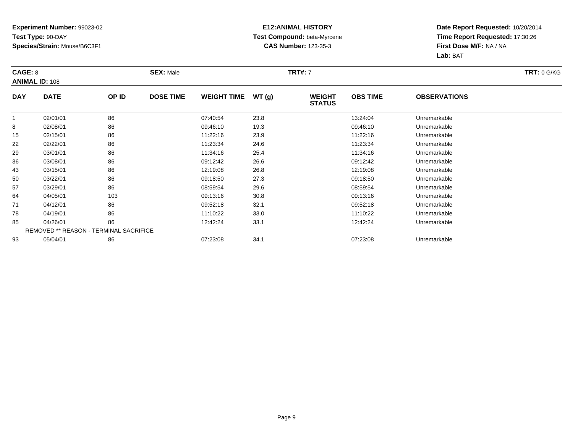### **E12:ANIMAL HISTORY Test Compound:** beta-Myrcene**CAS Number:** 123-35-3

|            | CAGE: 8                                       |       | <b>SEX: Male</b> |                    |       |                                | <b>TRT#:</b> 7  |                     |  |  |  |
|------------|-----------------------------------------------|-------|------------------|--------------------|-------|--------------------------------|-----------------|---------------------|--|--|--|
|            | <b>ANIMAL ID: 108</b>                         |       |                  |                    |       |                                |                 |                     |  |  |  |
| <b>DAY</b> | <b>DATE</b>                                   | OP ID | <b>DOSE TIME</b> | <b>WEIGHT TIME</b> | WT(g) | <b>WEIGHT</b><br><b>STATUS</b> | <b>OBS TIME</b> | <b>OBSERVATIONS</b> |  |  |  |
|            | 02/01/01                                      | 86    |                  | 07:40:54           | 23.8  |                                | 13:24:04        | Unremarkable        |  |  |  |
| 8          | 02/08/01                                      | 86    |                  | 09:46:10           | 19.3  |                                | 09:46:10        | Unremarkable        |  |  |  |
| 15         | 02/15/01                                      | 86    |                  | 11:22:16           | 23.9  |                                | 11:22:16        | Unremarkable        |  |  |  |
| 22         | 02/22/01                                      | 86    |                  | 11:23:34           | 24.6  |                                | 11:23:34        | Unremarkable        |  |  |  |
| 29         | 03/01/01                                      | 86    |                  | 11:34:16           | 25.4  |                                | 11:34:16        | Unremarkable        |  |  |  |
| 36         | 03/08/01                                      | 86    |                  | 09:12:42           | 26.6  |                                | 09:12:42        | Unremarkable        |  |  |  |
| 43         | 03/15/01                                      | 86    |                  | 12:19:08           | 26.8  |                                | 12:19:08        | Unremarkable        |  |  |  |
| 50         | 03/22/01                                      | 86    |                  | 09:18:50           | 27.3  |                                | 09:18:50        | Unremarkable        |  |  |  |
| 57         | 03/29/01                                      | 86    |                  | 08:59:54           | 29.6  |                                | 08:59:54        | Unremarkable        |  |  |  |
| 64         | 04/05/01                                      | 103   |                  | 09:13:16           | 30.8  |                                | 09:13:16        | Unremarkable        |  |  |  |
| 71         | 04/12/01                                      | 86    |                  | 09:52:18           | 32.1  |                                | 09:52:18        | Unremarkable        |  |  |  |
| 78         | 04/19/01                                      | 86    |                  | 11:10:22           | 33.0  |                                | 11:10:22        | Unremarkable        |  |  |  |
| 85         | 04/26/01                                      | 86    |                  | 12:42:24           | 33.1  |                                | 12:42:24        | Unremarkable        |  |  |  |
|            | <b>REMOVED ** REASON - TERMINAL SACRIFICE</b> |       |                  |                    |       |                                |                 |                     |  |  |  |
| 93         | 05/04/01                                      | 86    |                  | 07:23:08           | 34.1  |                                | 07:23:08        | Unremarkable        |  |  |  |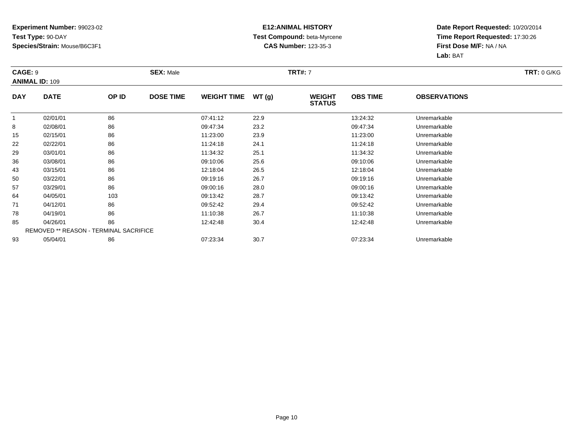### **E12:ANIMAL HISTORY Test Compound:** beta-Myrcene**CAS Number:** 123-35-3

|            | CAGE: 9                                |       | <b>SEX: Male</b> |                    |       | <b>TRT#:</b> 7                 | <b>TRT: 0 G/KG</b> |                     |  |
|------------|----------------------------------------|-------|------------------|--------------------|-------|--------------------------------|--------------------|---------------------|--|
|            | <b>ANIMAL ID: 109</b>                  |       |                  |                    |       |                                |                    |                     |  |
| <b>DAY</b> | <b>DATE</b>                            | OP ID | <b>DOSE TIME</b> | <b>WEIGHT TIME</b> | WT(g) | <b>WEIGHT</b><br><b>STATUS</b> | <b>OBS TIME</b>    | <b>OBSERVATIONS</b> |  |
|            | 02/01/01                               | 86    |                  | 07:41:12           | 22.9  |                                | 13:24:32           | Unremarkable        |  |
| 8          | 02/08/01                               | 86    |                  | 09:47:34           | 23.2  |                                | 09:47:34           | Unremarkable        |  |
| 15         | 02/15/01                               | 86    |                  | 11:23:00           | 23.9  |                                | 11:23:00           | Unremarkable        |  |
| 22         | 02/22/01                               | 86    |                  | 11:24:18           | 24.1  |                                | 11:24:18           | Unremarkable        |  |
| 29         | 03/01/01                               | 86    |                  | 11:34:32           | 25.1  |                                | 11:34:32           | Unremarkable        |  |
| 36         | 03/08/01                               | 86    |                  | 09:10:06           | 25.6  |                                | 09:10:06           | Unremarkable        |  |
| 43         | 03/15/01                               | 86    |                  | 12:18:04           | 26.5  |                                | 12:18:04           | Unremarkable        |  |
| 50         | 03/22/01                               | 86    |                  | 09:19:16           | 26.7  |                                | 09:19:16           | Unremarkable        |  |
| 57         | 03/29/01                               | 86    |                  | 09:00:16           | 28.0  |                                | 09:00:16           | Unremarkable        |  |
| 64         | 04/05/01                               | 103   |                  | 09:13:42           | 28.7  |                                | 09:13:42           | Unremarkable        |  |
| 71         | 04/12/01                               | 86    |                  | 09:52:42           | 29.4  |                                | 09:52:42           | Unremarkable        |  |
| 78         | 04/19/01                               | 86    |                  | 11:10:38           | 26.7  |                                | 11:10:38           | Unremarkable        |  |
| 85         | 04/26/01                               | 86    |                  | 12:42:48           | 30.4  |                                | 12:42:48           | Unremarkable        |  |
|            | REMOVED ** REASON - TERMINAL SACRIFICE |       |                  |                    |       |                                |                    |                     |  |
| 93         | 05/04/01                               | 86    |                  | 07:23:34           | 30.7  |                                | 07:23:34           | Unremarkable        |  |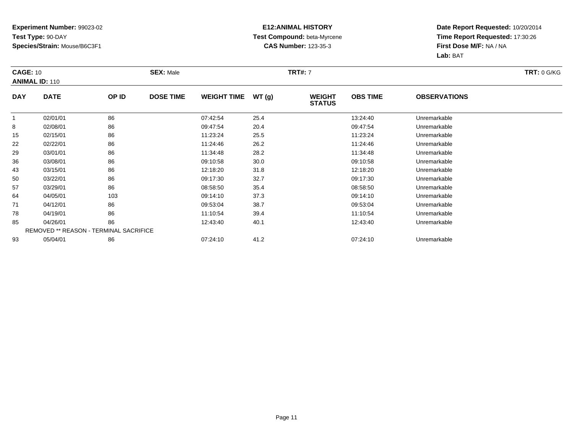### **E12:ANIMAL HISTORY Test Compound:** beta-Myrcene**CAS Number:** 123-35-3

|            | <b>CAGE: 10</b>                        |       | <b>SEX: Male</b> |                    |       | <b>TRT#:</b> 7                 | <b>TRT: 0 G/KG</b> |                     |  |
|------------|----------------------------------------|-------|------------------|--------------------|-------|--------------------------------|--------------------|---------------------|--|
|            | <b>ANIMAL ID: 110</b>                  |       |                  |                    |       |                                |                    |                     |  |
| <b>DAY</b> | <b>DATE</b>                            | OP ID | <b>DOSE TIME</b> | <b>WEIGHT TIME</b> | WT(g) | <b>WEIGHT</b><br><b>STATUS</b> | <b>OBS TIME</b>    | <b>OBSERVATIONS</b> |  |
|            | 02/01/01                               | 86    |                  | 07:42:54           | 25.4  |                                | 13:24:40           | Unremarkable        |  |
| 8          | 02/08/01                               | 86    |                  | 09:47:54           | 20.4  |                                | 09:47:54           | Unremarkable        |  |
| 15         | 02/15/01                               | 86    |                  | 11:23:24           | 25.5  |                                | 11:23:24           | Unremarkable        |  |
| 22         | 02/22/01                               | 86    |                  | 11:24:46           | 26.2  |                                | 11:24:46           | Unremarkable        |  |
| 29         | 03/01/01                               | 86    |                  | 11:34:48           | 28.2  |                                | 11:34:48           | Unremarkable        |  |
| 36         | 03/08/01                               | 86    |                  | 09:10:58           | 30.0  |                                | 09:10:58           | Unremarkable        |  |
| 43         | 03/15/01                               | 86    |                  | 12:18:20           | 31.8  |                                | 12:18:20           | Unremarkable        |  |
| 50         | 03/22/01                               | 86    |                  | 09:17:30           | 32.7  |                                | 09:17:30           | Unremarkable        |  |
| 57         | 03/29/01                               | 86    |                  | 08:58:50           | 35.4  |                                | 08:58:50           | Unremarkable        |  |
| 64         | 04/05/01                               | 103   |                  | 09:14:10           | 37.3  |                                | 09:14:10           | Unremarkable        |  |
| 71         | 04/12/01                               | 86    |                  | 09:53:04           | 38.7  |                                | 09:53:04           | Unremarkable        |  |
| 78         | 04/19/01                               | 86    |                  | 11:10:54           | 39.4  |                                | 11:10:54           | Unremarkable        |  |
| 85         | 04/26/01                               | 86    |                  | 12:43:40           | 40.1  |                                | 12:43:40           | Unremarkable        |  |
|            | REMOVED ** REASON - TERMINAL SACRIFICE |       |                  |                    |       |                                |                    |                     |  |
| 93         | 05/04/01                               | 86    |                  | 07:24:10           | 41.2  |                                | 07:24:10           | Unremarkable        |  |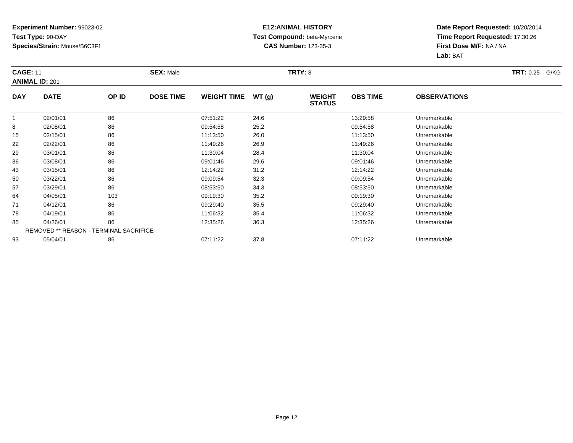### **E12:ANIMAL HISTORY Test Compound:** beta-Myrcene**CAS Number:** 123-35-3

|            | <b>CAGE: 11</b><br><b>ANIMAL ID: 201</b>      |       | <b>SEX: Male</b> |                    |       | <b>TRT#: 8</b>                 | <b>TRT: 0.25 G/KG</b> |                     |  |
|------------|-----------------------------------------------|-------|------------------|--------------------|-------|--------------------------------|-----------------------|---------------------|--|
| <b>DAY</b> | <b>DATE</b>                                   | OP ID | <b>DOSE TIME</b> | <b>WEIGHT TIME</b> | WT(g) | <b>WEIGHT</b><br><b>STATUS</b> | <b>OBS TIME</b>       | <b>OBSERVATIONS</b> |  |
| 1          | 02/01/01                                      | 86    |                  | 07:51:22           | 24.6  |                                | 13:29:58              | Unremarkable        |  |
| 8          | 02/08/01                                      | 86    |                  | 09:54:58           | 25.2  |                                | 09:54:58              | Unremarkable        |  |
| 15         | 02/15/01                                      | 86    |                  | 11:13:50           | 26.0  |                                | 11:13:50              | Unremarkable        |  |
| 22         | 02/22/01                                      | 86    |                  | 11:49:26           | 26.9  |                                | 11:49:26              | Unremarkable        |  |
| 29         | 03/01/01                                      | 86    |                  | 11:30:04           | 28.4  |                                | 11:30:04              | Unremarkable        |  |
| 36         | 03/08/01                                      | 86    |                  | 09:01:46           | 29.6  |                                | 09:01:46              | Unremarkable        |  |
| 43         | 03/15/01                                      | 86    |                  | 12:14:22           | 31.2  |                                | 12:14:22              | Unremarkable        |  |
| 50         | 03/22/01                                      | 86    |                  | 09:09:54           | 32.3  |                                | 09:09:54              | Unremarkable        |  |
| 57         | 03/29/01                                      | 86    |                  | 08:53:50           | 34.3  |                                | 08:53:50              | Unremarkable        |  |
| 64         | 04/05/01                                      | 103   |                  | 09:19:30           | 35.2  |                                | 09:19:30              | Unremarkable        |  |
| 71         | 04/12/01                                      | 86    |                  | 09:29:40           | 35.5  |                                | 09:29:40              | Unremarkable        |  |
| 78         | 04/19/01                                      | 86    |                  | 11:06:32           | 35.4  |                                | 11:06:32              | Unremarkable        |  |
| 85         | 04/26/01                                      | 86    |                  | 12:35:26           | 36.3  |                                | 12:35:26              | Unremarkable        |  |
|            | <b>REMOVED ** REASON - TERMINAL SACRIFICE</b> |       |                  |                    |       |                                |                       |                     |  |
| 93         | 05/04/01                                      | 86    |                  | 07:11:22           | 37.8  |                                | 07:11:22              | Unremarkable        |  |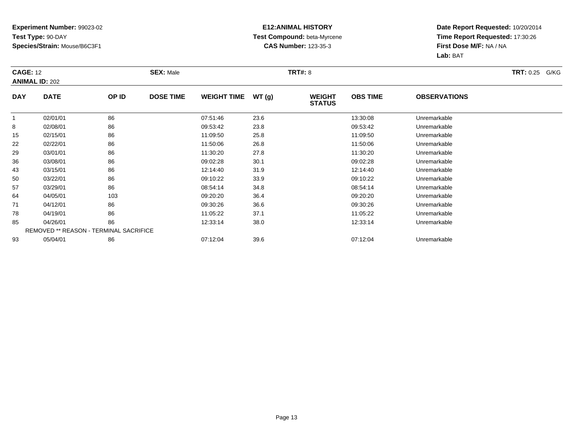### **E12:ANIMAL HISTORY Test Compound:** beta-Myrcene**CAS Number:** 123-35-3

| <b>CAGE: 12</b> | <b>ANIMAL ID: 202</b>                         |       | <b>SEX: Male</b> |                    |       | <b>TRT#: 8</b>                 |                 |                     | <b>TRT: 0.25 G/KG</b> |
|-----------------|-----------------------------------------------|-------|------------------|--------------------|-------|--------------------------------|-----------------|---------------------|-----------------------|
| <b>DAY</b>      | <b>DATE</b>                                   | OP ID | <b>DOSE TIME</b> | <b>WEIGHT TIME</b> | WT(g) | <b>WEIGHT</b><br><b>STATUS</b> | <b>OBS TIME</b> | <b>OBSERVATIONS</b> |                       |
| 1               | 02/01/01                                      | 86    |                  | 07:51:46           | 23.6  |                                | 13:30:08        | Unremarkable        |                       |
| 8               | 02/08/01                                      | 86    |                  | 09:53:42           | 23.8  |                                | 09:53:42        | Unremarkable        |                       |
| 15              | 02/15/01                                      | 86    |                  | 11:09:50           | 25.8  |                                | 11:09:50        | Unremarkable        |                       |
| 22              | 02/22/01                                      | 86    |                  | 11:50:06           | 26.8  |                                | 11:50:06        | Unremarkable        |                       |
| 29              | 03/01/01                                      | 86    |                  | 11:30:20           | 27.8  |                                | 11:30:20        | Unremarkable        |                       |
| 36              | 03/08/01                                      | 86    |                  | 09:02:28           | 30.1  |                                | 09:02:28        | Unremarkable        |                       |
| 43              | 03/15/01                                      | 86    |                  | 12:14:40           | 31.9  |                                | 12:14:40        | Unremarkable        |                       |
| 50              | 03/22/01                                      | 86    |                  | 09:10:22           | 33.9  |                                | 09:10:22        | Unremarkable        |                       |
| 57              | 03/29/01                                      | 86    |                  | 08:54:14           | 34.8  |                                | 08:54:14        | Unremarkable        |                       |
| 64              | 04/05/01                                      | 103   |                  | 09:20:20           | 36.4  |                                | 09:20:20        | Unremarkable        |                       |
| 71              | 04/12/01                                      | 86    |                  | 09:30:26           | 36.6  |                                | 09:30:26        | Unremarkable        |                       |
| 78              | 04/19/01                                      | 86    |                  | 11:05:22           | 37.1  |                                | 11:05:22        | Unremarkable        |                       |
| 85              | 04/26/01                                      | 86    |                  | 12:33:14           | 38.0  |                                | 12:33:14        | Unremarkable        |                       |
|                 | <b>REMOVED ** REASON - TERMINAL SACRIFICE</b> |       |                  |                    |       |                                |                 |                     |                       |
| 93              | 05/04/01                                      | 86    |                  | 07:12:04           | 39.6  |                                | 07:12:04        | Unremarkable        |                       |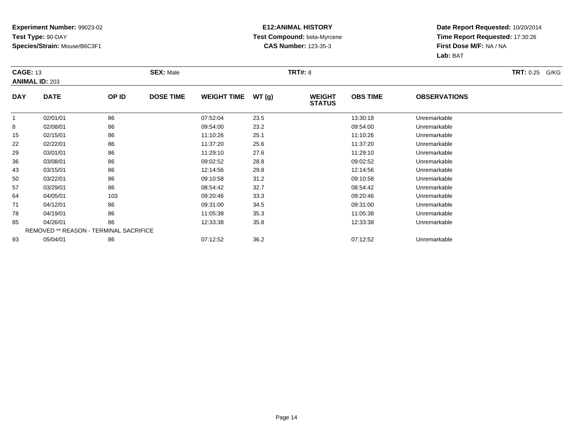### **E12:ANIMAL HISTORY Test Compound:** beta-Myrcene**CAS Number:** 123-35-3

| <b>CAGE: 13</b> | <b>ANIMAL ID: 203</b>                         |       | <b>SEX: Male</b> |                    |       | <b>TRT#: 8</b>                 |                 |                     | <b>TRT: 0.25 G/KG</b> |
|-----------------|-----------------------------------------------|-------|------------------|--------------------|-------|--------------------------------|-----------------|---------------------|-----------------------|
| <b>DAY</b>      | <b>DATE</b>                                   | OP ID | <b>DOSE TIME</b> | <b>WEIGHT TIME</b> | WT(g) | <b>WEIGHT</b><br><b>STATUS</b> | <b>OBS TIME</b> | <b>OBSERVATIONS</b> |                       |
| -1              | 02/01/01                                      | 86    |                  | 07:52:04           | 23.5  |                                | 13:30:18        | Unremarkable        |                       |
| 8               | 02/08/01                                      | 86    |                  | 09:54:00           | 23.2  |                                | 09:54:00        | Unremarkable        |                       |
| 15              | 02/15/01                                      | 86    |                  | 11:10:26           | 25.1  |                                | 11:10:26        | Unremarkable        |                       |
| 22              | 02/22/01                                      | 86    |                  | 11:37:20           | 25.6  |                                | 11:37:20        | Unremarkable        |                       |
| 29              | 03/01/01                                      | 86    |                  | 11:29:10           | 27.6  |                                | 11:29:10        | Unremarkable        |                       |
| 36              | 03/08/01                                      | 86    |                  | 09:02:52           | 28.8  |                                | 09:02:52        | Unremarkable        |                       |
| 43              | 03/15/01                                      | 86    |                  | 12:14:56           | 29.8  |                                | 12:14:56        | Unremarkable        |                       |
| 50              | 03/22/01                                      | 86    |                  | 09:10:58           | 31.2  |                                | 09:10:58        | Unremarkable        |                       |
| 57              | 03/29/01                                      | 86    |                  | 08:54:42           | 32.7  |                                | 08:54:42        | Unremarkable        |                       |
| 64              | 04/05/01                                      | 103   |                  | 09:20:46           | 33.3  |                                | 09:20:46        | Unremarkable        |                       |
| 71              | 04/12/01                                      | 86    |                  | 09:31:00           | 34.5  |                                | 09:31:00        | Unremarkable        |                       |
| 78              | 04/19/01                                      | 86    |                  | 11:05:38           | 35.3  |                                | 11:05:38        | Unremarkable        |                       |
| 85              | 04/26/01                                      | 86    |                  | 12:33:38           | 35.8  |                                | 12:33:38        | Unremarkable        |                       |
|                 | <b>REMOVED ** REASON - TERMINAL SACRIFICE</b> |       |                  |                    |       |                                |                 |                     |                       |
| 93              | 05/04/01                                      | 86    |                  | 07:12:52           | 36.2  |                                | 07:12:52        | Unremarkable        |                       |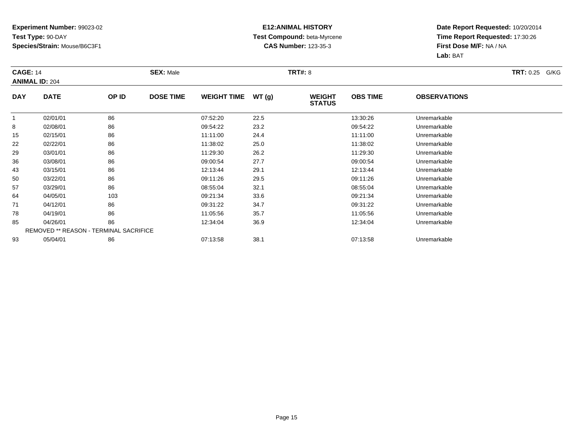### **E12:ANIMAL HISTORY Test Compound:** beta-Myrcene**CAS Number:** 123-35-3

| <b>CAGE: 14</b> | <b>ANIMAL ID: 204</b>                         |       | <b>SEX: Male</b> |                    |       | <b>TRT#: 8</b>                 |                 |                     | <b>TRT: 0.25 G/KG</b> |
|-----------------|-----------------------------------------------|-------|------------------|--------------------|-------|--------------------------------|-----------------|---------------------|-----------------------|
| <b>DAY</b>      | <b>DATE</b>                                   | OP ID | <b>DOSE TIME</b> | <b>WEIGHT TIME</b> | WT(g) | <b>WEIGHT</b><br><b>STATUS</b> | <b>OBS TIME</b> | <b>OBSERVATIONS</b> |                       |
| 1               | 02/01/01                                      | 86    |                  | 07:52:20           | 22.5  |                                | 13:30:26        | Unremarkable        |                       |
| 8               | 02/08/01                                      | 86    |                  | 09:54:22           | 23.2  |                                | 09:54:22        | Unremarkable        |                       |
| 15              | 02/15/01                                      | 86    |                  | 11:11:00           | 24.4  |                                | 11:11:00        | Unremarkable        |                       |
| 22              | 02/22/01                                      | 86    |                  | 11:38:02           | 25.0  |                                | 11:38:02        | Unremarkable        |                       |
| 29              | 03/01/01                                      | 86    |                  | 11:29:30           | 26.2  |                                | 11:29:30        | Unremarkable        |                       |
| 36              | 03/08/01                                      | 86    |                  | 09:00:54           | 27.7  |                                | 09:00:54        | Unremarkable        |                       |
| 43              | 03/15/01                                      | 86    |                  | 12:13:44           | 29.1  |                                | 12:13:44        | Unremarkable        |                       |
| 50              | 03/22/01                                      | 86    |                  | 09:11:26           | 29.5  |                                | 09:11:26        | Unremarkable        |                       |
| 57              | 03/29/01                                      | 86    |                  | 08:55:04           | 32.1  |                                | 08:55:04        | Unremarkable        |                       |
| 64              | 04/05/01                                      | 103   |                  | 09:21:34           | 33.6  |                                | 09:21:34        | Unremarkable        |                       |
| 71              | 04/12/01                                      | 86    |                  | 09:31:22           | 34.7  |                                | 09:31:22        | Unremarkable        |                       |
| 78              | 04/19/01                                      | 86    |                  | 11:05:56           | 35.7  |                                | 11:05:56        | Unremarkable        |                       |
| 85              | 04/26/01                                      | 86    |                  | 12:34:04           | 36.9  |                                | 12:34:04        | Unremarkable        |                       |
|                 | <b>REMOVED ** REASON - TERMINAL SACRIFICE</b> |       |                  |                    |       |                                |                 |                     |                       |
| 93              | 05/04/01                                      | 86    |                  | 07:13:58           | 38.1  |                                | 07:13:58        | Unremarkable        |                       |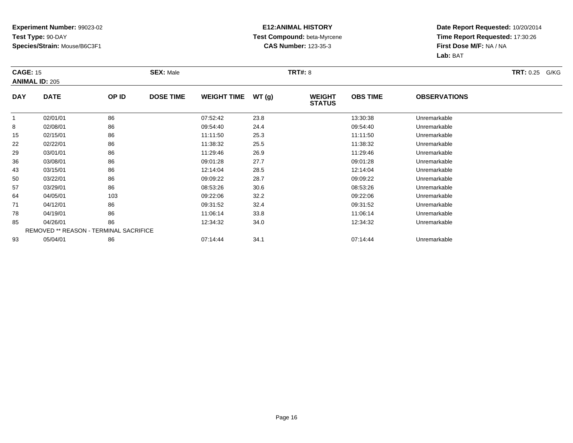### **E12:ANIMAL HISTORY Test Compound:** beta-Myrcene**CAS Number:** 123-35-3

| <b>CAGE: 15</b> | <b>ANIMAL ID: 205</b>                         |       | <b>SEX: Male</b> |                    |       | <b>TRT#: 8</b>                 |                 |                     | <b>TRT: 0.25 G/KG</b> |
|-----------------|-----------------------------------------------|-------|------------------|--------------------|-------|--------------------------------|-----------------|---------------------|-----------------------|
| <b>DAY</b>      | <b>DATE</b>                                   | OP ID | <b>DOSE TIME</b> | <b>WEIGHT TIME</b> | WT(g) | <b>WEIGHT</b><br><b>STATUS</b> | <b>OBS TIME</b> | <b>OBSERVATIONS</b> |                       |
| 1               | 02/01/01                                      | 86    |                  | 07:52:42           | 23.8  |                                | 13:30:38        | Unremarkable        |                       |
| 8               | 02/08/01                                      | 86    |                  | 09:54:40           | 24.4  |                                | 09:54:40        | Unremarkable        |                       |
| 15              | 02/15/01                                      | 86    |                  | 11:11:50           | 25.3  |                                | 11:11:50        | Unremarkable        |                       |
| 22              | 02/22/01                                      | 86    |                  | 11:38:32           | 25.5  |                                | 11:38:32        | Unremarkable        |                       |
| 29              | 03/01/01                                      | 86    |                  | 11:29:46           | 26.9  |                                | 11:29:46        | Unremarkable        |                       |
| 36              | 03/08/01                                      | 86    |                  | 09:01:28           | 27.7  |                                | 09:01:28        | Unremarkable        |                       |
| 43              | 03/15/01                                      | 86    |                  | 12:14:04           | 28.5  |                                | 12:14:04        | Unremarkable        |                       |
| 50              | 03/22/01                                      | 86    |                  | 09:09:22           | 28.7  |                                | 09:09:22        | Unremarkable        |                       |
| 57              | 03/29/01                                      | 86    |                  | 08:53:26           | 30.6  |                                | 08:53:26        | Unremarkable        |                       |
| 64              | 04/05/01                                      | 103   |                  | 09:22:06           | 32.2  |                                | 09:22:06        | Unremarkable        |                       |
| 71              | 04/12/01                                      | 86    |                  | 09:31:52           | 32.4  |                                | 09:31:52        | Unremarkable        |                       |
| 78              | 04/19/01                                      | 86    |                  | 11:06:14           | 33.8  |                                | 11:06:14        | Unremarkable        |                       |
| 85              | 04/26/01                                      | 86    |                  | 12:34:32           | 34.0  |                                | 12:34:32        | Unremarkable        |                       |
|                 | <b>REMOVED ** REASON - TERMINAL SACRIFICE</b> |       |                  |                    |       |                                |                 |                     |                       |
| 93              | 05/04/01                                      | 86    |                  | 07:14:44           | 34.1  |                                | 07:14:44        | Unremarkable        |                       |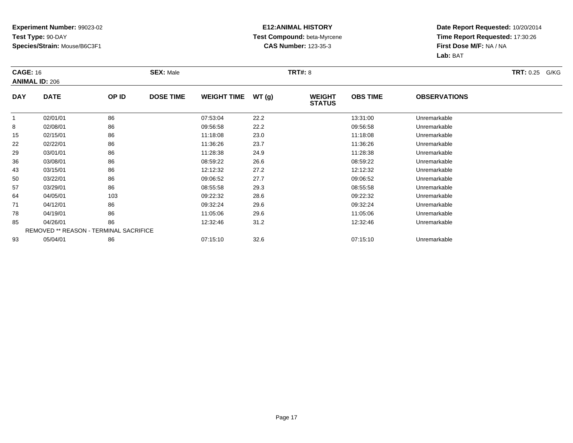### **E12:ANIMAL HISTORY Test Compound:** beta-Myrcene**CAS Number:** 123-35-3

| <b>CAGE: 16</b> | <b>ANIMAL ID: 206</b>                         |       | <b>SEX: Male</b> |                    |       | <b>TRT#: 8</b>                 |                 |                     | <b>TRT: 0.25 G/KG</b> |
|-----------------|-----------------------------------------------|-------|------------------|--------------------|-------|--------------------------------|-----------------|---------------------|-----------------------|
| <b>DAY</b>      | <b>DATE</b>                                   | OP ID | <b>DOSE TIME</b> | <b>WEIGHT TIME</b> | WT(g) | <b>WEIGHT</b><br><b>STATUS</b> | <b>OBS TIME</b> | <b>OBSERVATIONS</b> |                       |
| 1               | 02/01/01                                      | 86    |                  | 07:53:04           | 22.2  |                                | 13:31:00        | Unremarkable        |                       |
| 8               | 02/08/01                                      | 86    |                  | 09:56:58           | 22.2  |                                | 09:56:58        | Unremarkable        |                       |
| 15              | 02/15/01                                      | 86    |                  | 11:18:08           | 23.0  |                                | 11:18:08        | Unremarkable        |                       |
| 22              | 02/22/01                                      | 86    |                  | 11:36:26           | 23.7  |                                | 11:36:26        | Unremarkable        |                       |
| 29              | 03/01/01                                      | 86    |                  | 11:28:38           | 24.9  |                                | 11:28:38        | Unremarkable        |                       |
| 36              | 03/08/01                                      | 86    |                  | 08:59:22           | 26.6  |                                | 08:59:22        | Unremarkable        |                       |
| 43              | 03/15/01                                      | 86    |                  | 12:12:32           | 27.2  |                                | 12:12:32        | Unremarkable        |                       |
| 50              | 03/22/01                                      | 86    |                  | 09:06:52           | 27.7  |                                | 09:06:52        | Unremarkable        |                       |
| 57              | 03/29/01                                      | 86    |                  | 08:55:58           | 29.3  |                                | 08:55:58        | Unremarkable        |                       |
| 64              | 04/05/01                                      | 103   |                  | 09:22:32           | 28.6  |                                | 09:22:32        | Unremarkable        |                       |
| 71              | 04/12/01                                      | 86    |                  | 09:32:24           | 29.6  |                                | 09:32:24        | Unremarkable        |                       |
| 78              | 04/19/01                                      | 86    |                  | 11:05:06           | 29.6  |                                | 11:05:06        | Unremarkable        |                       |
| 85              | 04/26/01                                      | 86    |                  | 12:32:46           | 31.2  |                                | 12:32:46        | Unremarkable        |                       |
|                 | <b>REMOVED ** REASON - TERMINAL SACRIFICE</b> |       |                  |                    |       |                                |                 |                     |                       |
| 93              | 05/04/01                                      | 86    |                  | 07:15:10           | 32.6  |                                | 07:15:10        | Unremarkable        |                       |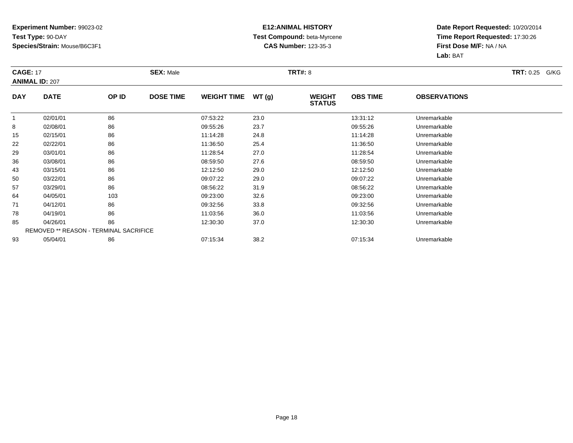### **E12:ANIMAL HISTORY Test Compound:** beta-Myrcene**CAS Number:** 123-35-3

| <b>CAGE: 17</b> | <b>ANIMAL ID: 207</b>                         |       | <b>SEX: Male</b> |                    |       | <b>TRT#: 8</b>                 |                 |                     | <b>TRT: 0.25 G/KG</b> |
|-----------------|-----------------------------------------------|-------|------------------|--------------------|-------|--------------------------------|-----------------|---------------------|-----------------------|
| <b>DAY</b>      | <b>DATE</b>                                   | OP ID | <b>DOSE TIME</b> | <b>WEIGHT TIME</b> | WT(g) | <b>WEIGHT</b><br><b>STATUS</b> | <b>OBS TIME</b> | <b>OBSERVATIONS</b> |                       |
| 1               | 02/01/01                                      | 86    |                  | 07:53:22           | 23.0  |                                | 13:31:12        | Unremarkable        |                       |
| 8               | 02/08/01                                      | 86    |                  | 09:55:26           | 23.7  |                                | 09:55:26        | Unremarkable        |                       |
| 15              | 02/15/01                                      | 86    |                  | 11:14:28           | 24.8  |                                | 11:14:28        | Unremarkable        |                       |
| 22              | 02/22/01                                      | 86    |                  | 11:36:50           | 25.4  |                                | 11:36:50        | Unremarkable        |                       |
| 29              | 03/01/01                                      | 86    |                  | 11:28:54           | 27.0  |                                | 11:28:54        | Unremarkable        |                       |
| 36              | 03/08/01                                      | 86    |                  | 08:59:50           | 27.6  |                                | 08:59:50        | Unremarkable        |                       |
| 43              | 03/15/01                                      | 86    |                  | 12:12:50           | 29.0  |                                | 12:12:50        | Unremarkable        |                       |
| 50              | 03/22/01                                      | 86    |                  | 09:07:22           | 29.0  |                                | 09:07:22        | Unremarkable        |                       |
| 57              | 03/29/01                                      | 86    |                  | 08:56:22           | 31.9  |                                | 08:56:22        | Unremarkable        |                       |
| 64              | 04/05/01                                      | 103   |                  | 09:23:00           | 32.6  |                                | 09:23:00        | Unremarkable        |                       |
| 71              | 04/12/01                                      | 86    |                  | 09:32:56           | 33.8  |                                | 09:32:56        | Unremarkable        |                       |
| 78              | 04/19/01                                      | 86    |                  | 11:03:56           | 36.0  |                                | 11:03:56        | Unremarkable        |                       |
| 85              | 04/26/01                                      | 86    |                  | 12:30:30           | 37.0  |                                | 12:30:30        | Unremarkable        |                       |
|                 | <b>REMOVED ** REASON - TERMINAL SACRIFICE</b> |       |                  |                    |       |                                |                 |                     |                       |
| 93              | 05/04/01                                      | 86    |                  | 07:15:34           | 38.2  |                                | 07:15:34        | Unremarkable        |                       |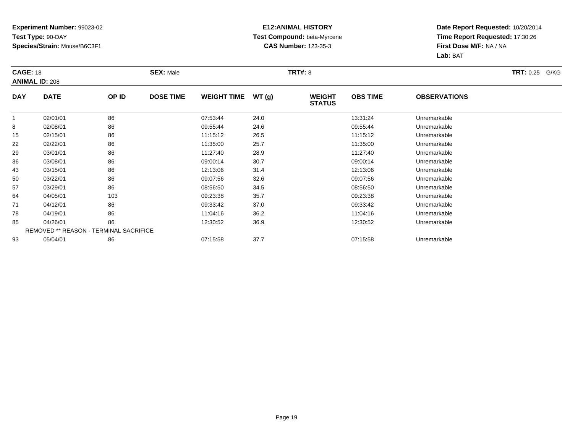### **E12:ANIMAL HISTORY Test Compound:** beta-Myrcene**CAS Number:** 123-35-3

| <b>CAGE: 18</b> | <b>ANIMAL ID: 208</b>                         |       | <b>SEX: Male</b> |                    |       | <b>TRT#: 8</b>                 |                 |                     | <b>TRT: 0.25 G/KG</b> |
|-----------------|-----------------------------------------------|-------|------------------|--------------------|-------|--------------------------------|-----------------|---------------------|-----------------------|
| <b>DAY</b>      | <b>DATE</b>                                   | OP ID | <b>DOSE TIME</b> | <b>WEIGHT TIME</b> | WT(g) | <b>WEIGHT</b><br><b>STATUS</b> | <b>OBS TIME</b> | <b>OBSERVATIONS</b> |                       |
| 1               | 02/01/01                                      | 86    |                  | 07:53:44           | 24.0  |                                | 13:31:24        | Unremarkable        |                       |
| 8               | 02/08/01                                      | 86    |                  | 09:55:44           | 24.6  |                                | 09:55:44        | Unremarkable        |                       |
| 15              | 02/15/01                                      | 86    |                  | 11:15:12           | 26.5  |                                | 11:15:12        | Unremarkable        |                       |
| 22              | 02/22/01                                      | 86    |                  | 11:35:00           | 25.7  |                                | 11:35:00        | Unremarkable        |                       |
| 29              | 03/01/01                                      | 86    |                  | 11:27:40           | 28.9  |                                | 11:27:40        | Unremarkable        |                       |
| 36              | 03/08/01                                      | 86    |                  | 09:00:14           | 30.7  |                                | 09:00:14        | Unremarkable        |                       |
| 43              | 03/15/01                                      | 86    |                  | 12:13:06           | 31.4  |                                | 12:13:06        | Unremarkable        |                       |
| 50              | 03/22/01                                      | 86    |                  | 09:07:56           | 32.6  |                                | 09:07:56        | Unremarkable        |                       |
| 57              | 03/29/01                                      | 86    |                  | 08:56:50           | 34.5  |                                | 08:56:50        | Unremarkable        |                       |
| 64              | 04/05/01                                      | 103   |                  | 09:23:38           | 35.7  |                                | 09:23:38        | Unremarkable        |                       |
| 71              | 04/12/01                                      | 86    |                  | 09:33:42           | 37.0  |                                | 09:33:42        | Unremarkable        |                       |
| 78              | 04/19/01                                      | 86    |                  | 11:04:16           | 36.2  |                                | 11:04:16        | Unremarkable        |                       |
| 85              | 04/26/01                                      | 86    |                  | 12:30:52           | 36.9  |                                | 12:30:52        | Unremarkable        |                       |
|                 | <b>REMOVED ** REASON - TERMINAL SACRIFICE</b> |       |                  |                    |       |                                |                 |                     |                       |
| 93              | 05/04/01                                      | 86    |                  | 07:15:58           | 37.7  |                                | 07:15:58        | Unremarkable        |                       |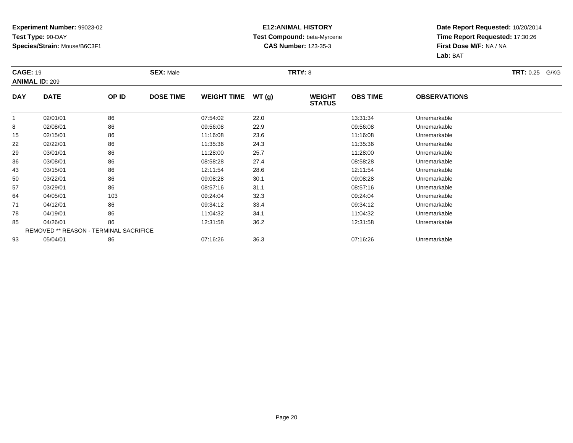### **E12:ANIMAL HISTORY Test Compound:** beta-Myrcene**CAS Number:** 123-35-3

| <b>CAGE: 19</b> | <b>ANIMAL ID: 209</b>                         |       | <b>SEX: Male</b> |                    |       | <b>TRT#: 8</b>                 |                 |                     | <b>TRT: 0.25</b><br>G/KG |
|-----------------|-----------------------------------------------|-------|------------------|--------------------|-------|--------------------------------|-----------------|---------------------|--------------------------|
| <b>DAY</b>      | <b>DATE</b>                                   | OP ID | <b>DOSE TIME</b> | <b>WEIGHT TIME</b> | WT(g) | <b>WEIGHT</b><br><b>STATUS</b> | <b>OBS TIME</b> | <b>OBSERVATIONS</b> |                          |
| 1               | 02/01/01                                      | 86    |                  | 07:54:02           | 22.0  |                                | 13:31:34        | Unremarkable        |                          |
| 8               | 02/08/01                                      | 86    |                  | 09:56:08           | 22.9  |                                | 09:56:08        | Unremarkable        |                          |
| 15              | 02/15/01                                      | 86    |                  | 11:16:08           | 23.6  |                                | 11:16:08        | Unremarkable        |                          |
| 22              | 02/22/01                                      | 86    |                  | 11:35:36           | 24.3  |                                | 11:35:36        | Unremarkable        |                          |
| 29              | 03/01/01                                      | 86    |                  | 11:28:00           | 25.7  |                                | 11:28:00        | Unremarkable        |                          |
| 36              | 03/08/01                                      | 86    |                  | 08:58:28           | 27.4  |                                | 08:58:28        | Unremarkable        |                          |
| 43              | 03/15/01                                      | 86    |                  | 12:11:54           | 28.6  |                                | 12:11:54        | Unremarkable        |                          |
| 50              | 03/22/01                                      | 86    |                  | 09:08:28           | 30.1  |                                | 09:08:28        | Unremarkable        |                          |
| 57              | 03/29/01                                      | 86    |                  | 08:57:16           | 31.1  |                                | 08:57:16        | Unremarkable        |                          |
| 64              | 04/05/01                                      | 103   |                  | 09:24:04           | 32.3  |                                | 09:24:04        | Unremarkable        |                          |
| 71              | 04/12/01                                      | 86    |                  | 09:34:12           | 33.4  |                                | 09:34:12        | Unremarkable        |                          |
| 78              | 04/19/01                                      | 86    |                  | 11:04:32           | 34.1  |                                | 11:04:32        | Unremarkable        |                          |
| 85              | 04/26/01                                      | 86    |                  | 12:31:58           | 36.2  |                                | 12:31:58        | Unremarkable        |                          |
|                 | <b>REMOVED ** REASON - TERMINAL SACRIFICE</b> |       |                  |                    |       |                                |                 |                     |                          |
| 93              | 05/04/01                                      | 86    |                  | 07:16:26           | 36.3  |                                | 07:16:26        | Unremarkable        |                          |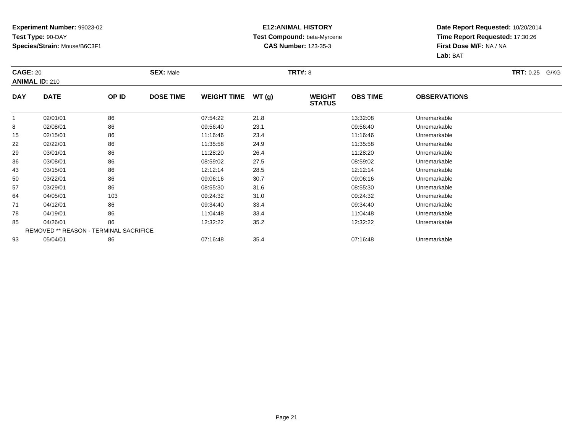### **E12:ANIMAL HISTORY Test Compound:** beta-Myrcene**CAS Number:** 123-35-3

| <b>CAGE: 20</b> | <b>ANIMAL ID: 210</b>                         |       | <b>SEX: Male</b> |                    |       | <b>TRT#: 8</b>                 |                 |                     | <b>TRT: 0.25 G/KG</b> |
|-----------------|-----------------------------------------------|-------|------------------|--------------------|-------|--------------------------------|-----------------|---------------------|-----------------------|
| <b>DAY</b>      | <b>DATE</b>                                   | OP ID | <b>DOSE TIME</b> | <b>WEIGHT TIME</b> | WT(g) | <b>WEIGHT</b><br><b>STATUS</b> | <b>OBS TIME</b> | <b>OBSERVATIONS</b> |                       |
| 1               | 02/01/01                                      | 86    |                  | 07:54:22           | 21.8  |                                | 13:32:08        | Unremarkable        |                       |
| 8               | 02/08/01                                      | 86    |                  | 09:56:40           | 23.1  |                                | 09:56:40        | Unremarkable        |                       |
| 15              | 02/15/01                                      | 86    |                  | 11:16:46           | 23.4  |                                | 11:16:46        | Unremarkable        |                       |
| 22              | 02/22/01                                      | 86    |                  | 11:35:58           | 24.9  |                                | 11:35:58        | Unremarkable        |                       |
| 29              | 03/01/01                                      | 86    |                  | 11:28:20           | 26.4  |                                | 11:28:20        | Unremarkable        |                       |
| 36              | 03/08/01                                      | 86    |                  | 08:59:02           | 27.5  |                                | 08:59:02        | Unremarkable        |                       |
| 43              | 03/15/01                                      | 86    |                  | 12:12:14           | 28.5  |                                | 12:12:14        | Unremarkable        |                       |
| 50              | 03/22/01                                      | 86    |                  | 09:06:16           | 30.7  |                                | 09:06:16        | Unremarkable        |                       |
| 57              | 03/29/01                                      | 86    |                  | 08:55:30           | 31.6  |                                | 08:55:30        | Unremarkable        |                       |
| 64              | 04/05/01                                      | 103   |                  | 09:24:32           | 31.0  |                                | 09:24:32        | Unremarkable        |                       |
| 71              | 04/12/01                                      | 86    |                  | 09:34:40           | 33.4  |                                | 09:34:40        | Unremarkable        |                       |
| 78              | 04/19/01                                      | 86    |                  | 11:04:48           | 33.4  |                                | 11:04:48        | Unremarkable        |                       |
| 85              | 04/26/01                                      | 86    |                  | 12:32:22           | 35.2  |                                | 12:32:22        | Unremarkable        |                       |
|                 | <b>REMOVED ** REASON - TERMINAL SACRIFICE</b> |       |                  |                    |       |                                |                 |                     |                       |
| 93              | 05/04/01                                      | 86    |                  | 07:16:48           | 35.4  |                                | 07:16:48        | Unremarkable        |                       |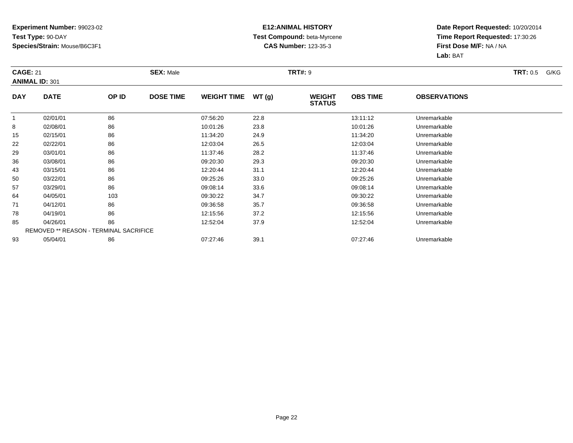### **E12:ANIMAL HISTORY Test Compound:** beta-Myrcene**CAS Number:** 123-35-3

| <b>CAGE: 21</b> | <b>ANIMAL ID: 301</b>                  |       | <b>SEX: Male</b> |                    |       | <b>TRT#: 9</b>                 |                 |                     | <b>TRT:</b> 0.5<br>G/KG |
|-----------------|----------------------------------------|-------|------------------|--------------------|-------|--------------------------------|-----------------|---------------------|-------------------------|
| <b>DAY</b>      | <b>DATE</b>                            | OP ID | <b>DOSE TIME</b> | <b>WEIGHT TIME</b> | WT(g) | <b>WEIGHT</b><br><b>STATUS</b> | <b>OBS TIME</b> | <b>OBSERVATIONS</b> |                         |
| -1              | 02/01/01                               | 86    |                  | 07:56:20           | 22.8  |                                | 13:11:12        | Unremarkable        |                         |
| 8               | 02/08/01                               | 86    |                  | 10:01:26           | 23.8  |                                | 10:01:26        | Unremarkable        |                         |
| 15              | 02/15/01                               | 86    |                  | 11:34:20           | 24.9  |                                | 11:34:20        | Unremarkable        |                         |
| 22              | 02/22/01                               | 86    |                  | 12:03:04           | 26.5  |                                | 12:03:04        | Unremarkable        |                         |
| 29              | 03/01/01                               | 86    |                  | 11:37:46           | 28.2  |                                | 11:37:46        | Unremarkable        |                         |
| 36              | 03/08/01                               | 86    |                  | 09:20:30           | 29.3  |                                | 09:20:30        | Unremarkable        |                         |
| 43              | 03/15/01                               | 86    |                  | 12:20:44           | 31.1  |                                | 12:20:44        | Unremarkable        |                         |
| 50              | 03/22/01                               | 86    |                  | 09:25:26           | 33.0  |                                | 09:25:26        | Unremarkable        |                         |
| 57              | 03/29/01                               | 86    |                  | 09:08:14           | 33.6  |                                | 09:08:14        | Unremarkable        |                         |
| 64              | 04/05/01                               | 103   |                  | 09:30:22           | 34.7  |                                | 09:30:22        | Unremarkable        |                         |
| 71              | 04/12/01                               | 86    |                  | 09:36:58           | 35.7  |                                | 09:36:58        | Unremarkable        |                         |
| 78              | 04/19/01                               | 86    |                  | 12:15:56           | 37.2  |                                | 12:15:56        | Unremarkable        |                         |
| 85              | 04/26/01                               | 86    |                  | 12:52:04           | 37.9  |                                | 12:52:04        | Unremarkable        |                         |
|                 | REMOVED ** REASON - TERMINAL SACRIFICE |       |                  |                    |       |                                |                 |                     |                         |
| 93              | 05/04/01                               | 86    |                  | 07:27:46           | 39.1  |                                | 07:27:46        | Unremarkable        |                         |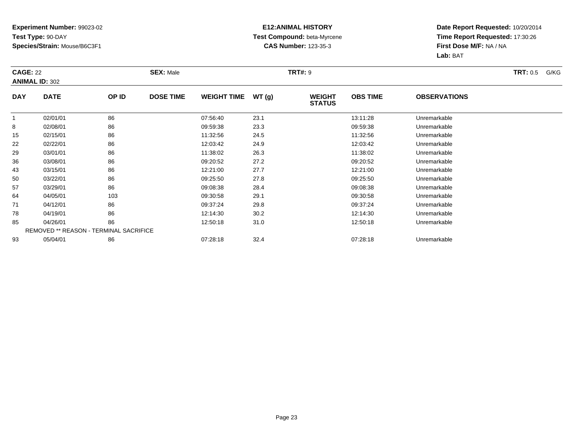### **E12:ANIMAL HISTORY Test Compound:** beta-Myrcene**CAS Number:** 123-35-3

| <b>CAGE: 22</b> | <b>ANIMAL ID: 302</b>                         |       | <b>SEX: Male</b> |                    |       | <b>TRT#: 9</b>                 |                 |                     | <b>TRT:</b> 0.5<br>G/KG |
|-----------------|-----------------------------------------------|-------|------------------|--------------------|-------|--------------------------------|-----------------|---------------------|-------------------------|
| <b>DAY</b>      | <b>DATE</b>                                   | OP ID | <b>DOSE TIME</b> | <b>WEIGHT TIME</b> | WT(g) | <b>WEIGHT</b><br><b>STATUS</b> | <b>OBS TIME</b> | <b>OBSERVATIONS</b> |                         |
| 1               | 02/01/01                                      | 86    |                  | 07:56:40           | 23.1  |                                | 13:11:28        | Unremarkable        |                         |
| 8               | 02/08/01                                      | 86    |                  | 09:59:38           | 23.3  |                                | 09:59:38        | Unremarkable        |                         |
| 15              | 02/15/01                                      | 86    |                  | 11:32:56           | 24.5  |                                | 11:32:56        | Unremarkable        |                         |
| 22              | 02/22/01                                      | 86    |                  | 12:03:42           | 24.9  |                                | 12:03:42        | Unremarkable        |                         |
| 29              | 03/01/01                                      | 86    |                  | 11:38:02           | 26.3  |                                | 11:38:02        | Unremarkable        |                         |
| 36              | 03/08/01                                      | 86    |                  | 09:20:52           | 27.2  |                                | 09:20:52        | Unremarkable        |                         |
| 43              | 03/15/01                                      | 86    |                  | 12:21:00           | 27.7  |                                | 12:21:00        | Unremarkable        |                         |
| 50              | 03/22/01                                      | 86    |                  | 09:25:50           | 27.8  |                                | 09:25:50        | Unremarkable        |                         |
| 57              | 03/29/01                                      | 86    |                  | 09:08:38           | 28.4  |                                | 09:08:38        | Unremarkable        |                         |
| 64              | 04/05/01                                      | 103   |                  | 09:30:58           | 29.1  |                                | 09:30:58        | Unremarkable        |                         |
| 71              | 04/12/01                                      | 86    |                  | 09:37:24           | 29.8  |                                | 09:37:24        | Unremarkable        |                         |
| 78              | 04/19/01                                      | 86    |                  | 12:14:30           | 30.2  |                                | 12:14:30        | Unremarkable        |                         |
| 85              | 04/26/01                                      | 86    |                  | 12:50:18           | 31.0  |                                | 12:50:18        | Unremarkable        |                         |
|                 | <b>REMOVED ** REASON - TERMINAL SACRIFICE</b> |       |                  |                    |       |                                |                 |                     |                         |
| 93              | 05/04/01                                      | 86    |                  | 07:28:18           | 32.4  |                                | 07:28:18        | Unremarkable        |                         |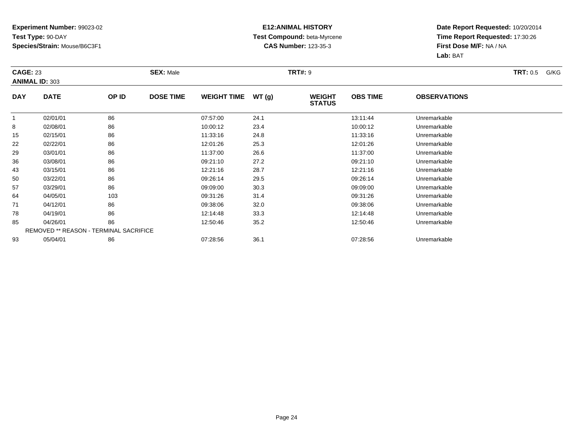### **E12:ANIMAL HISTORY Test Compound:** beta-Myrcene**CAS Number:** 123-35-3

| <b>CAGE: 23</b> | <b>ANIMAL ID: 303</b>                         |       | <b>SEX: Male</b> |                    |       | <b>TRT#: 9</b>                 |                 |                     | <b>TRT:</b> 0.5<br>G/KG |
|-----------------|-----------------------------------------------|-------|------------------|--------------------|-------|--------------------------------|-----------------|---------------------|-------------------------|
| <b>DAY</b>      | <b>DATE</b>                                   | OP ID | <b>DOSE TIME</b> | <b>WEIGHT TIME</b> | WT(g) | <b>WEIGHT</b><br><b>STATUS</b> | <b>OBS TIME</b> | <b>OBSERVATIONS</b> |                         |
| 1               | 02/01/01                                      | 86    |                  | 07:57:00           | 24.1  |                                | 13:11:44        | Unremarkable        |                         |
| 8               | 02/08/01                                      | 86    |                  | 10:00:12           | 23.4  |                                | 10:00:12        | Unremarkable        |                         |
| 15              | 02/15/01                                      | 86    |                  | 11:33:16           | 24.8  |                                | 11:33:16        | Unremarkable        |                         |
| 22              | 02/22/01                                      | 86    |                  | 12:01:26           | 25.3  |                                | 12:01:26        | Unremarkable        |                         |
| 29              | 03/01/01                                      | 86    |                  | 11:37:00           | 26.6  |                                | 11:37:00        | Unremarkable        |                         |
| 36              | 03/08/01                                      | 86    |                  | 09:21:10           | 27.2  |                                | 09:21:10        | Unremarkable        |                         |
| 43              | 03/15/01                                      | 86    |                  | 12:21:16           | 28.7  |                                | 12:21:16        | Unremarkable        |                         |
| 50              | 03/22/01                                      | 86    |                  | 09:26:14           | 29.5  |                                | 09:26:14        | Unremarkable        |                         |
| 57              | 03/29/01                                      | 86    |                  | 09:09:00           | 30.3  |                                | 09:09:00        | Unremarkable        |                         |
| 64              | 04/05/01                                      | 103   |                  | 09:31:26           | 31.4  |                                | 09:31:26        | Unremarkable        |                         |
| 71              | 04/12/01                                      | 86    |                  | 09:38:06           | 32.0  |                                | 09:38:06        | Unremarkable        |                         |
| 78              | 04/19/01                                      | 86    |                  | 12:14:48           | 33.3  |                                | 12:14:48        | Unremarkable        |                         |
| 85              | 04/26/01                                      | 86    |                  | 12:50:46           | 35.2  |                                | 12:50:46        | Unremarkable        |                         |
|                 | <b>REMOVED ** REASON - TERMINAL SACRIFICE</b> |       |                  |                    |       |                                |                 |                     |                         |
| 93              | 05/04/01                                      | 86    |                  | 07:28:56           | 36.1  |                                | 07:28:56        | Unremarkable        |                         |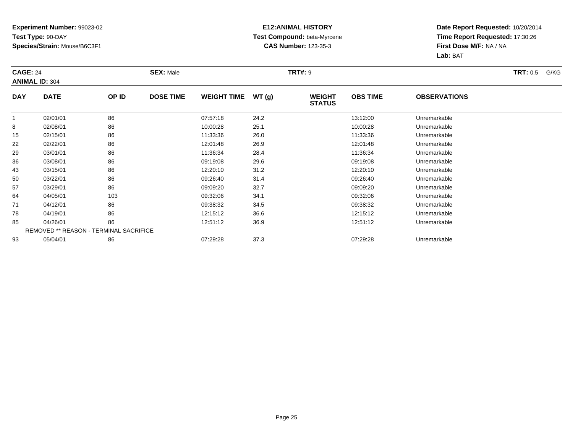### **E12:ANIMAL HISTORY Test Compound:** beta-Myrcene**CAS Number:** 123-35-3

| <b>CAGE: 24</b> | <b>ANIMAL ID: 304</b>                         |       | <b>SEX: Male</b> |                    |       | <b>TRT#: 9</b>                 |                 |                     | <b>TRT:</b> 0.5<br>G/KG |
|-----------------|-----------------------------------------------|-------|------------------|--------------------|-------|--------------------------------|-----------------|---------------------|-------------------------|
| <b>DAY</b>      | <b>DATE</b>                                   | OP ID | <b>DOSE TIME</b> | <b>WEIGHT TIME</b> | WT(g) | <b>WEIGHT</b><br><b>STATUS</b> | <b>OBS TIME</b> | <b>OBSERVATIONS</b> |                         |
| 1               | 02/01/01                                      | 86    |                  | 07:57:18           | 24.2  |                                | 13:12:00        | Unremarkable        |                         |
| 8               | 02/08/01                                      | 86    |                  | 10:00:28           | 25.1  |                                | 10:00:28        | Unremarkable        |                         |
| 15              | 02/15/01                                      | 86    |                  | 11:33:36           | 26.0  |                                | 11:33:36        | Unremarkable        |                         |
| 22              | 02/22/01                                      | 86    |                  | 12:01:48           | 26.9  |                                | 12:01:48        | Unremarkable        |                         |
| 29              | 03/01/01                                      | 86    |                  | 11:36:34           | 28.4  |                                | 11:36:34        | Unremarkable        |                         |
| 36              | 03/08/01                                      | 86    |                  | 09:19:08           | 29.6  |                                | 09:19:08        | Unremarkable        |                         |
| 43              | 03/15/01                                      | 86    |                  | 12:20:10           | 31.2  |                                | 12:20:10        | Unremarkable        |                         |
| 50              | 03/22/01                                      | 86    |                  | 09:26:40           | 31.4  |                                | 09:26:40        | Unremarkable        |                         |
| 57              | 03/29/01                                      | 86    |                  | 09:09:20           | 32.7  |                                | 09:09:20        | Unremarkable        |                         |
| 64              | 04/05/01                                      | 103   |                  | 09:32:06           | 34.1  |                                | 09:32:06        | Unremarkable        |                         |
| 71              | 04/12/01                                      | 86    |                  | 09:38:32           | 34.5  |                                | 09:38:32        | Unremarkable        |                         |
| 78              | 04/19/01                                      | 86    |                  | 12:15:12           | 36.6  |                                | 12:15:12        | Unremarkable        |                         |
| 85              | 04/26/01                                      | 86    |                  | 12:51:12           | 36.9  |                                | 12:51:12        | Unremarkable        |                         |
|                 | <b>REMOVED ** REASON - TERMINAL SACRIFICE</b> |       |                  |                    |       |                                |                 |                     |                         |
| 93              | 05/04/01                                      | 86    |                  | 07:29:28           | 37.3  |                                | 07:29:28        | Unremarkable        |                         |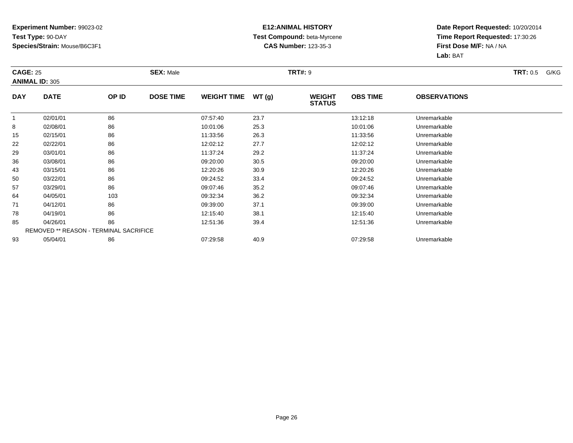### **E12:ANIMAL HISTORY Test Compound:** beta-Myrcene**CAS Number:** 123-35-3

| <b>CAGE: 25</b> | <b>ANIMAL ID: 305</b>                         |       | <b>SEX: Male</b> |                    |       | <b>TRT#: 9</b>                 |                 |                     | <b>TRT:</b> 0.5<br>G/KG |
|-----------------|-----------------------------------------------|-------|------------------|--------------------|-------|--------------------------------|-----------------|---------------------|-------------------------|
| <b>DAY</b>      | <b>DATE</b>                                   | OP ID | <b>DOSE TIME</b> | <b>WEIGHT TIME</b> | WT(g) | <b>WEIGHT</b><br><b>STATUS</b> | <b>OBS TIME</b> | <b>OBSERVATIONS</b> |                         |
| 1               | 02/01/01                                      | 86    |                  | 07:57:40           | 23.7  |                                | 13:12:18        | Unremarkable        |                         |
| 8               | 02/08/01                                      | 86    |                  | 10:01:06           | 25.3  |                                | 10:01:06        | Unremarkable        |                         |
| 15              | 02/15/01                                      | 86    |                  | 11:33:56           | 26.3  |                                | 11:33:56        | Unremarkable        |                         |
| 22              | 02/22/01                                      | 86    |                  | 12:02:12           | 27.7  |                                | 12:02:12        | Unremarkable        |                         |
| 29              | 03/01/01                                      | 86    |                  | 11:37:24           | 29.2  |                                | 11:37:24        | Unremarkable        |                         |
| 36              | 03/08/01                                      | 86    |                  | 09:20:00           | 30.5  |                                | 09:20:00        | Unremarkable        |                         |
| 43              | 03/15/01                                      | 86    |                  | 12:20:26           | 30.9  |                                | 12:20:26        | Unremarkable        |                         |
| 50              | 03/22/01                                      | 86    |                  | 09:24:52           | 33.4  |                                | 09:24:52        | Unremarkable        |                         |
| 57              | 03/29/01                                      | 86    |                  | 09:07:46           | 35.2  |                                | 09:07:46        | Unremarkable        |                         |
| 64              | 04/05/01                                      | 103   |                  | 09:32:34           | 36.2  |                                | 09:32:34        | Unremarkable        |                         |
| 71              | 04/12/01                                      | 86    |                  | 09:39:00           | 37.1  |                                | 09:39:00        | Unremarkable        |                         |
| 78              | 04/19/01                                      | 86    |                  | 12:15:40           | 38.1  |                                | 12:15:40        | Unremarkable        |                         |
| 85              | 04/26/01                                      | 86    |                  | 12:51:36           | 39.4  |                                | 12:51:36        | Unremarkable        |                         |
|                 | <b>REMOVED ** REASON - TERMINAL SACRIFICE</b> |       |                  |                    |       |                                |                 |                     |                         |
| 93              | 05/04/01                                      | 86    |                  | 07:29:58           | 40.9  |                                | 07:29:58        | Unremarkable        |                         |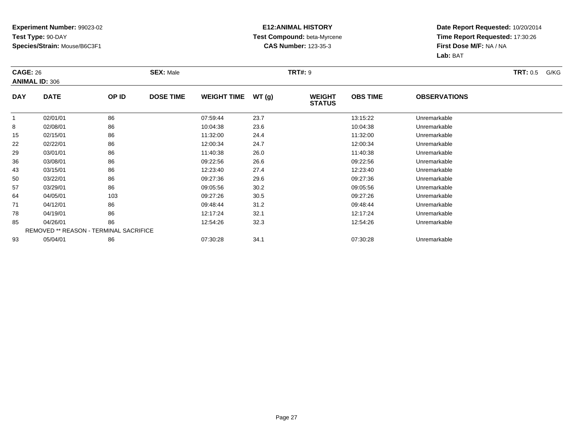### **E12:ANIMAL HISTORY Test Compound:** beta-Myrcene**CAS Number:** 123-35-3

| <b>CAGE: 26</b> | <b>ANIMAL ID: 306</b>                         |       | <b>SEX: Male</b> |                    |       | <b>TRT#: 9</b>                 |                 |                     | <b>TRT:</b> 0.5<br>G/KG |
|-----------------|-----------------------------------------------|-------|------------------|--------------------|-------|--------------------------------|-----------------|---------------------|-------------------------|
| <b>DAY</b>      | <b>DATE</b>                                   | OP ID | <b>DOSE TIME</b> | <b>WEIGHT TIME</b> | WT(g) | <b>WEIGHT</b><br><b>STATUS</b> | <b>OBS TIME</b> | <b>OBSERVATIONS</b> |                         |
| 1               | 02/01/01                                      | 86    |                  | 07:59:44           | 23.7  |                                | 13:15:22        | Unremarkable        |                         |
| 8               | 02/08/01                                      | 86    |                  | 10:04:38           | 23.6  |                                | 10:04:38        | Unremarkable        |                         |
| 15              | 02/15/01                                      | 86    |                  | 11:32:00           | 24.4  |                                | 11:32:00        | Unremarkable        |                         |
| 22              | 02/22/01                                      | 86    |                  | 12:00:34           | 24.7  |                                | 12:00:34        | Unremarkable        |                         |
| 29              | 03/01/01                                      | 86    |                  | 11:40:38           | 26.0  |                                | 11:40:38        | Unremarkable        |                         |
| 36              | 03/08/01                                      | 86    |                  | 09:22:56           | 26.6  |                                | 09:22:56        | Unremarkable        |                         |
| 43              | 03/15/01                                      | 86    |                  | 12:23:40           | 27.4  |                                | 12:23:40        | Unremarkable        |                         |
| 50              | 03/22/01                                      | 86    |                  | 09:27:36           | 29.6  |                                | 09:27:36        | Unremarkable        |                         |
| 57              | 03/29/01                                      | 86    |                  | 09:05:56           | 30.2  |                                | 09:05:56        | Unremarkable        |                         |
| 64              | 04/05/01                                      | 103   |                  | 09:27:26           | 30.5  |                                | 09:27:26        | Unremarkable        |                         |
| 71              | 04/12/01                                      | 86    |                  | 09:48:44           | 31.2  |                                | 09:48:44        | Unremarkable        |                         |
| 78              | 04/19/01                                      | 86    |                  | 12:17:24           | 32.1  |                                | 12:17:24        | Unremarkable        |                         |
| 85              | 04/26/01                                      | 86    |                  | 12:54:26           | 32.3  |                                | 12:54:26        | Unremarkable        |                         |
|                 | <b>REMOVED ** REASON - TERMINAL SACRIFICE</b> |       |                  |                    |       |                                |                 |                     |                         |
| 93              | 05/04/01                                      | 86    |                  | 07:30:28           | 34.1  |                                | 07:30:28        | Unremarkable        |                         |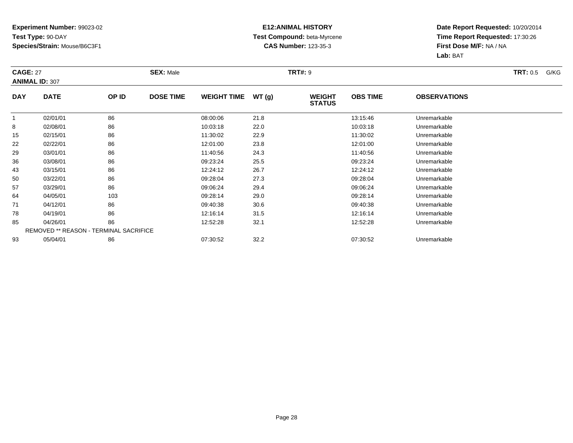### **E12:ANIMAL HISTORY Test Compound:** beta-Myrcene**CAS Number:** 123-35-3

| <b>CAGE: 27</b> | <b>ANIMAL ID: 307</b>                         |       | <b>SEX: Male</b> |                    |       | <b>TRT#: 9</b>                 |                 |                     | <b>TRT:</b> 0.5<br>G/KG |
|-----------------|-----------------------------------------------|-------|------------------|--------------------|-------|--------------------------------|-----------------|---------------------|-------------------------|
| <b>DAY</b>      | <b>DATE</b>                                   | OP ID | <b>DOSE TIME</b> | <b>WEIGHT TIME</b> | WT(g) | <b>WEIGHT</b><br><b>STATUS</b> | <b>OBS TIME</b> | <b>OBSERVATIONS</b> |                         |
| 1               | 02/01/01                                      | 86    |                  | 08:00:06           | 21.8  |                                | 13:15:46        | Unremarkable        |                         |
| 8               | 02/08/01                                      | 86    |                  | 10:03:18           | 22.0  |                                | 10:03:18        | Unremarkable        |                         |
| 15              | 02/15/01                                      | 86    |                  | 11:30:02           | 22.9  |                                | 11:30:02        | Unremarkable        |                         |
| 22              | 02/22/01                                      | 86    |                  | 12:01:00           | 23.8  |                                | 12:01:00        | Unremarkable        |                         |
| 29              | 03/01/01                                      | 86    |                  | 11:40:56           | 24.3  |                                | 11:40:56        | Unremarkable        |                         |
| 36              | 03/08/01                                      | 86    |                  | 09:23:24           | 25.5  |                                | 09:23:24        | Unremarkable        |                         |
| 43              | 03/15/01                                      | 86    |                  | 12:24:12           | 26.7  |                                | 12:24:12        | Unremarkable        |                         |
| 50              | 03/22/01                                      | 86    |                  | 09:28:04           | 27.3  |                                | 09:28:04        | Unremarkable        |                         |
| 57              | 03/29/01                                      | 86    |                  | 09:06:24           | 29.4  |                                | 09:06:24        | Unremarkable        |                         |
| 64              | 04/05/01                                      | 103   |                  | 09:28:14           | 29.0  |                                | 09:28:14        | Unremarkable        |                         |
| 71              | 04/12/01                                      | 86    |                  | 09:40:38           | 30.6  |                                | 09:40:38        | Unremarkable        |                         |
| 78              | 04/19/01                                      | 86    |                  | 12:16:14           | 31.5  |                                | 12:16:14        | Unremarkable        |                         |
| 85              | 04/26/01                                      | 86    |                  | 12:52:28           | 32.1  |                                | 12:52:28        | Unremarkable        |                         |
|                 | <b>REMOVED ** REASON - TERMINAL SACRIFICE</b> |       |                  |                    |       |                                |                 |                     |                         |
| 93              | 05/04/01                                      | 86    |                  | 07:30:52           | 32.2  |                                | 07:30:52        | Unremarkable        |                         |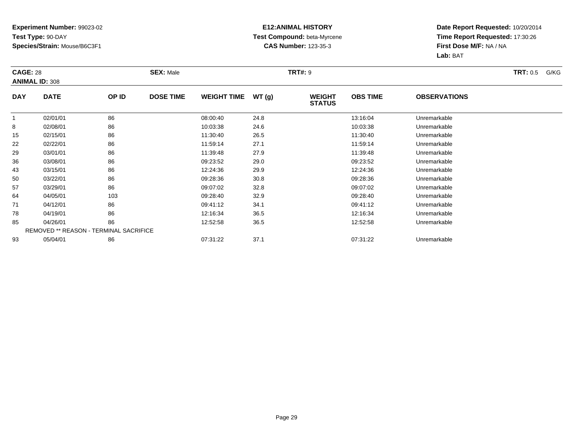### **E12:ANIMAL HISTORY Test Compound:** beta-Myrcene**CAS Number:** 123-35-3

| <b>CAGE: 28</b> | <b>ANIMAL ID: 308</b>                         |       | <b>SEX: Male</b> |                    |       | <b>TRT#: 9</b>                 |                 |                     | <b>TRT:</b> 0.5<br>G/KG |
|-----------------|-----------------------------------------------|-------|------------------|--------------------|-------|--------------------------------|-----------------|---------------------|-------------------------|
| <b>DAY</b>      | <b>DATE</b>                                   | OP ID | <b>DOSE TIME</b> | <b>WEIGHT TIME</b> | WT(g) | <b>WEIGHT</b><br><b>STATUS</b> | <b>OBS TIME</b> | <b>OBSERVATIONS</b> |                         |
| 1               | 02/01/01                                      | 86    |                  | 08:00:40           | 24.8  |                                | 13:16:04        | Unremarkable        |                         |
| 8               | 02/08/01                                      | 86    |                  | 10:03:38           | 24.6  |                                | 10:03:38        | Unremarkable        |                         |
| 15              | 02/15/01                                      | 86    |                  | 11:30:40           | 26.5  |                                | 11:30:40        | Unremarkable        |                         |
| 22              | 02/22/01                                      | 86    |                  | 11:59:14           | 27.1  |                                | 11:59:14        | Unremarkable        |                         |
| 29              | 03/01/01                                      | 86    |                  | 11:39:48           | 27.9  |                                | 11:39:48        | Unremarkable        |                         |
| 36              | 03/08/01                                      | 86    |                  | 09:23:52           | 29.0  |                                | 09:23:52        | Unremarkable        |                         |
| 43              | 03/15/01                                      | 86    |                  | 12:24:36           | 29.9  |                                | 12:24:36        | Unremarkable        |                         |
| 50              | 03/22/01                                      | 86    |                  | 09:28:36           | 30.8  |                                | 09:28:36        | Unremarkable        |                         |
| 57              | 03/29/01                                      | 86    |                  | 09:07:02           | 32.8  |                                | 09:07:02        | Unremarkable        |                         |
| 64              | 04/05/01                                      | 103   |                  | 09:28:40           | 32.9  |                                | 09:28:40        | Unremarkable        |                         |
| 71              | 04/12/01                                      | 86    |                  | 09:41:12           | 34.1  |                                | 09:41:12        | Unremarkable        |                         |
| 78              | 04/19/01                                      | 86    |                  | 12:16:34           | 36.5  |                                | 12:16:34        | Unremarkable        |                         |
| 85              | 04/26/01                                      | 86    |                  | 12:52:58           | 36.5  |                                | 12:52:58        | Unremarkable        |                         |
|                 | <b>REMOVED ** REASON - TERMINAL SACRIFICE</b> |       |                  |                    |       |                                |                 |                     |                         |
| 93              | 05/04/01                                      | 86    |                  | 07:31:22           | 37.1  |                                | 07:31:22        | Unremarkable        |                         |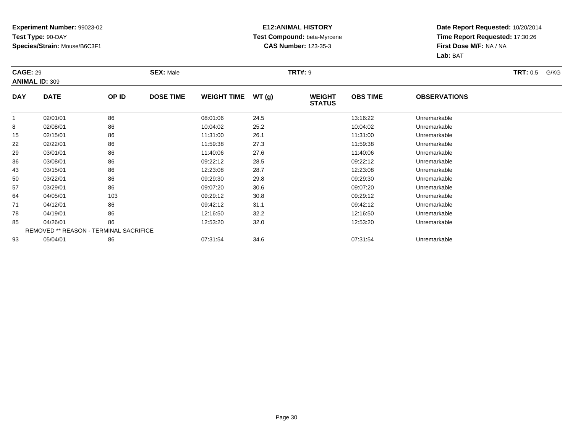### **E12:ANIMAL HISTORY Test Compound:** beta-Myrcene**CAS Number:** 123-35-3

| <b>CAGE: 29</b> | <b>ANIMAL ID: 309</b>                  |       | <b>SEX: Male</b> |                    |       | <b>TRT#: 9</b>                 |                 |                     | <b>TRT:</b> 0.5<br>G/KG |
|-----------------|----------------------------------------|-------|------------------|--------------------|-------|--------------------------------|-----------------|---------------------|-------------------------|
| <b>DAY</b>      | <b>DATE</b>                            | OP ID | <b>DOSE TIME</b> | <b>WEIGHT TIME</b> | WT(g) | <b>WEIGHT</b><br><b>STATUS</b> | <b>OBS TIME</b> | <b>OBSERVATIONS</b> |                         |
| -1              | 02/01/01                               | 86    |                  | 08:01:06           | 24.5  |                                | 13:16:22        | Unremarkable        |                         |
| 8               | 02/08/01                               | 86    |                  | 10:04:02           | 25.2  |                                | 10:04:02        | Unremarkable        |                         |
| 15              | 02/15/01                               | 86    |                  | 11:31:00           | 26.1  |                                | 11:31:00        | Unremarkable        |                         |
| 22              | 02/22/01                               | 86    |                  | 11:59:38           | 27.3  |                                | 11:59:38        | Unremarkable        |                         |
| 29              | 03/01/01                               | 86    |                  | 11:40:06           | 27.6  |                                | 11:40:06        | Unremarkable        |                         |
| 36              | 03/08/01                               | 86    |                  | 09:22:12           | 28.5  |                                | 09:22:12        | Unremarkable        |                         |
| 43              | 03/15/01                               | 86    |                  | 12:23:08           | 28.7  |                                | 12:23:08        | Unremarkable        |                         |
| 50              | 03/22/01                               | 86    |                  | 09:29:30           | 29.8  |                                | 09:29:30        | Unremarkable        |                         |
| 57              | 03/29/01                               | 86    |                  | 09:07:20           | 30.6  |                                | 09:07:20        | Unremarkable        |                         |
| 64              | 04/05/01                               | 103   |                  | 09:29:12           | 30.8  |                                | 09:29:12        | Unremarkable        |                         |
| 71              | 04/12/01                               | 86    |                  | 09:42:12           | 31.1  |                                | 09:42:12        | Unremarkable        |                         |
| 78              | 04/19/01                               | 86    |                  | 12:16:50           | 32.2  |                                | 12:16:50        | Unremarkable        |                         |
| 85              | 04/26/01                               | 86    |                  | 12:53:20           | 32.0  |                                | 12:53:20        | Unremarkable        |                         |
|                 | REMOVED ** REASON - TERMINAL SACRIFICE |       |                  |                    |       |                                |                 |                     |                         |
| 93              | 05/04/01                               | 86    |                  | 07:31:54           | 34.6  |                                | 07:31:54        | Unremarkable        |                         |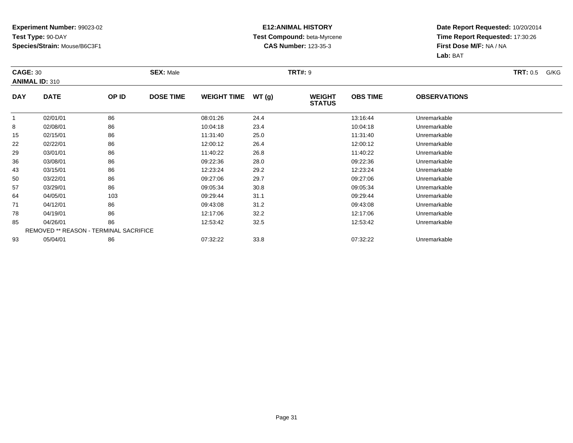### **E12:ANIMAL HISTORY Test Compound:** beta-Myrcene**CAS Number:** 123-35-3

| <b>CAGE: 30</b> | <b>ANIMAL ID: 310</b>                         |       | <b>SEX: Male</b> |                    |       | <b>TRT#: 9</b>                 |                 |                     | <b>TRT:</b> 0.5<br>G/KG |
|-----------------|-----------------------------------------------|-------|------------------|--------------------|-------|--------------------------------|-----------------|---------------------|-------------------------|
| <b>DAY</b>      | <b>DATE</b>                                   | OP ID | <b>DOSE TIME</b> | <b>WEIGHT TIME</b> | WT(g) | <b>WEIGHT</b><br><b>STATUS</b> | <b>OBS TIME</b> | <b>OBSERVATIONS</b> |                         |
| 1               | 02/01/01                                      | 86    |                  | 08:01:26           | 24.4  |                                | 13:16:44        | Unremarkable        |                         |
| 8               | 02/08/01                                      | 86    |                  | 10:04:18           | 23.4  |                                | 10:04:18        | Unremarkable        |                         |
| 15              | 02/15/01                                      | 86    |                  | 11:31:40           | 25.0  |                                | 11:31:40        | Unremarkable        |                         |
| 22              | 02/22/01                                      | 86    |                  | 12:00:12           | 26.4  |                                | 12:00:12        | Unremarkable        |                         |
| 29              | 03/01/01                                      | 86    |                  | 11:40:22           | 26.8  |                                | 11:40:22        | Unremarkable        |                         |
| 36              | 03/08/01                                      | 86    |                  | 09:22:36           | 28.0  |                                | 09:22:36        | Unremarkable        |                         |
| 43              | 03/15/01                                      | 86    |                  | 12:23:24           | 29.2  |                                | 12:23:24        | Unremarkable        |                         |
| 50              | 03/22/01                                      | 86    |                  | 09:27:06           | 29.7  |                                | 09:27:06        | Unremarkable        |                         |
| 57              | 03/29/01                                      | 86    |                  | 09:05:34           | 30.8  |                                | 09:05:34        | Unremarkable        |                         |
| 64              | 04/05/01                                      | 103   |                  | 09:29:44           | 31.1  |                                | 09:29:44        | Unremarkable        |                         |
| 71              | 04/12/01                                      | 86    |                  | 09:43:08           | 31.2  |                                | 09:43:08        | Unremarkable        |                         |
| 78              | 04/19/01                                      | 86    |                  | 12:17:06           | 32.2  |                                | 12:17:06        | Unremarkable        |                         |
| 85              | 04/26/01                                      | 86    |                  | 12:53:42           | 32.5  |                                | 12:53:42        | Unremarkable        |                         |
|                 | <b>REMOVED ** REASON - TERMINAL SACRIFICE</b> |       |                  |                    |       |                                |                 |                     |                         |
| 93              | 05/04/01                                      | 86    |                  | 07:32:22           | 33.8  |                                | 07:32:22        | Unremarkable        |                         |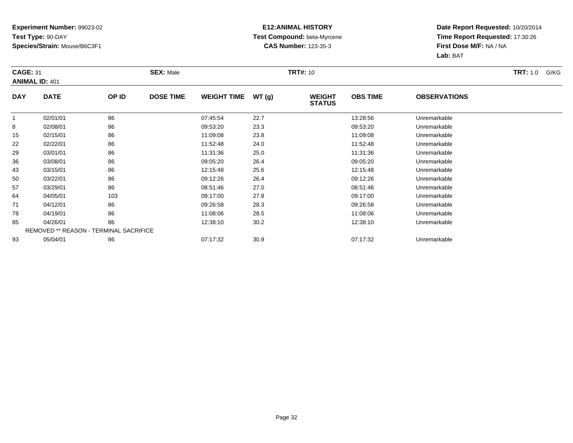### **E12:ANIMAL HISTORY Test Compound:** beta-Myrcene**CAS Number:** 123-35-3

| <b>CAGE: 31</b> | <b>ANIMAL ID: 401</b>                         |       | <b>SEX: Male</b> |                    |       | <b>TRT#: 10</b>                |                 |                     | <b>TRT:</b> 1.0<br>G/KG |
|-----------------|-----------------------------------------------|-------|------------------|--------------------|-------|--------------------------------|-----------------|---------------------|-------------------------|
| <b>DAY</b>      | <b>DATE</b>                                   | OP ID | <b>DOSE TIME</b> | <b>WEIGHT TIME</b> | WT(g) | <b>WEIGHT</b><br><b>STATUS</b> | <b>OBS TIME</b> | <b>OBSERVATIONS</b> |                         |
| 1               | 02/01/01                                      | 86    |                  | 07:45:54           | 22.7  |                                | 13:28:56        | Unremarkable        |                         |
| 8               | 02/08/01                                      | 86    |                  | 09:53:20           | 23.3  |                                | 09:53:20        | Unremarkable        |                         |
| 15              | 02/15/01                                      | 86    |                  | 11:09:08           | 23.8  |                                | 11:09:08        | Unremarkable        |                         |
| 22              | 02/22/01                                      | 86    |                  | 11:52:48           | 24.0  |                                | 11:52:48        | Unremarkable        |                         |
| 29              | 03/01/01                                      | 86    |                  | 11:31:36           | 25.0  |                                | 11:31:36        | Unremarkable        |                         |
| 36              | 03/08/01                                      | 86    |                  | 09:05:20           | 26.4  |                                | 09:05:20        | Unremarkable        |                         |
| 43              | 03/15/01                                      | 86    |                  | 12:15:48           | 25.6  |                                | 12:15:48        | Unremarkable        |                         |
| 50              | 03/22/01                                      | 86    |                  | 09:12:26           | 26.4  |                                | 09:12:26        | Unremarkable        |                         |
| 57              | 03/29/01                                      | 86    |                  | 08:51:46           | 27.0  |                                | 08:51:46        | Unremarkable        |                         |
| 64              | 04/05/01                                      | 103   |                  | 09:17:00           | 27.8  |                                | 09:17:00        | Unremarkable        |                         |
| 71              | 04/12/01                                      | 86    |                  | 09:26:58           | 28.3  |                                | 09:26:58        | Unremarkable        |                         |
| 78              | 04/19/01                                      | 86    |                  | 11:08:06           | 28.5  |                                | 11:08:06        | Unremarkable        |                         |
| 85              | 04/26/01                                      | 86    |                  | 12:38:10           | 30.2  |                                | 12:38:10        | Unremarkable        |                         |
|                 | <b>REMOVED ** REASON - TERMINAL SACRIFICE</b> |       |                  |                    |       |                                |                 |                     |                         |
| 93              | 05/04/01                                      | 86    |                  | 07:17:32           | 30.9  |                                | 07:17:32        | Unremarkable        |                         |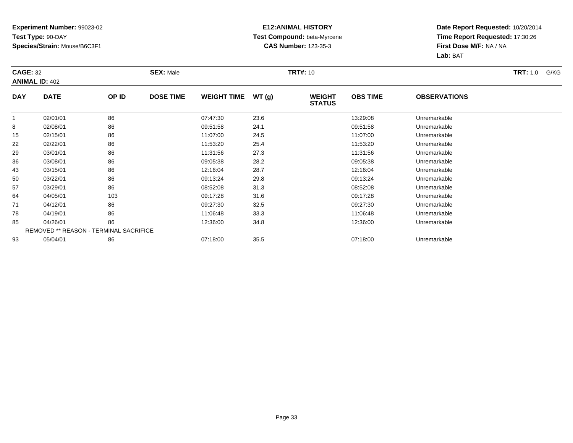### **E12:ANIMAL HISTORY Test Compound:** beta-Myrcene**CAS Number:** 123-35-3

| <b>CAGE: 32</b> | <b>ANIMAL ID: 402</b>                  |       | <b>SEX: Male</b> |                    |       | <b>TRT#: 10</b>                |                 |                     | <b>TRT:</b> 1.0<br>G/KG |
|-----------------|----------------------------------------|-------|------------------|--------------------|-------|--------------------------------|-----------------|---------------------|-------------------------|
| <b>DAY</b>      | <b>DATE</b>                            | OP ID | <b>DOSE TIME</b> | <b>WEIGHT TIME</b> | WT(g) | <b>WEIGHT</b><br><b>STATUS</b> | <b>OBS TIME</b> | <b>OBSERVATIONS</b> |                         |
| 1               | 02/01/01                               | 86    |                  | 07:47:30           | 23.6  |                                | 13:29:08        | Unremarkable        |                         |
| 8               | 02/08/01                               | 86    |                  | 09:51:58           | 24.1  |                                | 09:51:58        | Unremarkable        |                         |
| 15              | 02/15/01                               | 86    |                  | 11:07:00           | 24.5  |                                | 11:07:00        | Unremarkable        |                         |
| 22              | 02/22/01                               | 86    |                  | 11:53:20           | 25.4  |                                | 11:53:20        | Unremarkable        |                         |
| 29              | 03/01/01                               | 86    |                  | 11:31:56           | 27.3  |                                | 11:31:56        | Unremarkable        |                         |
| 36              | 03/08/01                               | 86    |                  | 09:05:38           | 28.2  |                                | 09:05:38        | Unremarkable        |                         |
| 43              | 03/15/01                               | 86    |                  | 12:16:04           | 28.7  |                                | 12:16:04        | Unremarkable        |                         |
| 50              | 03/22/01                               | 86    |                  | 09:13:24           | 29.8  |                                | 09:13:24        | Unremarkable        |                         |
| 57              | 03/29/01                               | 86    |                  | 08:52:08           | 31.3  |                                | 08:52:08        | Unremarkable        |                         |
| 64              | 04/05/01                               | 103   |                  | 09:17:28           | 31.6  |                                | 09:17:28        | Unremarkable        |                         |
| 71              | 04/12/01                               | 86    |                  | 09:27:30           | 32.5  |                                | 09:27:30        | Unremarkable        |                         |
| 78              | 04/19/01                               | 86    |                  | 11:06:48           | 33.3  |                                | 11:06:48        | Unremarkable        |                         |
| 85              | 04/26/01                               | 86    |                  | 12:36:00           | 34.8  |                                | 12:36:00        | Unremarkable        |                         |
|                 | REMOVED ** REASON - TERMINAL SACRIFICE |       |                  |                    |       |                                |                 |                     |                         |
| 93              | 05/04/01                               | 86    |                  | 07:18:00           | 35.5  |                                | 07:18:00        | Unremarkable        |                         |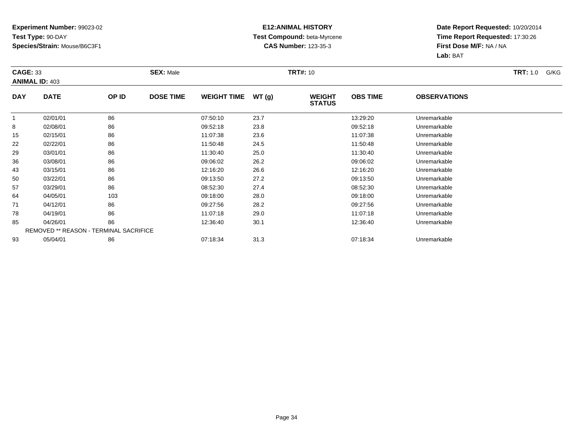### **E12:ANIMAL HISTORY Test Compound:** beta-Myrcene**CAS Number:** 123-35-3

| <b>CAGE: 33</b> | <b>ANIMAL ID: 403</b>                         |       | <b>SEX: Male</b> |                    |       | <b>TRT#: 10</b>                |                 |                     | <b>TRT:</b> 1.0<br>G/KG |
|-----------------|-----------------------------------------------|-------|------------------|--------------------|-------|--------------------------------|-----------------|---------------------|-------------------------|
| <b>DAY</b>      | <b>DATE</b>                                   | OP ID | <b>DOSE TIME</b> | <b>WEIGHT TIME</b> | WT(g) | <b>WEIGHT</b><br><b>STATUS</b> | <b>OBS TIME</b> | <b>OBSERVATIONS</b> |                         |
| 1               | 02/01/01                                      | 86    |                  | 07:50:10           | 23.7  |                                | 13:29:20        | Unremarkable        |                         |
| 8               | 02/08/01                                      | 86    |                  | 09:52:18           | 23.8  |                                | 09:52:18        | Unremarkable        |                         |
| 15              | 02/15/01                                      | 86    |                  | 11:07:38           | 23.6  |                                | 11:07:38        | Unremarkable        |                         |
| 22              | 02/22/01                                      | 86    |                  | 11:50:48           | 24.5  |                                | 11:50:48        | Unremarkable        |                         |
| 29              | 03/01/01                                      | 86    |                  | 11:30:40           | 25.0  |                                | 11:30:40        | Unremarkable        |                         |
| 36              | 03/08/01                                      | 86    |                  | 09:06:02           | 26.2  |                                | 09:06:02        | Unremarkable        |                         |
| 43              | 03/15/01                                      | 86    |                  | 12:16:20           | 26.6  |                                | 12:16:20        | Unremarkable        |                         |
| 50              | 03/22/01                                      | 86    |                  | 09:13:50           | 27.2  |                                | 09:13:50        | Unremarkable        |                         |
| 57              | 03/29/01                                      | 86    |                  | 08:52:30           | 27.4  |                                | 08:52:30        | Unremarkable        |                         |
| 64              | 04/05/01                                      | 103   |                  | 09:18:00           | 28.0  |                                | 09:18:00        | Unremarkable        |                         |
| 71              | 04/12/01                                      | 86    |                  | 09:27:56           | 28.2  |                                | 09:27:56        | Unremarkable        |                         |
| 78              | 04/19/01                                      | 86    |                  | 11:07:18           | 29.0  |                                | 11:07:18        | Unremarkable        |                         |
| 85              | 04/26/01                                      | 86    |                  | 12:36:40           | 30.1  |                                | 12:36:40        | Unremarkable        |                         |
|                 | <b>REMOVED ** REASON - TERMINAL SACRIFICE</b> |       |                  |                    |       |                                |                 |                     |                         |
| 93              | 05/04/01                                      | 86    |                  | 07:18:34           | 31.3  |                                | 07:18:34        | Unremarkable        |                         |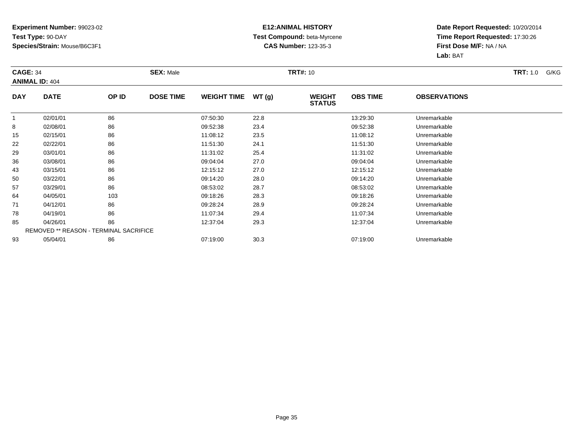### **E12:ANIMAL HISTORY Test Compound:** beta-Myrcene**CAS Number:** 123-35-3

| <b>CAGE: 34</b> | <b>ANIMAL ID: 404</b>                  |       | <b>SEX: Male</b> |                    |       | <b>TRT#:</b> 10                |                 |                     | <b>TRT:</b> 1.0<br>G/KG |
|-----------------|----------------------------------------|-------|------------------|--------------------|-------|--------------------------------|-----------------|---------------------|-------------------------|
| <b>DAY</b>      | <b>DATE</b>                            | OP ID | <b>DOSE TIME</b> | <b>WEIGHT TIME</b> | WT(g) | <b>WEIGHT</b><br><b>STATUS</b> | <b>OBS TIME</b> | <b>OBSERVATIONS</b> |                         |
| 1               | 02/01/01                               | 86    |                  | 07:50:30           | 22.8  |                                | 13:29:30        | Unremarkable        |                         |
| 8               | 02/08/01                               | 86    |                  | 09:52:38           | 23.4  |                                | 09:52:38        | Unremarkable        |                         |
| 15              | 02/15/01                               | 86    |                  | 11:08:12           | 23.5  |                                | 11:08:12        | Unremarkable        |                         |
| 22              | 02/22/01                               | 86    |                  | 11:51:30           | 24.1  |                                | 11:51:30        | Unremarkable        |                         |
| 29              | 03/01/01                               | 86    |                  | 11:31:02           | 25.4  |                                | 11:31:02        | Unremarkable        |                         |
| 36              | 03/08/01                               | 86    |                  | 09:04:04           | 27.0  |                                | 09:04:04        | Unremarkable        |                         |
| 43              | 03/15/01                               | 86    |                  | 12:15:12           | 27.0  |                                | 12:15:12        | Unremarkable        |                         |
| 50              | 03/22/01                               | 86    |                  | 09:14:20           | 28.0  |                                | 09:14:20        | Unremarkable        |                         |
| 57              | 03/29/01                               | 86    |                  | 08:53:02           | 28.7  |                                | 08:53:02        | Unremarkable        |                         |
| 64              | 04/05/01                               | 103   |                  | 09:18:26           | 28.3  |                                | 09:18:26        | Unremarkable        |                         |
| 71              | 04/12/01                               | 86    |                  | 09:28:24           | 28.9  |                                | 09:28:24        | Unremarkable        |                         |
| 78              | 04/19/01                               | 86    |                  | 11:07:34           | 29.4  |                                | 11:07:34        | Unremarkable        |                         |
| 85              | 04/26/01                               | 86    |                  | 12:37:04           | 29.3  |                                | 12:37:04        | Unremarkable        |                         |
|                 | REMOVED ** REASON - TERMINAL SACRIFICE |       |                  |                    |       |                                |                 |                     |                         |
| 93              | 05/04/01                               | 86    |                  | 07:19:00           | 30.3  |                                | 07:19:00        | Unremarkable        |                         |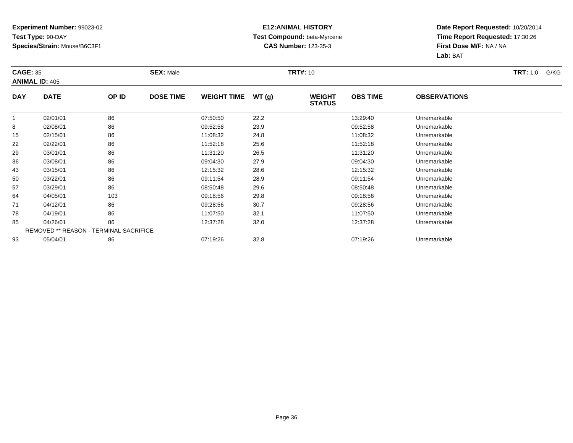### **E12:ANIMAL HISTORY Test Compound:** beta-Myrcene**CAS Number:** 123-35-3

| <b>CAGE: 35</b> | <b>ANIMAL ID: 405</b>                         |       | <b>SEX: Male</b> |                    |       | <b>TRT#: 10</b>                |                 |                     | <b>TRT:</b> 1.0<br>G/KG |
|-----------------|-----------------------------------------------|-------|------------------|--------------------|-------|--------------------------------|-----------------|---------------------|-------------------------|
| <b>DAY</b>      | <b>DATE</b>                                   | OP ID | <b>DOSE TIME</b> | <b>WEIGHT TIME</b> | WT(g) | <b>WEIGHT</b><br><b>STATUS</b> | <b>OBS TIME</b> | <b>OBSERVATIONS</b> |                         |
| 1               | 02/01/01                                      | 86    |                  | 07:50:50           | 22.2  |                                | 13:29:40        | Unremarkable        |                         |
| 8               | 02/08/01                                      | 86    |                  | 09:52:58           | 23.9  |                                | 09:52:58        | Unremarkable        |                         |
| 15              | 02/15/01                                      | 86    |                  | 11:08:32           | 24.8  |                                | 11:08:32        | Unremarkable        |                         |
| 22              | 02/22/01                                      | 86    |                  | 11:52:18           | 25.6  |                                | 11:52:18        | Unremarkable        |                         |
| 29              | 03/01/01                                      | 86    |                  | 11:31:20           | 26.5  |                                | 11:31:20        | Unremarkable        |                         |
| 36              | 03/08/01                                      | 86    |                  | 09:04:30           | 27.9  |                                | 09:04:30        | Unremarkable        |                         |
| 43              | 03/15/01                                      | 86    |                  | 12:15:32           | 28.6  |                                | 12:15:32        | Unremarkable        |                         |
| 50              | 03/22/01                                      | 86    |                  | 09:11:54           | 28.9  |                                | 09:11:54        | Unremarkable        |                         |
| 57              | 03/29/01                                      | 86    |                  | 08:50:48           | 29.6  |                                | 08:50:48        | Unremarkable        |                         |
| 64              | 04/05/01                                      | 103   |                  | 09:18:56           | 29.8  |                                | 09:18:56        | Unremarkable        |                         |
| 71              | 04/12/01                                      | 86    |                  | 09:28:56           | 30.7  |                                | 09:28:56        | Unremarkable        |                         |
| 78              | 04/19/01                                      | 86    |                  | 11:07:50           | 32.1  |                                | 11:07:50        | Unremarkable        |                         |
| 85              | 04/26/01                                      | 86    |                  | 12:37:28           | 32.0  |                                | 12:37:28        | Unremarkable        |                         |
|                 | <b>REMOVED ** REASON - TERMINAL SACRIFICE</b> |       |                  |                    |       |                                |                 |                     |                         |
| 93              | 05/04/01                                      | 86    |                  | 07:19:26           | 32.8  |                                | 07:19:26        | Unremarkable        |                         |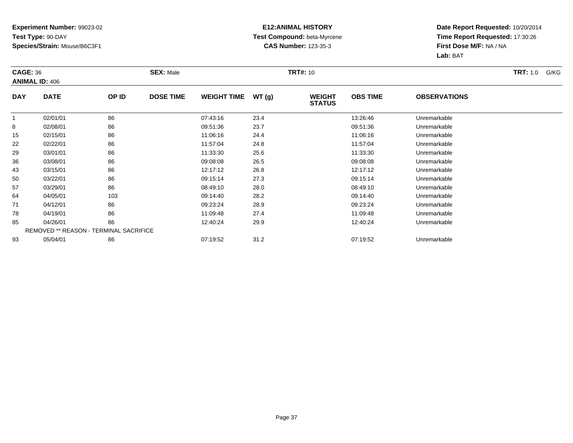### **E12:ANIMAL HISTORY Test Compound:** beta-Myrcene**CAS Number:** 123-35-3

| <b>CAGE: 36</b> | <b>ANIMAL ID: 406</b>                         |       | <b>SEX: Male</b> |                    |       | <b>TRT#: 10</b>                |                 |                     | <b>TRT:</b> 1.0<br>G/KG |
|-----------------|-----------------------------------------------|-------|------------------|--------------------|-------|--------------------------------|-----------------|---------------------|-------------------------|
| <b>DAY</b>      | <b>DATE</b>                                   | OP ID | <b>DOSE TIME</b> | <b>WEIGHT TIME</b> | WT(g) | <b>WEIGHT</b><br><b>STATUS</b> | <b>OBS TIME</b> | <b>OBSERVATIONS</b> |                         |
| -1              | 02/01/01                                      | 86    |                  | 07:43:16           | 23.4  |                                | 13:26:46        | Unremarkable        |                         |
| 8               | 02/08/01                                      | 86    |                  | 09:51:36           | 23.7  |                                | 09:51:36        | Unremarkable        |                         |
| 15              | 02/15/01                                      | 86    |                  | 11:06:16           | 24.4  |                                | 11:06:16        | Unremarkable        |                         |
| 22              | 02/22/01                                      | 86    |                  | 11:57:04           | 24.8  |                                | 11:57:04        | Unremarkable        |                         |
| 29              | 03/01/01                                      | 86    |                  | 11:33:30           | 25.6  |                                | 11:33:30        | Unremarkable        |                         |
| 36              | 03/08/01                                      | 86    |                  | 09:08:08           | 26.5  |                                | 09:08:08        | Unremarkable        |                         |
| 43              | 03/15/01                                      | 86    |                  | 12:17:12           | 26.8  |                                | 12:17:12        | Unremarkable        |                         |
| 50              | 03/22/01                                      | 86    |                  | 09:15:14           | 27.3  |                                | 09:15:14        | Unremarkable        |                         |
| 57              | 03/29/01                                      | 86    |                  | 08:49:10           | 28.0  |                                | 08:49:10        | Unremarkable        |                         |
| 64              | 04/05/01                                      | 103   |                  | 09:14:40           | 28.2  |                                | 09:14:40        | Unremarkable        |                         |
| 71              | 04/12/01                                      | 86    |                  | 09:23:24           | 28.9  |                                | 09:23:24        | Unremarkable        |                         |
| 78              | 04/19/01                                      | 86    |                  | 11:09:48           | 27.4  |                                | 11:09:48        | Unremarkable        |                         |
| 85              | 04/26/01                                      | 86    |                  | 12:40:24           | 29.9  |                                | 12:40:24        | Unremarkable        |                         |
|                 | <b>REMOVED ** REASON - TERMINAL SACRIFICE</b> |       |                  |                    |       |                                |                 |                     |                         |
| 93              | 05/04/01                                      | 86    |                  | 07:19:52           | 31.2  |                                | 07:19:52        | Unremarkable        |                         |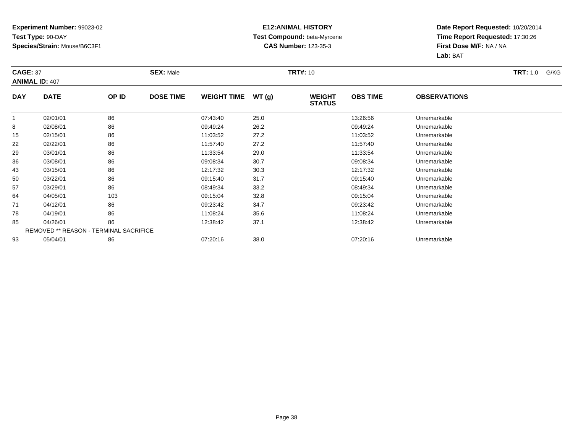### **E12:ANIMAL HISTORY Test Compound:** beta-Myrcene**CAS Number:** 123-35-3

| <b>CAGE: 37</b> | <b>ANIMAL ID: 407</b>                         |       | <b>SEX: Male</b> |                    |       | <b>TRT#: 10</b>                |                 |                     | <b>TRT:</b> 1.0<br>G/KG |
|-----------------|-----------------------------------------------|-------|------------------|--------------------|-------|--------------------------------|-----------------|---------------------|-------------------------|
| <b>DAY</b>      | <b>DATE</b>                                   | OP ID | <b>DOSE TIME</b> | <b>WEIGHT TIME</b> | WT(g) | <b>WEIGHT</b><br><b>STATUS</b> | <b>OBS TIME</b> | <b>OBSERVATIONS</b> |                         |
| -1              | 02/01/01                                      | 86    |                  | 07:43:40           | 25.0  |                                | 13:26:56        | Unremarkable        |                         |
| 8               | 02/08/01                                      | 86    |                  | 09:49:24           | 26.2  |                                | 09:49:24        | Unremarkable        |                         |
| 15              | 02/15/01                                      | 86    |                  | 11:03:52           | 27.2  |                                | 11:03:52        | Unremarkable        |                         |
| 22              | 02/22/01                                      | 86    |                  | 11:57:40           | 27.2  |                                | 11:57:40        | Unremarkable        |                         |
| 29              | 03/01/01                                      | 86    |                  | 11:33:54           | 29.0  |                                | 11:33:54        | Unremarkable        |                         |
| 36              | 03/08/01                                      | 86    |                  | 09:08:34           | 30.7  |                                | 09:08:34        | Unremarkable        |                         |
| 43              | 03/15/01                                      | 86    |                  | 12:17:32           | 30.3  |                                | 12:17:32        | Unremarkable        |                         |
| 50              | 03/22/01                                      | 86    |                  | 09:15:40           | 31.7  |                                | 09:15:40        | Unremarkable        |                         |
| 57              | 03/29/01                                      | 86    |                  | 08:49:34           | 33.2  |                                | 08:49:34        | Unremarkable        |                         |
| 64              | 04/05/01                                      | 103   |                  | 09:15:04           | 32.8  |                                | 09:15:04        | Unremarkable        |                         |
| 71              | 04/12/01                                      | 86    |                  | 09:23:42           | 34.7  |                                | 09:23:42        | Unremarkable        |                         |
| 78              | 04/19/01                                      | 86    |                  | 11:08:24           | 35.6  |                                | 11:08:24        | Unremarkable        |                         |
| 85              | 04/26/01                                      | 86    |                  | 12:38:42           | 37.1  |                                | 12:38:42        | Unremarkable        |                         |
|                 | <b>REMOVED ** REASON - TERMINAL SACRIFICE</b> |       |                  |                    |       |                                |                 |                     |                         |
| 93              | 05/04/01                                      | 86    |                  | 07:20:16           | 38.0  |                                | 07:20:16        | Unremarkable        |                         |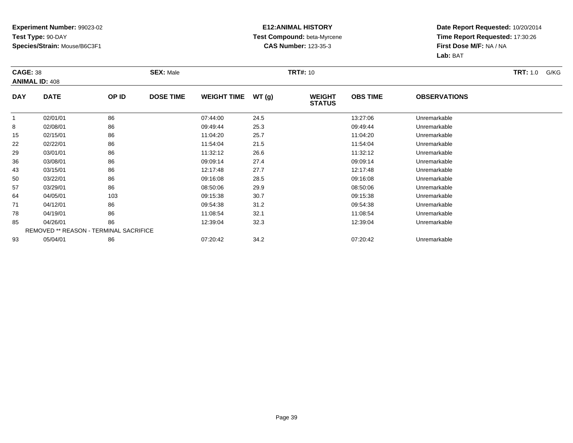### **E12:ANIMAL HISTORY Test Compound:** beta-Myrcene**CAS Number:** 123-35-3

| <b>CAGE: 38</b> | <b>ANIMAL ID: 408</b>                         |       | <b>SEX: Male</b> |                    |       | <b>TRT#: 10</b>                |                 |                     | <b>TRT:</b> 1.0<br>G/KG |
|-----------------|-----------------------------------------------|-------|------------------|--------------------|-------|--------------------------------|-----------------|---------------------|-------------------------|
| <b>DAY</b>      | <b>DATE</b>                                   | OP ID | <b>DOSE TIME</b> | <b>WEIGHT TIME</b> | WT(g) | <b>WEIGHT</b><br><b>STATUS</b> | <b>OBS TIME</b> | <b>OBSERVATIONS</b> |                         |
|                 | 02/01/01                                      | 86    |                  | 07:44:00           | 24.5  |                                | 13:27:06        | Unremarkable        |                         |
| 8               | 02/08/01                                      | 86    |                  | 09:49:44           | 25.3  |                                | 09:49:44        | Unremarkable        |                         |
| 15              | 02/15/01                                      | 86    |                  | 11:04:20           | 25.7  |                                | 11:04:20        | Unremarkable        |                         |
| 22              | 02/22/01                                      | 86    |                  | 11:54:04           | 21.5  |                                | 11:54:04        | Unremarkable        |                         |
| 29              | 03/01/01                                      | 86    |                  | 11:32:12           | 26.6  |                                | 11:32:12        | Unremarkable        |                         |
| 36              | 03/08/01                                      | 86    |                  | 09:09:14           | 27.4  |                                | 09:09:14        | Unremarkable        |                         |
| 43              | 03/15/01                                      | 86    |                  | 12:17:48           | 27.7  |                                | 12:17:48        | Unremarkable        |                         |
| 50              | 03/22/01                                      | 86    |                  | 09:16:08           | 28.5  |                                | 09:16:08        | Unremarkable        |                         |
| 57              | 03/29/01                                      | 86    |                  | 08:50:06           | 29.9  |                                | 08:50:06        | Unremarkable        |                         |
| 64              | 04/05/01                                      | 103   |                  | 09:15:38           | 30.7  |                                | 09:15:38        | Unremarkable        |                         |
| 71              | 04/12/01                                      | 86    |                  | 09:54:38           | 31.2  |                                | 09:54:38        | Unremarkable        |                         |
| 78              | 04/19/01                                      | 86    |                  | 11:08:54           | 32.1  |                                | 11:08:54        | Unremarkable        |                         |
| 85              | 04/26/01                                      | 86    |                  | 12:39:04           | 32.3  |                                | 12:39:04        | Unremarkable        |                         |
|                 | <b>REMOVED ** REASON - TERMINAL SACRIFICE</b> |       |                  |                    |       |                                |                 |                     |                         |
| 93              | 05/04/01                                      | 86    |                  | 07:20:42           | 34.2  |                                | 07:20:42        | Unremarkable        |                         |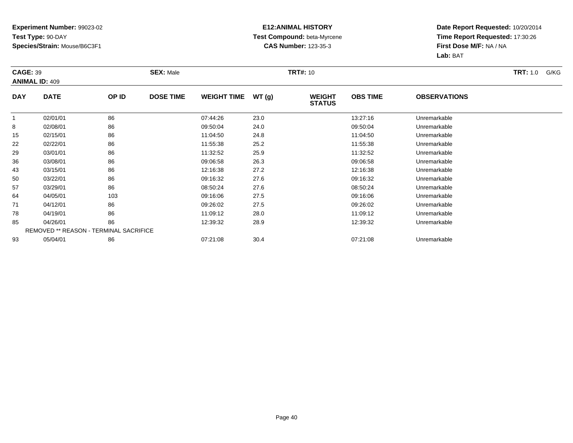### **E12:ANIMAL HISTORY Test Compound:** beta-Myrcene**CAS Number:** 123-35-3

| <b>CAGE: 39</b> | <b>ANIMAL ID: 409</b>                         |       | <b>SEX: Male</b> |                    |       | <b>TRT#: 10</b>                |                 |                     | <b>TRT:</b> 1.0<br>G/KG |
|-----------------|-----------------------------------------------|-------|------------------|--------------------|-------|--------------------------------|-----------------|---------------------|-------------------------|
| <b>DAY</b>      | <b>DATE</b>                                   | OP ID | <b>DOSE TIME</b> | <b>WEIGHT TIME</b> | WT(g) | <b>WEIGHT</b><br><b>STATUS</b> | <b>OBS TIME</b> | <b>OBSERVATIONS</b> |                         |
|                 | 02/01/01                                      | 86    |                  | 07:44:26           | 23.0  |                                | 13:27:16        | Unremarkable        |                         |
| 8               | 02/08/01                                      | 86    |                  | 09:50:04           | 24.0  |                                | 09:50:04        | Unremarkable        |                         |
| 15              | 02/15/01                                      | 86    |                  | 11:04:50           | 24.8  |                                | 11:04:50        | Unremarkable        |                         |
| 22              | 02/22/01                                      | 86    |                  | 11:55:38           | 25.2  |                                | 11:55:38        | Unremarkable        |                         |
| 29              | 03/01/01                                      | 86    |                  | 11:32:52           | 25.9  |                                | 11:32:52        | Unremarkable        |                         |
| 36              | 03/08/01                                      | 86    |                  | 09:06:58           | 26.3  |                                | 09:06:58        | Unremarkable        |                         |
| 43              | 03/15/01                                      | 86    |                  | 12:16:38           | 27.2  |                                | 12:16:38        | Unremarkable        |                         |
| 50              | 03/22/01                                      | 86    |                  | 09:16:32           | 27.6  |                                | 09:16:32        | Unremarkable        |                         |
| 57              | 03/29/01                                      | 86    |                  | 08:50:24           | 27.6  |                                | 08:50:24        | Unremarkable        |                         |
| 64              | 04/05/01                                      | 103   |                  | 09:16:06           | 27.5  |                                | 09:16:06        | Unremarkable        |                         |
| 71              | 04/12/01                                      | 86    |                  | 09:26:02           | 27.5  |                                | 09:26:02        | Unremarkable        |                         |
| 78              | 04/19/01                                      | 86    |                  | 11:09:12           | 28.0  |                                | 11:09:12        | Unremarkable        |                         |
| 85              | 04/26/01                                      | 86    |                  | 12:39:32           | 28.9  |                                | 12:39:32        | Unremarkable        |                         |
|                 | <b>REMOVED ** REASON - TERMINAL SACRIFICE</b> |       |                  |                    |       |                                |                 |                     |                         |
| 93              | 05/04/01                                      | 86    |                  | 07:21:08           | 30.4  |                                | 07:21:08        | Unremarkable        |                         |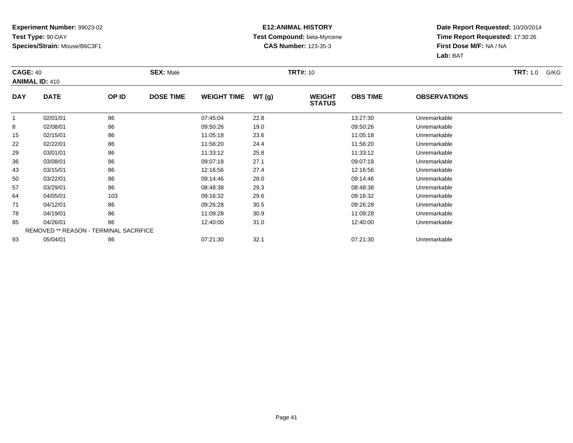### **E12:ANIMAL HISTORY Test Compound:** beta-Myrcene**CAS Number:** 123-35-3

| <b>CAGE: 40</b> | <b>ANIMAL ID: 410</b>                         |       | <b>SEX: Male</b> |                    |       | <b>TRT#: 10</b>                |                 |                     | <b>TRT:</b> 1.0<br>G/KG |
|-----------------|-----------------------------------------------|-------|------------------|--------------------|-------|--------------------------------|-----------------|---------------------|-------------------------|
| <b>DAY</b>      | <b>DATE</b>                                   | OP ID | <b>DOSE TIME</b> | <b>WEIGHT TIME</b> | WT(g) | <b>WEIGHT</b><br><b>STATUS</b> | <b>OBS TIME</b> | <b>OBSERVATIONS</b> |                         |
| 1               | 02/01/01                                      | 86    |                  | 07:45:04           | 22.8  |                                | 13:27:30        | Unremarkable        |                         |
| 8               | 02/08/01                                      | 86    |                  | 09:50:26           | 19.0  |                                | 09:50:26        | Unremarkable        |                         |
| 15              | 02/15/01                                      | 86    |                  | 11:05:18           | 23.6  |                                | 11:05:18        | Unremarkable        |                         |
| 22              | 02/22/01                                      | 86    |                  | 11:56:20           | 24.4  |                                | 11:56:20        | Unremarkable        |                         |
| 29              | 03/01/01                                      | 86    |                  | 11:33:12           | 25.8  |                                | 11:33:12        | Unremarkable        |                         |
| 36              | 03/08/01                                      | 86    |                  | 09:07:18           | 27.1  |                                | 09:07:18        | Unremarkable        |                         |
| 43              | 03/15/01                                      | 86    |                  | 12:16:56           | 27.4  |                                | 12:16:56        | Unremarkable        |                         |
| 50              | 03/22/01                                      | 86    |                  | 09:14:46           | 28.0  |                                | 09:14:46        | Unremarkable        |                         |
| 57              | 03/29/01                                      | 86    |                  | 08:48:38           | 29.3  |                                | 08:48:38        | Unremarkable        |                         |
| 64              | 04/05/01                                      | 103   |                  | 09:16:32           | 29.6  |                                | 09:16:32        | Unremarkable        |                         |
| 71              | 04/12/01                                      | 86    |                  | 09:26:28           | 30.5  |                                | 09:26:28        | Unremarkable        |                         |
| 78              | 04/19/01                                      | 86    |                  | 11:09:28           | 30.9  |                                | 11:09:28        | Unremarkable        |                         |
| 85              | 04/26/01                                      | 86    |                  | 12:40:00           | 31.0  |                                | 12:40:00        | Unremarkable        |                         |
|                 | <b>REMOVED ** REASON - TERMINAL SACRIFICE</b> |       |                  |                    |       |                                |                 |                     |                         |
| 93              | 05/04/01                                      | 86    |                  | 07:21:30           | 32.1  |                                | 07:21:30        | Unremarkable        |                         |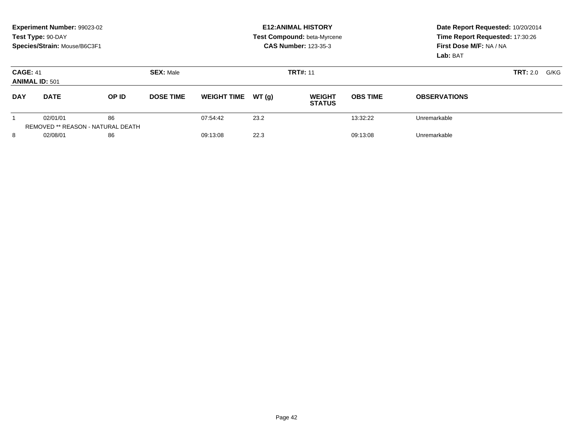|                                          | <b>Experiment Number: 99023-02</b><br>Test Type: 90-DAY<br>Species/Strain: Mouse/B6C3F1 |                                                |                  |                    |       | <b>E12: ANIMAL HISTORY</b><br>Test Compound: beta-Myrcene<br><b>CAS Number: 123-35-3</b> | Date Report Requested: 10/20/2014<br>Time Report Requested: 17:30:26<br>First Dose M/F: NA / NA<br>Lab: BAT |                     |                  |
|------------------------------------------|-----------------------------------------------------------------------------------------|------------------------------------------------|------------------|--------------------|-------|------------------------------------------------------------------------------------------|-------------------------------------------------------------------------------------------------------------|---------------------|------------------|
| <b>CAGE: 41</b><br><b>ANIMAL ID: 501</b> |                                                                                         |                                                | <b>SEX: Male</b> |                    |       | <b>TRT#: 11</b>                                                                          |                                                                                                             |                     | TRT: 2.0<br>G/KG |
| <b>DAY</b>                               | <b>DATE</b>                                                                             | OP ID                                          | <b>DOSE TIME</b> | <b>WEIGHT TIME</b> | WT(q) | <b>WEIGHT</b><br><b>STATUS</b>                                                           | <b>OBS TIME</b>                                                                                             | <b>OBSERVATIONS</b> |                  |
|                                          | 02/01/01                                                                                | 86<br><b>REMOVED ** REASON - NATURAL DEATH</b> |                  | 07:54:42           | 23.2  |                                                                                          | 13:32:22                                                                                                    | Unremarkable        |                  |
| 8                                        | 02/08/01                                                                                | 86                                             |                  | 09:13:08           | 22.3  |                                                                                          | 09:13:08                                                                                                    | Unremarkable        |                  |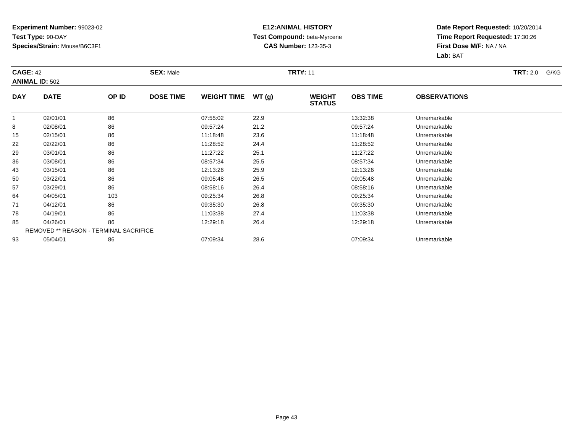### **E12:ANIMAL HISTORY Test Compound:** beta-Myrcene**CAS Number:** 123-35-3

| <b>CAGE: 42</b> | <b>ANIMAL ID: 502</b>                         |       | <b>SEX: Male</b> |                    |       | <b>TRT#: 11</b>                |                 |                     | <b>TRT:</b> 2.0<br>G/KG |
|-----------------|-----------------------------------------------|-------|------------------|--------------------|-------|--------------------------------|-----------------|---------------------|-------------------------|
| <b>DAY</b>      | <b>DATE</b>                                   | OP ID | <b>DOSE TIME</b> | <b>WEIGHT TIME</b> | WT(g) | <b>WEIGHT</b><br><b>STATUS</b> | <b>OBS TIME</b> | <b>OBSERVATIONS</b> |                         |
|                 | 02/01/01                                      | 86    |                  | 07:55:02           | 22.9  |                                | 13:32:38        | Unremarkable        |                         |
| 8               | 02/08/01                                      | 86    |                  | 09:57:24           | 21.2  |                                | 09:57:24        | Unremarkable        |                         |
| 15              | 02/15/01                                      | 86    |                  | 11:18:48           | 23.6  |                                | 11:18:48        | Unremarkable        |                         |
| 22              | 02/22/01                                      | 86    |                  | 11:28:52           | 24.4  |                                | 11:28:52        | Unremarkable        |                         |
| 29              | 03/01/01                                      | 86    |                  | 11:27:22           | 25.1  |                                | 11:27:22        | Unremarkable        |                         |
| 36              | 03/08/01                                      | 86    |                  | 08:57:34           | 25.5  |                                | 08:57:34        | Unremarkable        |                         |
| 43              | 03/15/01                                      | 86    |                  | 12:13:26           | 25.9  |                                | 12:13:26        | Unremarkable        |                         |
| 50              | 03/22/01                                      | 86    |                  | 09:05:48           | 26.5  |                                | 09:05:48        | Unremarkable        |                         |
| 57              | 03/29/01                                      | 86    |                  | 08:58:16           | 26.4  |                                | 08:58:16        | Unremarkable        |                         |
| 64              | 04/05/01                                      | 103   |                  | 09:25:34           | 26.8  |                                | 09:25:34        | Unremarkable        |                         |
| 71              | 04/12/01                                      | 86    |                  | 09:35:30           | 26.8  |                                | 09:35:30        | Unremarkable        |                         |
| 78              | 04/19/01                                      | 86    |                  | 11:03:38           | 27.4  |                                | 11:03:38        | Unremarkable        |                         |
| 85              | 04/26/01                                      | 86    |                  | 12:29:18           | 26.4  |                                | 12:29:18        | Unremarkable        |                         |
|                 | <b>REMOVED ** REASON - TERMINAL SACRIFICE</b> |       |                  |                    |       |                                |                 |                     |                         |
| 93              | 05/04/01                                      | 86    |                  | 07:09:34           | 28.6  |                                | 07:09:34        | Unremarkable        |                         |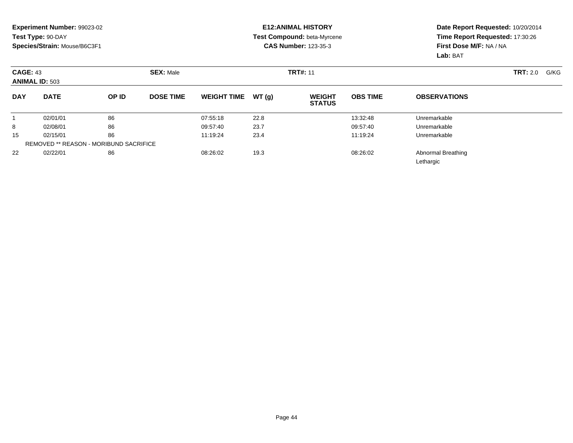### **E12:ANIMAL HISTORY Test Compound:** beta-Myrcene**CAS Number:** 123-35-3

| <b>CAGE: 43</b><br><b>ANIMAL ID: 503</b> |                                               |       | <b>SEX: Male</b> |                    |       | <b>TRT#: 11</b>                |                 |                                 | <b>TRT:</b> 2.0<br>G/KG |
|------------------------------------------|-----------------------------------------------|-------|------------------|--------------------|-------|--------------------------------|-----------------|---------------------------------|-------------------------|
| <b>DAY</b>                               | <b>DATE</b>                                   | OP ID | <b>DOSE TIME</b> | <b>WEIGHT TIME</b> | WT(g) | <b>WEIGHT</b><br><b>STATUS</b> | <b>OBS TIME</b> | <b>OBSERVATIONS</b>             |                         |
|                                          | 02/01/01                                      | 86    |                  | 07:55:18           | 22.8  |                                | 13:32:48        | Unremarkable                    |                         |
| 8                                        | 02/08/01                                      | 86    |                  | 09:57:40           | 23.7  |                                | 09:57:40        | Unremarkable                    |                         |
| 15                                       | 02/15/01                                      | 86    |                  | 11:19:24           | 23.4  |                                | 11:19:24        | Unremarkable                    |                         |
|                                          | <b>REMOVED ** REASON - MORIBUND SACRIFICE</b> |       |                  |                    |       |                                |                 |                                 |                         |
| 22                                       | 02/22/01                                      | 86    |                  | 08:26:02           | 19.3  |                                | 08:26:02        | Abnormal Breathing<br>Lethargic |                         |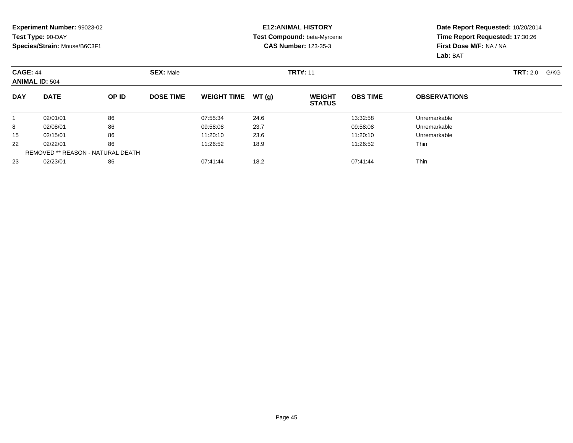### **E12:ANIMAL HISTORY Test Compound:** beta-Myrcene**CAS Number:** 123-35-3

|            | <b>CAGE: 44</b><br><b>ANIMAL ID: 504</b><br><b>DATE</b> |                                          | <b>SEX: Male</b> |                    |       | <b>TRT#: 11</b>                |                 | <b>TRT:</b> 2.0<br>G/KG |  |
|------------|---------------------------------------------------------|------------------------------------------|------------------|--------------------|-------|--------------------------------|-----------------|-------------------------|--|
| <b>DAY</b> |                                                         | OP ID                                    | <b>DOSE TIME</b> | <b>WEIGHT TIME</b> | WT(q) | <b>WEIGHT</b><br><b>STATUS</b> | <b>OBS TIME</b> | <b>OBSERVATIONS</b>     |  |
|            | 02/01/01                                                | 86                                       |                  | 07:55:34           | 24.6  |                                | 13:32:58        | Unremarkable            |  |
| 8          | 02/08/01                                                | 86                                       |                  | 09:58:08           | 23.7  |                                | 09:58:08        | Unremarkable            |  |
| 15         | 02/15/01                                                | 86                                       |                  | 11:20:10           | 23.6  |                                | 11:20:10        | Unremarkable            |  |
| 22         | 02/22/01                                                | 86                                       |                  | 11:26:52           | 18.9  |                                | 11:26:52        | <b>Thin</b>             |  |
|            |                                                         | <b>REMOVED ** REASON - NATURAL DEATH</b> |                  |                    |       |                                |                 |                         |  |
| 23         | 02/23/01                                                | 86                                       |                  | 07:41:44           | 18.2  |                                | 07:41:44        | <b>Thin</b>             |  |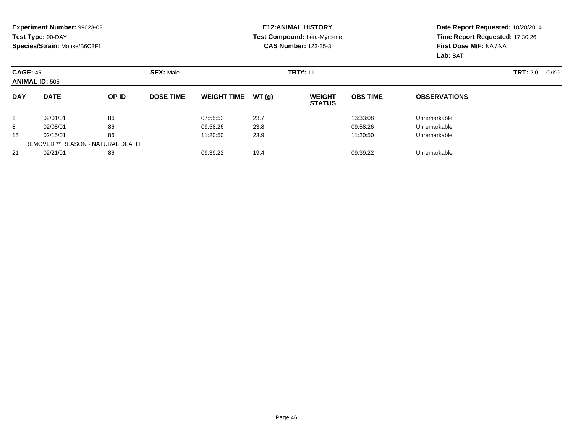### **E12:ANIMAL HISTORY Test Compound:** beta-Myrcene**CAS Number:** 123-35-3

|            | <b>CAGE: 45</b><br><b>ANIMAL ID: 505</b> |       | <b>SEX: Male</b> |                    |       | <b>TRT#: 11</b>                |                 | <b>TRT:</b> 2.0<br>G/KG |  |
|------------|------------------------------------------|-------|------------------|--------------------|-------|--------------------------------|-----------------|-------------------------|--|
| <b>DAY</b> | <b>DATE</b>                              | OP ID | <b>DOSE TIME</b> | <b>WEIGHT TIME</b> | WT(g) | <b>WEIGHT</b><br><b>STATUS</b> | <b>OBS TIME</b> | <b>OBSERVATIONS</b>     |  |
|            | 02/01/01                                 | 86    |                  | 07:55:52           | 23.7  |                                | 13:33:08        | Unremarkable            |  |
| 8          | 02/08/01                                 | 86    |                  | 09:58:26           | 23.8  |                                | 09:58:26        | Unremarkable            |  |
| 15         | 02/15/01                                 | 86    |                  | 11:20:50           | 23.9  |                                | 11:20:50        | Unremarkable            |  |
|            | REMOVED ** REASON - NATURAL DEATH        |       |                  |                    |       |                                |                 |                         |  |
| 21         | 02/21/01                                 | 86    |                  | 09:39:22           | 19.4  |                                | 09:39:22        | Unremarkable            |  |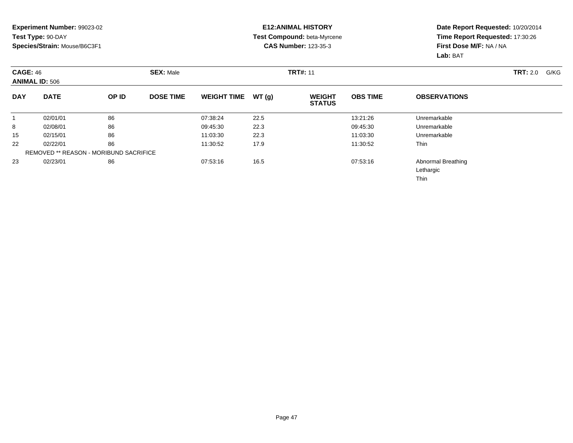### **E12:ANIMAL HISTORY Test Compound:** beta-Myrcene**CAS Number:** 123-35-3

| <b>CAGE: 46</b> | <b>ANIMAL ID: 506</b> |                                               | <b>SEX: Male</b> |                    |       | <b>TRT#: 11</b>                |                 |                                         | <b>TRT: 2.0</b><br>G/KG |
|-----------------|-----------------------|-----------------------------------------------|------------------|--------------------|-------|--------------------------------|-----------------|-----------------------------------------|-------------------------|
| <b>DAY</b>      | <b>DATE</b>           | OP ID                                         | <b>DOSE TIME</b> | <b>WEIGHT TIME</b> | WT(g) | <b>WEIGHT</b><br><b>STATUS</b> | <b>OBS TIME</b> | <b>OBSERVATIONS</b>                     |                         |
|                 | 02/01/01              | 86                                            |                  | 07:38:24           | 22.5  |                                | 13:21:26        | Unremarkable                            |                         |
| 8               | 02/08/01              | 86                                            |                  | 09:45:30           | 22.3  |                                | 09:45:30        | Unremarkable                            |                         |
| 15              | 02/15/01              | 86                                            |                  | 11:03:30           | 22.3  |                                | 11:03:30        | Unremarkable                            |                         |
| 22              | 02/22/01              | 86                                            |                  | 11:30:52           | 17.9  |                                | 11:30:52        | <b>Thin</b>                             |                         |
|                 |                       | <b>REMOVED ** REASON - MORIBUND SACRIFICE</b> |                  |                    |       |                                |                 |                                         |                         |
| 23              | 02/23/01              | 86                                            |                  | 07:53:16           | 16.5  |                                | 07:53:16        | Abnormal Breathing<br>Lethargic<br>Thin |                         |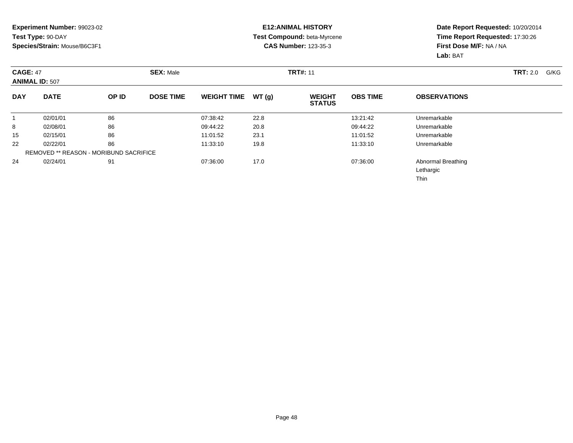### **E12:ANIMAL HISTORY Test Compound:** beta-Myrcene**CAS Number:** 123-35-3

| <b>CAGE: 47</b> | <b>ANIMAL ID: 507</b> |                                               | <b>SEX: Male</b> |                    |       | <b>TRT#: 11</b>                |                 |                                         | <b>TRT:</b> 2.0<br>G/KG |
|-----------------|-----------------------|-----------------------------------------------|------------------|--------------------|-------|--------------------------------|-----------------|-----------------------------------------|-------------------------|
| <b>DAY</b>      | <b>DATE</b>           | OP ID                                         | <b>DOSE TIME</b> | <b>WEIGHT TIME</b> | WT(g) | <b>WEIGHT</b><br><b>STATUS</b> | <b>OBS TIME</b> | <b>OBSERVATIONS</b>                     |                         |
|                 | 02/01/01              | 86                                            |                  | 07:38:42           | 22.8  |                                | 13:21:42        | Unremarkable                            |                         |
| 8               | 02/08/01              | 86                                            |                  | 09:44:22           | 20.8  |                                | 09:44:22        | Unremarkable                            |                         |
| 15              | 02/15/01              | 86                                            |                  | 11:01:52           | 23.1  |                                | 11:01:52        | Unremarkable                            |                         |
| 22              | 02/22/01              | 86                                            |                  | 11:33:10           | 19.8  |                                | 11:33:10        | Unremarkable                            |                         |
|                 |                       | <b>REMOVED ** REASON - MORIBUND SACRIFICE</b> |                  |                    |       |                                |                 |                                         |                         |
| 24              | 02/24/01              | 91                                            |                  | 07:36:00           | 17.0  |                                | 07:36:00        | Abnormal Breathing<br>Lethargic<br>Thin |                         |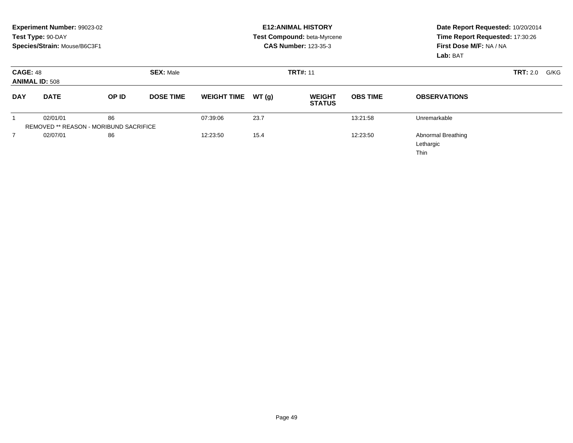|                 | Experiment Number: 99023-02<br>Test Type: 90-DAY<br>Species/Strain: Mouse/B6C3F1 |       |                  |                    |       | <b>E12: ANIMAL HISTORY</b><br>Test Compound: beta-Myrcene<br><b>CAS Number: 123-35-3</b> | Date Report Requested: 10/20/2014<br>Time Report Requested: 17:30:26<br>First Dose M/F: NA / NA<br>Lab: BAT |                                                       |                         |
|-----------------|----------------------------------------------------------------------------------|-------|------------------|--------------------|-------|------------------------------------------------------------------------------------------|-------------------------------------------------------------------------------------------------------------|-------------------------------------------------------|-------------------------|
| <b>CAGE: 48</b> | <b>ANIMAL ID: 508</b>                                                            |       | <b>SEX: Male</b> |                    |       | <b>TRT#: 11</b>                                                                          |                                                                                                             |                                                       | <b>TRT: 2.0</b><br>G/KG |
| <b>DAY</b>      | <b>DATE</b>                                                                      | OP ID | <b>DOSE TIME</b> | <b>WEIGHT TIME</b> | WT(g) | <b>WEIGHT</b><br><b>STATUS</b>                                                           | <b>OBS TIME</b>                                                                                             | <b>OBSERVATIONS</b>                                   |                         |
|                 | 02/01/01                                                                         | 86    |                  | 07:39:06           | 23.7  |                                                                                          | 13:21:58                                                                                                    | Unremarkable                                          |                         |
|                 | REMOVED ** REASON - MORIBUND SACRIFICE                                           |       |                  |                    |       |                                                                                          |                                                                                                             |                                                       |                         |
|                 | 02/07/01                                                                         | 86    |                  | 12:23:50           | 15.4  |                                                                                          | 12:23:50                                                                                                    | <b>Abnormal Breathing</b><br>Lethargic<br><b>Thin</b> |                         |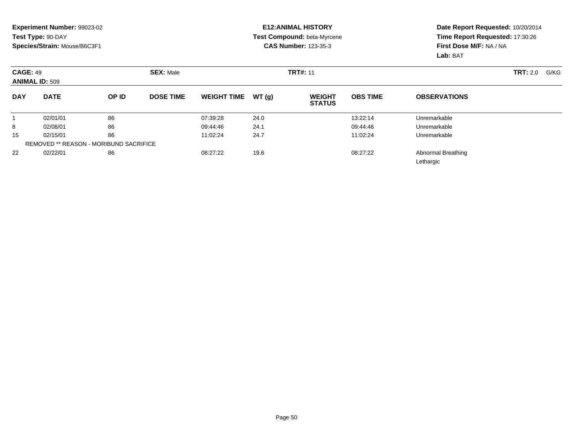### **E12:ANIMAL HISTORY Test Compound:** beta-Myrcene**CAS Number:** 123-35-3

|            | <b>CAGE: 49</b><br><b>ANIMAL ID: 509</b>      |       | <b>SEX: Male</b> |                    |       | <b>TRT#: 11</b>                |                 | <b>TRT:</b> 2.0<br>G/KG         |  |
|------------|-----------------------------------------------|-------|------------------|--------------------|-------|--------------------------------|-----------------|---------------------------------|--|
| <b>DAY</b> | <b>DATE</b>                                   | OP ID | <b>DOSE TIME</b> | <b>WEIGHT TIME</b> | WT(g) | <b>WEIGHT</b><br><b>STATUS</b> | <b>OBS TIME</b> | <b>OBSERVATIONS</b>             |  |
|            | 02/01/01                                      | 86    |                  | 07:39:28           | 24.0  |                                | 13:22:14        | Unremarkable                    |  |
| 8          | 02/08/01                                      | 86    |                  | 09:44:46           | 24.1  |                                | 09:44:46        | Unremarkable                    |  |
| 15         | 02/15/01                                      | 86    |                  | 11:02:24           | 24.7  |                                | 11:02:24        | Unremarkable                    |  |
|            | <b>REMOVED ** REASON - MORIBUND SACRIFICE</b> |       |                  |                    |       |                                |                 |                                 |  |
| 22         | 02/22/01                                      | 86    |                  | 08:27:22           | 19.6  |                                | 08:27:22        | Abnormal Breathing<br>Lethargic |  |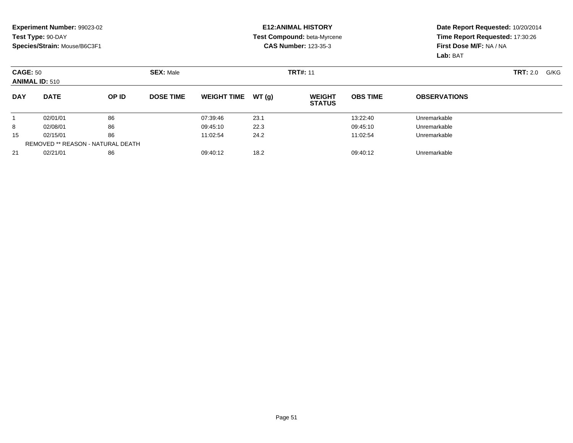### **E12:ANIMAL HISTORY Test Compound:** beta-Myrcene**CAS Number:** 123-35-3

|            | <b>CAGE: 50</b><br><b>ANIMAL ID: 510</b> |       | <b>SEX: Male</b> |                    |       | <b>TRT#: 11</b>                |                 | <b>TRT:</b> 2.0<br>G/KG |  |
|------------|------------------------------------------|-------|------------------|--------------------|-------|--------------------------------|-----------------|-------------------------|--|
| <b>DAY</b> | <b>DATE</b>                              | OP ID | <b>DOSE TIME</b> | <b>WEIGHT TIME</b> | WT(g) | <b>WEIGHT</b><br><b>STATUS</b> | <b>OBS TIME</b> | <b>OBSERVATIONS</b>     |  |
|            | 02/01/01                                 | 86    |                  | 07:39:46           | 23.1  |                                | 13:22:40        | Unremarkable            |  |
| 8          | 02/08/01                                 | 86    |                  | 09:45:10           | 22.3  |                                | 09:45:10        | Unremarkable            |  |
| 15         | 02/15/01                                 | 86    |                  | 11:02:54           | 24.2  |                                | 11:02:54        | Unremarkable            |  |
|            | REMOVED ** REASON - NATURAL DEATH        |       |                  |                    |       |                                |                 |                         |  |
| 21         | 02/21/01                                 | 86    |                  | 09:40:12           | 18.2  |                                | 09:40:12        | Unremarkable            |  |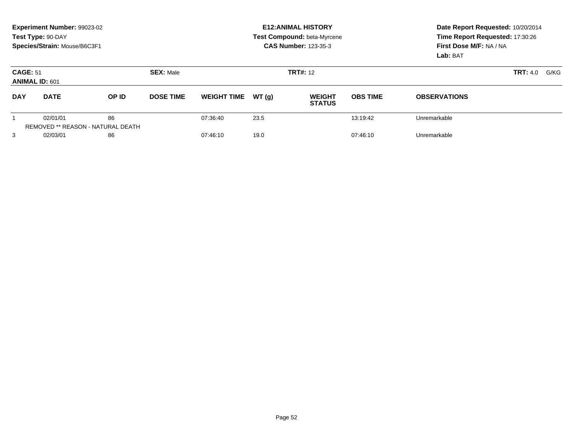|                 | Experiment Number: 99023-02<br>Test Type: 90-DAY<br>Species/Strain: Mouse/B6C3F1 |                                                |                  |                    |       | <b>E12: ANIMAL HISTORY</b><br>Test Compound: beta-Myrcene<br><b>CAS Number: 123-35-3</b> | Date Report Requested: 10/20/2014<br>Time Report Requested: 17:30:26<br>First Dose M/F: NA / NA<br>Lab: BAT |                     |      |
|-----------------|----------------------------------------------------------------------------------|------------------------------------------------|------------------|--------------------|-------|------------------------------------------------------------------------------------------|-------------------------------------------------------------------------------------------------------------|---------------------|------|
| <b>CAGE: 51</b> | <b>ANIMAL ID: 601</b>                                                            |                                                | <b>SEX: Male</b> |                    |       | <b>TRT#: 12</b>                                                                          |                                                                                                             | <b>TRT:</b> 4.0     | G/KG |
| <b>DAY</b>      | <b>DATE</b>                                                                      | OP ID                                          | <b>DOSE TIME</b> | <b>WEIGHT TIME</b> | WT(q) | <b>WEIGHT</b><br><b>STATUS</b>                                                           | <b>OBS TIME</b>                                                                                             | <b>OBSERVATIONS</b> |      |
|                 | 02/01/01                                                                         | 86<br><b>REMOVED ** REASON - NATURAL DEATH</b> |                  | 07:36:40           | 23.5  |                                                                                          | 13:19:42                                                                                                    | Unremarkable        |      |
| 3               | 02/03/01                                                                         | 86                                             |                  | 07:46:10           | 19.0  |                                                                                          | 07:46:10                                                                                                    | Unremarkable        |      |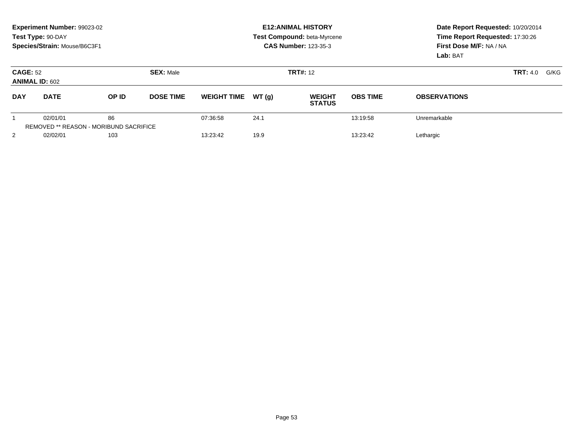|                 | Experiment Number: 99023-02<br>Test Type: 90-DAY<br>Species/Strain: Mouse/B6C3F1 |                                                     |                  |                    |       | <b>E12: ANIMAL HISTORY</b><br>Test Compound: beta-Myrcene<br><b>CAS Number: 123-35-3</b> | Date Report Requested: 10/20/2014<br>Time Report Requested: 17:30:26<br>First Dose M/F: NA / NA<br>Lab: BAT |                     |  |
|-----------------|----------------------------------------------------------------------------------|-----------------------------------------------------|------------------|--------------------|-------|------------------------------------------------------------------------------------------|-------------------------------------------------------------------------------------------------------------|---------------------|--|
| <b>CAGE: 52</b> | <b>ANIMAL ID: 602</b>                                                            |                                                     | <b>SEX: Male</b> |                    |       | <b>TRT#: 12</b>                                                                          | <b>TRT:</b> 4.0<br>G/KG                                                                                     |                     |  |
| <b>DAY</b>      | <b>DATE</b>                                                                      | OP ID                                               | <b>DOSE TIME</b> | <b>WEIGHT TIME</b> | WT(g) | <b>WEIGHT</b><br><b>STATUS</b>                                                           | <b>OBS TIME</b>                                                                                             | <b>OBSERVATIONS</b> |  |
|                 | 02/01/01                                                                         | 86<br><b>REMOVED ** REASON - MORIBUND SACRIFICE</b> |                  | 07:36:58           | 24.1  |                                                                                          | 13:19:58                                                                                                    | Unremarkable        |  |
| $\overline{2}$  | 02/02/01                                                                         | 103                                                 |                  | 13:23:42           | 19.9  |                                                                                          | 13:23:42                                                                                                    | Lethargic           |  |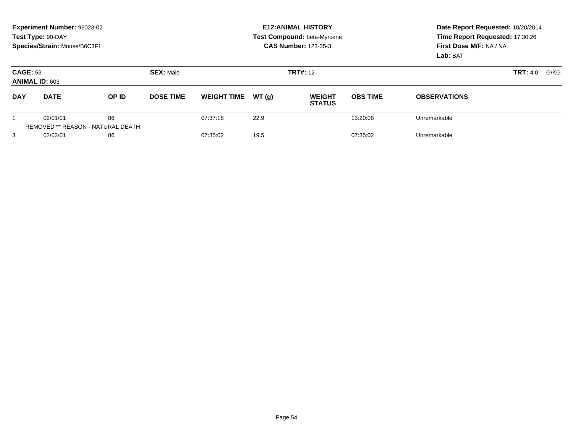|                                          | Experiment Number: 99023-02<br>Test Type: 90-DAY<br>Species/Strain: Mouse/B6C3F1 |                                                |                  |                    |       | <b>E12: ANIMAL HISTORY</b><br>Test Compound: beta-Myrcene<br><b>CAS Number: 123-35-3</b> | Date Report Requested: 10/20/2014<br>Time Report Requested: 17:30:26<br>First Dose M/F: NA / NA<br>Lab: BAT |                     |                         |
|------------------------------------------|----------------------------------------------------------------------------------|------------------------------------------------|------------------|--------------------|-------|------------------------------------------------------------------------------------------|-------------------------------------------------------------------------------------------------------------|---------------------|-------------------------|
| <b>CAGE: 53</b><br><b>ANIMAL ID: 603</b> |                                                                                  |                                                | <b>SEX: Male</b> |                    |       | <b>TRT#: 12</b>                                                                          |                                                                                                             |                     | <b>TRT:</b> 4.0<br>G/KG |
| <b>DAY</b>                               | <b>DATE</b>                                                                      | OP ID                                          | <b>DOSE TIME</b> | <b>WEIGHT TIME</b> | WT(g) | <b>WEIGHT</b><br><b>STATUS</b>                                                           | <b>OBS TIME</b>                                                                                             | <b>OBSERVATIONS</b> |                         |
|                                          | 02/01/01                                                                         | 86<br><b>REMOVED ** REASON - NATURAL DEATH</b> |                  | 07:37:18           | 22.9  |                                                                                          | 13:20:08                                                                                                    | Unremarkable        |                         |
| 3                                        | 02/03/01                                                                         | 86                                             |                  | 07:35:02           | 19.5  |                                                                                          | 07:35:02                                                                                                    | Unremarkable        |                         |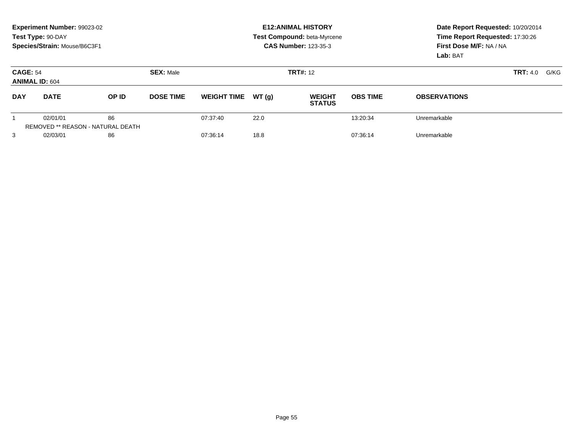|                                          | Experiment Number: 99023-02<br>Test Type: 90-DAY<br>Species/Strain: Mouse/B6C3F1 |                                                |                                     |                    |       | <b>E12: ANIMAL HISTORY</b><br>Test Compound: beta-Myrcene<br><b>CAS Number: 123-35-3</b> | Date Report Requested: 10/20/2014<br>Time Report Requested: 17:30:26<br>First Dose M/F: NA / NA<br>Lab: BAT |                     |                         |
|------------------------------------------|----------------------------------------------------------------------------------|------------------------------------------------|-------------------------------------|--------------------|-------|------------------------------------------------------------------------------------------|-------------------------------------------------------------------------------------------------------------|---------------------|-------------------------|
| <b>CAGE: 54</b><br><b>ANIMAL ID: 604</b> |                                                                                  |                                                | <b>SEX: Male</b><br><b>TRT#: 12</b> |                    |       |                                                                                          |                                                                                                             |                     | <b>TRT:</b> 4.0<br>G/KG |
| <b>DAY</b>                               | <b>DATE</b>                                                                      | OP ID                                          | <b>DOSE TIME</b>                    | <b>WEIGHT TIME</b> | WT(g) | <b>WEIGHT</b><br><b>STATUS</b>                                                           | <b>OBS TIME</b>                                                                                             | <b>OBSERVATIONS</b> |                         |
|                                          | 02/01/01                                                                         | 86<br><b>REMOVED ** REASON - NATURAL DEATH</b> |                                     | 07:37:40           | 22.0  |                                                                                          | 13:20:34                                                                                                    | Unremarkable        |                         |
| 3                                        | 02/03/01                                                                         | 86                                             |                                     | 07:36:14           | 18.8  |                                                                                          | 07:36:14                                                                                                    | Unremarkable        |                         |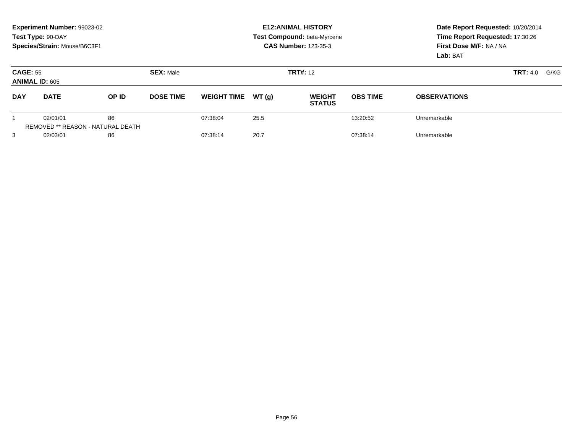|                 | Experiment Number: 99023-02<br>Test Type: 90-DAY<br>Species/Strain: Mouse/B6C3F1 |                                                |                  |                    |       | <b>E12: ANIMAL HISTORY</b><br>Test Compound: beta-Myrcene<br><b>CAS Number: 123-35-3</b> | Date Report Requested: 10/20/2014<br>Time Report Requested: 17:30:26<br>First Dose M/F: NA / NA<br>Lab: BAT |                     |      |
|-----------------|----------------------------------------------------------------------------------|------------------------------------------------|------------------|--------------------|-------|------------------------------------------------------------------------------------------|-------------------------------------------------------------------------------------------------------------|---------------------|------|
| <b>CAGE: 55</b> | <b>ANIMAL ID: 605</b>                                                            |                                                | <b>SEX: Male</b> |                    |       | <b>TRT#: 12</b>                                                                          |                                                                                                             | <b>TRT:</b> 4.0     | G/KG |
| <b>DAY</b>      | <b>DATE</b>                                                                      | OP ID                                          | <b>DOSE TIME</b> | <b>WEIGHT TIME</b> | WT(q) | <b>WEIGHT</b><br><b>STATUS</b>                                                           | <b>OBS TIME</b>                                                                                             | <b>OBSERVATIONS</b> |      |
|                 | 02/01/01                                                                         | 86<br><b>REMOVED ** REASON - NATURAL DEATH</b> |                  | 07:38:04           | 25.5  |                                                                                          | 13:20:52                                                                                                    | Unremarkable        |      |
| 3               | 02/03/01                                                                         | 86                                             |                  | 07:38:14           | 20.7  |                                                                                          | 07:38:14                                                                                                    | Unremarkable        |      |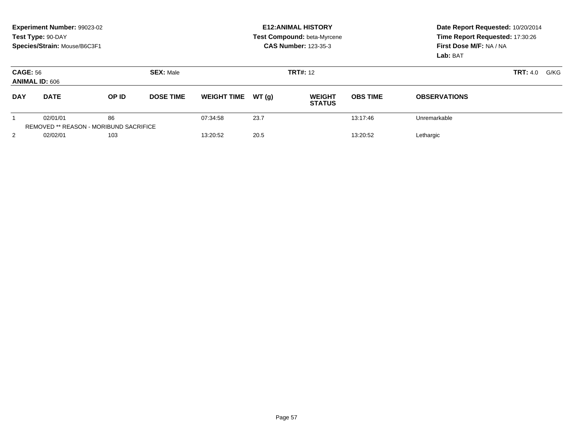|                                          | Experiment Number: 99023-02<br>Test Type: 90-DAY<br>Species/Strain: Mouse/B6C3F1 |                                                     |                  |                    |       | <b>E12: ANIMAL HISTORY</b><br>Test Compound: beta-Myrcene<br><b>CAS Number: 123-35-3</b> | Date Report Requested: 10/20/2014<br>Time Report Requested: 17:30:26<br>First Dose M/F: NA / NA<br>Lab: BAT<br><b>TRT:</b> 4.0<br>G/KG |                     |  |
|------------------------------------------|----------------------------------------------------------------------------------|-----------------------------------------------------|------------------|--------------------|-------|------------------------------------------------------------------------------------------|----------------------------------------------------------------------------------------------------------------------------------------|---------------------|--|
| <b>CAGE: 56</b><br><b>ANIMAL ID: 606</b> |                                                                                  |                                                     | <b>SEX: Male</b> |                    |       | <b>TRT#: 12</b>                                                                          |                                                                                                                                        |                     |  |
| <b>DAY</b>                               | <b>DATE</b>                                                                      | OP ID                                               | <b>DOSE TIME</b> | <b>WEIGHT TIME</b> | WT(q) | <b>WEIGHT</b><br><b>STATUS</b>                                                           | <b>OBS TIME</b>                                                                                                                        | <b>OBSERVATIONS</b> |  |
|                                          | 02/01/01                                                                         | 86<br><b>REMOVED ** REASON - MORIBUND SACRIFICE</b> |                  | 07:34:58           | 23.7  |                                                                                          | 13:17:46                                                                                                                               | Unremarkable        |  |
| 2                                        | 02/02/01                                                                         | 103                                                 |                  | 13:20:52           | 20.5  |                                                                                          | 13:20:52                                                                                                                               | Lethargic           |  |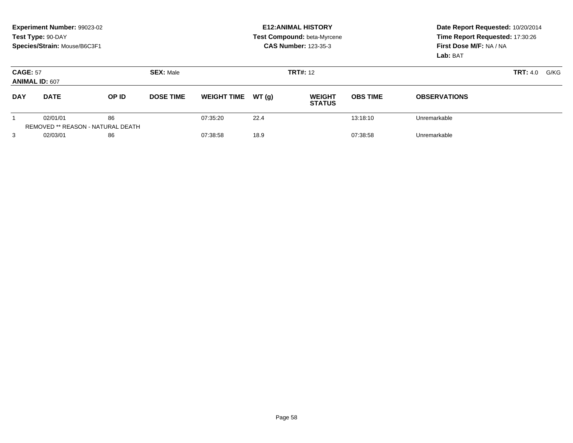|                                          | Experiment Number: 99023-02<br>Test Type: 90-DAY<br>Species/Strain: Mouse/B6C3F1 |                                                |                  |                    |       | <b>E12: ANIMAL HISTORY</b><br>Test Compound: beta-Myrcene<br><b>CAS Number: 123-35-3</b> | Date Report Requested: 10/20/2014<br>Time Report Requested: 17:30:26<br>First Dose M/F: NA / NA<br>Lab: BAT |                     |                         |
|------------------------------------------|----------------------------------------------------------------------------------|------------------------------------------------|------------------|--------------------|-------|------------------------------------------------------------------------------------------|-------------------------------------------------------------------------------------------------------------|---------------------|-------------------------|
| <b>CAGE: 57</b><br><b>ANIMAL ID: 607</b> |                                                                                  |                                                | <b>SEX: Male</b> |                    |       | <b>TRT#: 12</b>                                                                          |                                                                                                             |                     | <b>TRT:</b> 4.0<br>G/KG |
| <b>DAY</b>                               | <b>DATE</b>                                                                      | OP ID                                          | <b>DOSE TIME</b> | <b>WEIGHT TIME</b> | WT(g) | <b>WEIGHT</b><br><b>STATUS</b>                                                           | <b>OBS TIME</b>                                                                                             | <b>OBSERVATIONS</b> |                         |
|                                          | 02/01/01                                                                         | 86<br><b>REMOVED ** REASON - NATURAL DEATH</b> |                  | 07:35:20           | 22.4  |                                                                                          | 13:18:10                                                                                                    | Unremarkable        |                         |
| 3                                        | 02/03/01                                                                         | 86                                             |                  | 07:38:58           | 18.9  |                                                                                          | 07:38:58                                                                                                    | Unremarkable        |                         |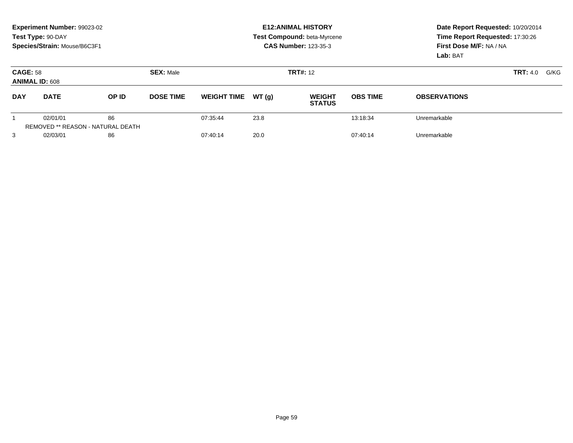|                                          | Experiment Number: 99023-02<br>Test Type: 90-DAY<br>Species/Strain: Mouse/B6C3F1 |                                                |                  |                    |                 | <b>E12: ANIMAL HISTORY</b><br>Test Compound: beta-Myrcene<br><b>CAS Number: 123-35-3</b> | Date Report Requested: 10/20/2014<br>Time Report Requested: 17:30:26<br>First Dose M/F: NA / NA<br>Lab: BAT |                     |  |
|------------------------------------------|----------------------------------------------------------------------------------|------------------------------------------------|------------------|--------------------|-----------------|------------------------------------------------------------------------------------------|-------------------------------------------------------------------------------------------------------------|---------------------|--|
| <b>CAGE: 58</b><br><b>ANIMAL ID: 608</b> |                                                                                  |                                                | <b>SEX: Male</b> |                    | <b>TRT#: 12</b> |                                                                                          | <b>TRT:</b> 4.0<br>G/KG                                                                                     |                     |  |
| <b>DAY</b>                               | <b>DATE</b>                                                                      | OP ID                                          | <b>DOSE TIME</b> | <b>WEIGHT TIME</b> | WT(g)           | <b>WEIGHT</b><br><b>STATUS</b>                                                           | <b>OBS TIME</b>                                                                                             | <b>OBSERVATIONS</b> |  |
|                                          | 02/01/01                                                                         | 86<br><b>REMOVED ** REASON - NATURAL DEATH</b> |                  | 07:35:44           | 23.8            |                                                                                          | 13:18:34                                                                                                    | Unremarkable        |  |
| 3                                        | 02/03/01                                                                         | 86                                             |                  | 07:40:14           | 20.0            |                                                                                          | 07:40:14                                                                                                    | Unremarkable        |  |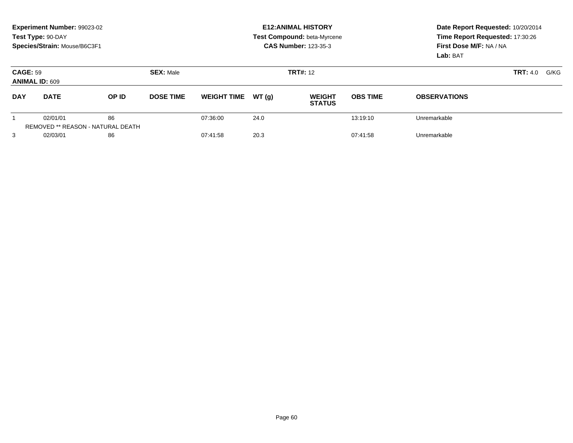|                                          | Experiment Number: 99023-02<br>Test Type: 90-DAY<br>Species/Strain: Mouse/B6C3F1 |                                                |                  |                    |        | <b>E12: ANIMAL HISTORY</b><br>Test Compound: beta-Myrcene<br><b>CAS Number: 123-35-3</b> | Date Report Requested: 10/20/2014<br>Time Report Requested: 17:30:26<br>First Dose M/F: NA / NA<br>Lab: BAT |                         |  |
|------------------------------------------|----------------------------------------------------------------------------------|------------------------------------------------|------------------|--------------------|--------|------------------------------------------------------------------------------------------|-------------------------------------------------------------------------------------------------------------|-------------------------|--|
| <b>CAGE: 59</b><br><b>ANIMAL ID: 609</b> |                                                                                  |                                                | <b>SEX: Male</b> |                    |        | <b>TRT#: 12</b>                                                                          |                                                                                                             | <b>TRT:</b> 4.0<br>G/KG |  |
| <b>DAY</b>                               | <b>DATE</b>                                                                      | OP ID                                          | <b>DOSE TIME</b> | <b>WEIGHT TIME</b> | WT (q) | <b>WEIGHT</b><br><b>STATUS</b>                                                           | <b>OBS TIME</b>                                                                                             | <b>OBSERVATIONS</b>     |  |
|                                          | 02/01/01                                                                         | 86<br><b>REMOVED ** REASON - NATURAL DEATH</b> |                  | 07:36:00           | 24.0   |                                                                                          | 13:19:10                                                                                                    | Unremarkable            |  |
| 3                                        | 02/03/01                                                                         | 86                                             |                  | 07:41:58           | 20.3   |                                                                                          | 07:41:58                                                                                                    | Unremarkable            |  |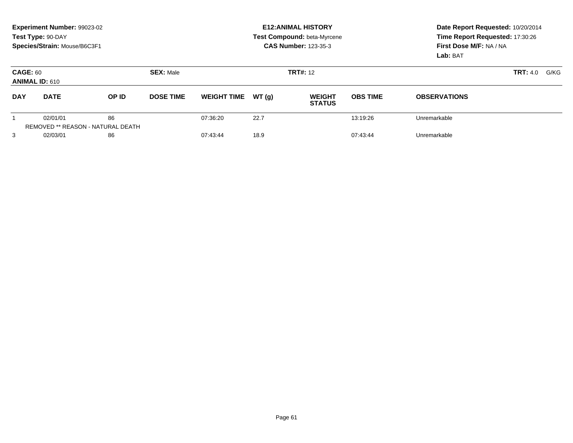|                                                              | Experiment Number: 99023-02<br>Test Type: 90-DAY<br>Species/Strain: Mouse/B6C3F1 |                                                |                  |                    |                 | <b>E12: ANIMAL HISTORY</b><br>Test Compound: beta-Myrcene<br><b>CAS Number: 123-35-3</b> | Date Report Requested: 10/20/2014<br>Time Report Requested: 17:30:26<br>First Dose M/F: NA / NA<br>Lab: BAT |                     |  |
|--------------------------------------------------------------|----------------------------------------------------------------------------------|------------------------------------------------|------------------|--------------------|-----------------|------------------------------------------------------------------------------------------|-------------------------------------------------------------------------------------------------------------|---------------------|--|
| <b>CAGE: 60</b><br><b>SEX: Male</b><br><b>ANIMAL ID: 610</b> |                                                                                  |                                                |                  |                    | <b>TRT#: 12</b> | <b>TRT:</b> 4.0<br>G/KG                                                                  |                                                                                                             |                     |  |
| <b>DAY</b>                                                   | <b>DATE</b>                                                                      | OP ID                                          | <b>DOSE TIME</b> | <b>WEIGHT TIME</b> | WT(g)           | <b>WEIGHT</b><br><b>STATUS</b>                                                           | <b>OBS TIME</b>                                                                                             | <b>OBSERVATIONS</b> |  |
|                                                              | 02/01/01                                                                         | 86<br><b>REMOVED ** REASON - NATURAL DEATH</b> |                  | 07:36:20           | 22.7            |                                                                                          | 13:19:26                                                                                                    | Unremarkable        |  |
| 3                                                            | 02/03/01                                                                         | 86                                             |                  | 07:43:44           | 18.9            |                                                                                          | 07:43:44                                                                                                    | Unremarkable        |  |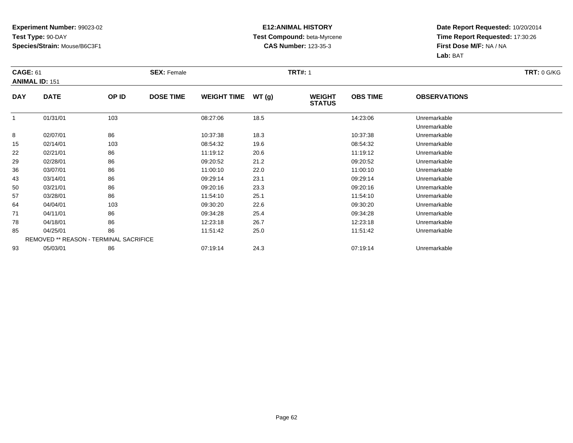### **E12:ANIMAL HISTORY Test Compound:** beta-Myrcene**CAS Number:** 123-35-3

|            | <b>CAGE: 61</b>                        |       | <b>SEX: Female</b> |                    |       |                                | <b>TRT#: 1</b>  |                              |  |  |  |
|------------|----------------------------------------|-------|--------------------|--------------------|-------|--------------------------------|-----------------|------------------------------|--|--|--|
|            | <b>ANIMAL ID: 151</b>                  |       |                    |                    |       |                                |                 |                              |  |  |  |
| <b>DAY</b> | <b>DATE</b>                            | OP ID | <b>DOSE TIME</b>   | <b>WEIGHT TIME</b> | WT(g) | <b>WEIGHT</b><br><b>STATUS</b> | <b>OBS TIME</b> | <b>OBSERVATIONS</b>          |  |  |  |
|            | 01/31/01                               | 103   |                    | 08:27:06           | 18.5  |                                | 14:23:06        | Unremarkable<br>Unremarkable |  |  |  |
| 8          | 02/07/01                               | 86    |                    | 10:37:38           | 18.3  |                                | 10:37:38        | Unremarkable                 |  |  |  |
| 15         | 02/14/01                               | 103   |                    | 08:54:32           | 19.6  |                                | 08:54:32        | Unremarkable                 |  |  |  |
| 22         | 02/21/01                               | 86    |                    | 11:19:12           | 20.6  |                                | 11:19:12        | Unremarkable                 |  |  |  |
| 29         | 02/28/01                               | 86    |                    | 09:20:52           | 21.2  |                                | 09:20:52        | Unremarkable                 |  |  |  |
| 36         | 03/07/01                               | 86    |                    | 11:00:10           | 22.0  |                                | 11:00:10        | Unremarkable                 |  |  |  |
| 43         | 03/14/01                               | 86    |                    | 09:29:14           | 23.1  |                                | 09:29:14        | Unremarkable                 |  |  |  |
| 50         | 03/21/01                               | 86    |                    | 09:20:16           | 23.3  |                                | 09:20:16        | Unremarkable                 |  |  |  |
| 57         | 03/28/01                               | 86    |                    | 11:54:10           | 25.1  |                                | 11:54:10        | Unremarkable                 |  |  |  |
| 64         | 04/04/01                               | 103   |                    | 09:30:20           | 22.6  |                                | 09:30:20        | Unremarkable                 |  |  |  |
| 71         | 04/11/01                               | 86    |                    | 09:34:28           | 25.4  |                                | 09:34:28        | Unremarkable                 |  |  |  |
| 78         | 04/18/01                               | 86    |                    | 12:23:18           | 26.7  |                                | 12:23:18        | Unremarkable                 |  |  |  |
| 85         | 04/25/01                               | 86    |                    | 11:51:42           | 25.0  |                                | 11:51:42        | Unremarkable                 |  |  |  |
|            | REMOVED ** REASON - TERMINAL SACRIFICE |       |                    |                    |       |                                |                 |                              |  |  |  |
| 93         | 05/03/01                               | 86    |                    | 07:19:14           | 24.3  |                                | 07:19:14        | Unremarkable                 |  |  |  |
|            |                                        |       |                    |                    |       |                                |                 |                              |  |  |  |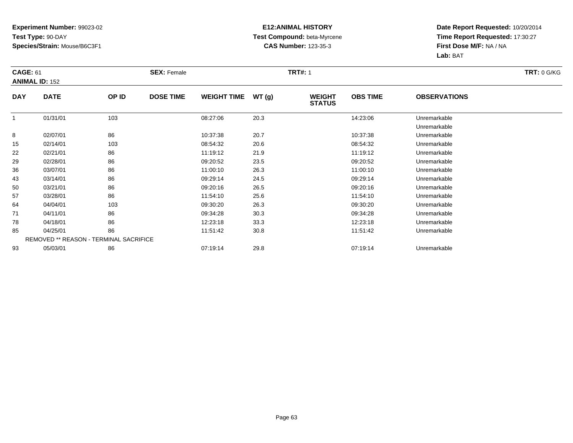### **E12:ANIMAL HISTORY Test Compound:** beta-Myrcene**CAS Number:** 123-35-3

| <b>CAGE: 61</b> |                                        |       | <b>SEX: Female</b> |                    |       | <b>TRT#: 1</b>                 |                 |                              | <b>TRT: 0 G/KG</b> |
|-----------------|----------------------------------------|-------|--------------------|--------------------|-------|--------------------------------|-----------------|------------------------------|--------------------|
|                 | <b>ANIMAL ID: 152</b>                  |       |                    |                    |       |                                |                 |                              |                    |
| <b>DAY</b>      | <b>DATE</b>                            | OP ID | <b>DOSE TIME</b>   | <b>WEIGHT TIME</b> | WT(g) | <b>WEIGHT</b><br><b>STATUS</b> | <b>OBS TIME</b> | <b>OBSERVATIONS</b>          |                    |
|                 | 01/31/01                               | 103   |                    | 08:27:06           | 20.3  |                                | 14:23:06        | Unremarkable<br>Unremarkable |                    |
| 8               | 02/07/01                               | 86    |                    | 10:37:38           | 20.7  |                                | 10:37:38        | Unremarkable                 |                    |
| 15              | 02/14/01                               | 103   |                    | 08:54:32           | 20.6  |                                | 08:54:32        | Unremarkable                 |                    |
| 22              | 02/21/01                               | 86    |                    | 11:19:12           | 21.9  |                                | 11:19:12        | Unremarkable                 |                    |
| 29              | 02/28/01                               | 86    |                    | 09:20:52           | 23.5  |                                | 09:20:52        | Unremarkable                 |                    |
| 36              | 03/07/01                               | 86    |                    | 11:00:10           | 26.3  |                                | 11:00:10        | Unremarkable                 |                    |
| 43              | 03/14/01                               | 86    |                    | 09:29:14           | 24.5  |                                | 09:29:14        | Unremarkable                 |                    |
| 50              | 03/21/01                               | 86    |                    | 09:20:16           | 26.5  |                                | 09:20:16        | Unremarkable                 |                    |
| 57              | 03/28/01                               | 86    |                    | 11:54:10           | 25.6  |                                | 11:54:10        | Unremarkable                 |                    |
| 64              | 04/04/01                               | 103   |                    | 09:30:20           | 26.3  |                                | 09:30:20        | Unremarkable                 |                    |
| 71              | 04/11/01                               | 86    |                    | 09:34:28           | 30.3  |                                | 09:34:28        | Unremarkable                 |                    |
| 78              | 04/18/01                               | 86    |                    | 12:23:18           | 33.3  |                                | 12:23:18        | Unremarkable                 |                    |
| 85              | 04/25/01                               | 86    |                    | 11:51:42           | 30.8  |                                | 11:51:42        | Unremarkable                 |                    |
|                 | REMOVED ** REASON - TERMINAL SACRIFICE |       |                    |                    |       |                                |                 |                              |                    |
| 93              | 05/03/01                               | 86    |                    | 07:19:14           | 29.8  |                                | 07:19:14        | Unremarkable                 |                    |
|                 |                                        |       |                    |                    |       |                                |                 |                              |                    |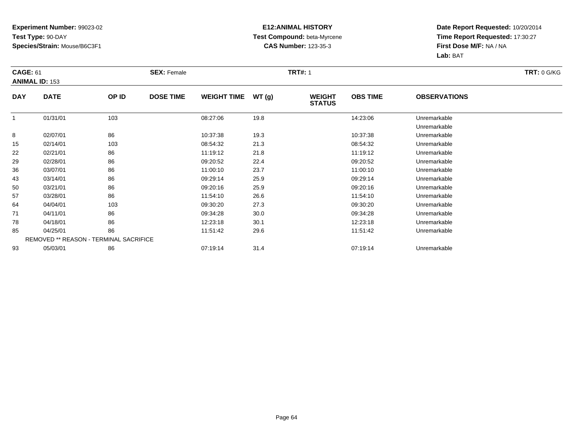### **E12:ANIMAL HISTORY Test Compound:** beta-Myrcene**CAS Number:** 123-35-3

|            | <b>CAGE: 61</b>                        |       | <b>SEX: Female</b> |                    |       | <b>TRT#: 1</b>                 | <b>TRT: 0 G/KG</b> |                              |  |
|------------|----------------------------------------|-------|--------------------|--------------------|-------|--------------------------------|--------------------|------------------------------|--|
|            | <b>ANIMAL ID: 153</b>                  |       |                    |                    |       |                                |                    |                              |  |
| <b>DAY</b> | <b>DATE</b>                            | OP ID | <b>DOSE TIME</b>   | <b>WEIGHT TIME</b> | WT(g) | <b>WEIGHT</b><br><b>STATUS</b> | <b>OBS TIME</b>    | <b>OBSERVATIONS</b>          |  |
|            | 01/31/01                               | 103   |                    | 08:27:06           | 19.8  |                                | 14:23:06           | Unremarkable<br>Unremarkable |  |
| 8          | 02/07/01                               | 86    |                    | 10:37:38           | 19.3  |                                | 10:37:38           | Unremarkable                 |  |
| 15         | 02/14/01                               | 103   |                    | 08:54:32           | 21.3  |                                | 08:54:32           | Unremarkable                 |  |
| 22         | 02/21/01                               | 86    |                    | 11:19:12           | 21.8  |                                | 11:19:12           | Unremarkable                 |  |
| 29         | 02/28/01                               | 86    |                    | 09:20:52           | 22.4  |                                | 09:20:52           | Unremarkable                 |  |
| 36         | 03/07/01                               | 86    |                    | 11:00:10           | 23.7  |                                | 11:00:10           | Unremarkable                 |  |
| 43         | 03/14/01                               | 86    |                    | 09:29:14           | 25.9  |                                | 09:29:14           | Unremarkable                 |  |
| 50         | 03/21/01                               | 86    |                    | 09:20:16           | 25.9  |                                | 09:20:16           | Unremarkable                 |  |
| 57         | 03/28/01                               | 86    |                    | 11:54:10           | 26.6  |                                | 11:54:10           | Unremarkable                 |  |
| 64         | 04/04/01                               | 103   |                    | 09:30:20           | 27.3  |                                | 09:30:20           | Unremarkable                 |  |
| 71         | 04/11/01                               | 86    |                    | 09:34:28           | 30.0  |                                | 09:34:28           | Unremarkable                 |  |
| 78         | 04/18/01                               | 86    |                    | 12:23:18           | 30.1  |                                | 12:23:18           | Unremarkable                 |  |
| 85         | 04/25/01                               | 86    |                    | 11:51:42           | 29.6  |                                | 11:51:42           | Unremarkable                 |  |
|            | REMOVED ** REASON - TERMINAL SACRIFICE |       |                    |                    |       |                                |                    |                              |  |
| 93         | 05/03/01                               | 86    |                    | 07:19:14           | 31.4  |                                | 07:19:14           | Unremarkable                 |  |
|            |                                        |       |                    |                    |       |                                |                    |                              |  |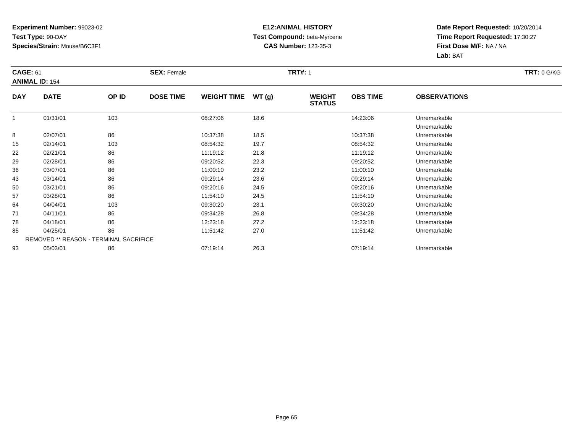### **E12:ANIMAL HISTORY Test Compound:** beta-Myrcene**CAS Number:** 123-35-3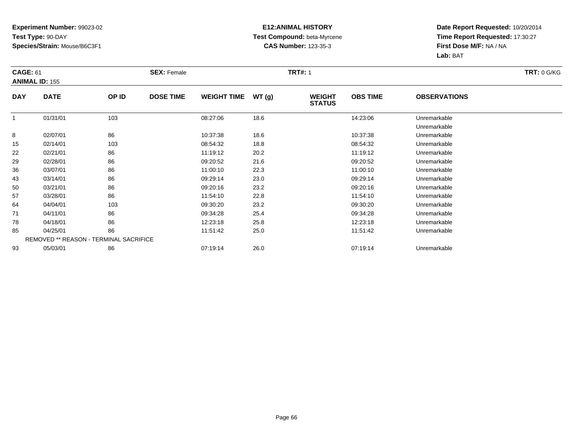### **E12:ANIMAL HISTORY Test Compound:** beta-Myrcene**CAS Number:** 123-35-3

|            | <b>CAGE: 61</b>                        |       | <b>SEX: Female</b> |                    |       | <b>TRT#: 1</b>                 | <b>TRT: 0 G/KG</b> |                              |  |
|------------|----------------------------------------|-------|--------------------|--------------------|-------|--------------------------------|--------------------|------------------------------|--|
|            | <b>ANIMAL ID: 155</b>                  |       |                    |                    |       |                                |                    |                              |  |
| <b>DAY</b> | <b>DATE</b>                            | OP ID | <b>DOSE TIME</b>   | <b>WEIGHT TIME</b> | WT(g) | <b>WEIGHT</b><br><b>STATUS</b> | <b>OBS TIME</b>    | <b>OBSERVATIONS</b>          |  |
|            | 01/31/01                               | 103   |                    | 08:27:06           | 18.6  |                                | 14:23:06           | Unremarkable<br>Unremarkable |  |
| 8          | 02/07/01                               | 86    |                    | 10:37:38           | 18.6  |                                | 10:37:38           | Unremarkable                 |  |
| 15         | 02/14/01                               | 103   |                    | 08:54:32           | 18.8  |                                | 08:54:32           | Unremarkable                 |  |
| 22         | 02/21/01                               | 86    |                    | 11:19:12           | 20.2  |                                | 11:19:12           | Unremarkable                 |  |
| 29         | 02/28/01                               | 86    |                    | 09:20:52           | 21.6  |                                | 09:20:52           | Unremarkable                 |  |
| 36         | 03/07/01                               | 86    |                    | 11:00:10           | 22.3  |                                | 11:00:10           | Unremarkable                 |  |
| 43         | 03/14/01                               | 86    |                    | 09:29:14           | 23.0  |                                | 09:29:14           | Unremarkable                 |  |
| 50         | 03/21/01                               | 86    |                    | 09:20:16           | 23.2  |                                | 09:20:16           | Unremarkable                 |  |
| 57         | 03/28/01                               | 86    |                    | 11:54:10           | 22.8  |                                | 11:54:10           | Unremarkable                 |  |
| 64         | 04/04/01                               | 103   |                    | 09:30:20           | 23.2  |                                | 09:30:20           | Unremarkable                 |  |
| 71         | 04/11/01                               | 86    |                    | 09:34:28           | 25.4  |                                | 09:34:28           | Unremarkable                 |  |
| 78         | 04/18/01                               | 86    |                    | 12:23:18           | 25.8  |                                | 12:23:18           | Unremarkable                 |  |
| 85         | 04/25/01                               | 86    |                    | 11:51:42           | 25.0  |                                | 11:51:42           | Unremarkable                 |  |
|            | REMOVED ** REASON - TERMINAL SACRIFICE |       |                    |                    |       |                                |                    |                              |  |
| 93         | 05/03/01                               | 86    |                    | 07:19:14           | 26.0  |                                | 07:19:14           | Unremarkable                 |  |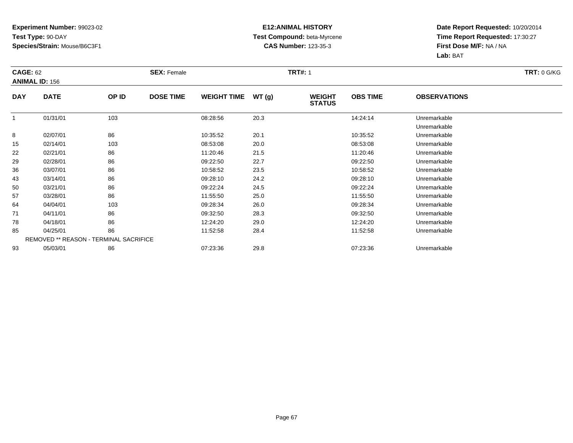### **E12:ANIMAL HISTORY Test Compound:** beta-Myrcene**CAS Number:** 123-35-3

| <b>CAGE: 62</b> |                                        |       | <b>SEX: Female</b> |                    |       | <b>TRT#: 1</b>                 |                 |                              | <b>TRT: 0 G/KG</b> |
|-----------------|----------------------------------------|-------|--------------------|--------------------|-------|--------------------------------|-----------------|------------------------------|--------------------|
|                 | <b>ANIMAL ID: 156</b>                  |       |                    |                    |       |                                |                 |                              |                    |
| <b>DAY</b>      | <b>DATE</b>                            | OP ID | <b>DOSE TIME</b>   | <b>WEIGHT TIME</b> | WT(g) | <b>WEIGHT</b><br><b>STATUS</b> | <b>OBS TIME</b> | <b>OBSERVATIONS</b>          |                    |
|                 | 01/31/01                               | 103   |                    | 08:28:56           | 20.3  |                                | 14:24:14        | Unremarkable<br>Unremarkable |                    |
| 8               | 02/07/01                               | 86    |                    | 10:35:52           | 20.1  |                                | 10:35:52        | Unremarkable                 |                    |
| 15              | 02/14/01                               | 103   |                    | 08:53:08           | 20.0  |                                | 08:53:08        | Unremarkable                 |                    |
| 22              | 02/21/01                               | 86    |                    | 11:20:46           | 21.5  |                                | 11:20:46        | Unremarkable                 |                    |
| 29              | 02/28/01                               | 86    |                    | 09:22:50           | 22.7  |                                | 09:22:50        | Unremarkable                 |                    |
| 36              | 03/07/01                               | 86    |                    | 10:58:52           | 23.5  |                                | 10:58:52        | Unremarkable                 |                    |
| 43              | 03/14/01                               | 86    |                    | 09:28:10           | 24.2  |                                | 09:28:10        | Unremarkable                 |                    |
| 50              | 03/21/01                               | 86    |                    | 09:22:24           | 24.5  |                                | 09:22:24        | Unremarkable                 |                    |
| 57              | 03/28/01                               | 86    |                    | 11:55:50           | 25.0  |                                | 11:55:50        | Unremarkable                 |                    |
| 64              | 04/04/01                               | 103   |                    | 09:28:34           | 26.0  |                                | 09:28:34        | Unremarkable                 |                    |
| 71              | 04/11/01                               | 86    |                    | 09:32:50           | 28.3  |                                | 09:32:50        | Unremarkable                 |                    |
| 78              | 04/18/01                               | 86    |                    | 12:24:20           | 29.0  |                                | 12:24:20        | Unremarkable                 |                    |
| 85              | 04/25/01                               | 86    |                    | 11:52:58           | 28.4  |                                | 11:52:58        | Unremarkable                 |                    |
|                 | REMOVED ** REASON - TERMINAL SACRIFICE |       |                    |                    |       |                                |                 |                              |                    |
| 93              | 05/03/01                               | 86    |                    | 07:23:36           | 29.8  |                                | 07:23:36        | Unremarkable                 |                    |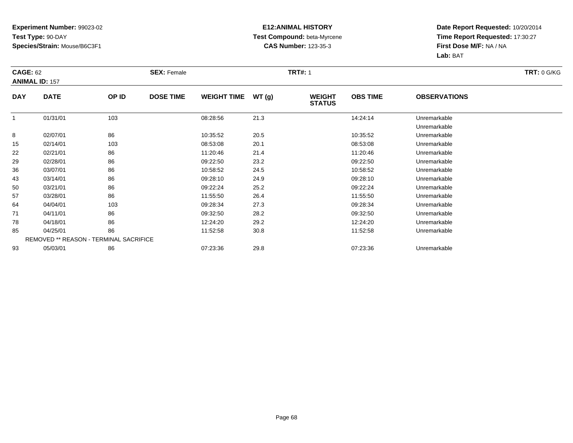### **E12:ANIMAL HISTORY Test Compound:** beta-Myrcene**CAS Number:** 123-35-3

| <b>CAGE: 62</b> |                                        |       | <b>SEX: Female</b> |                    |       | <b>TRT#: 1</b>                 |                 |                              | <b>TRT: 0 G/KG</b> |
|-----------------|----------------------------------------|-------|--------------------|--------------------|-------|--------------------------------|-----------------|------------------------------|--------------------|
|                 | <b>ANIMAL ID: 157</b>                  |       |                    |                    |       |                                |                 |                              |                    |
| <b>DAY</b>      | <b>DATE</b>                            | OP ID | <b>DOSE TIME</b>   | <b>WEIGHT TIME</b> | WT(g) | <b>WEIGHT</b><br><b>STATUS</b> | <b>OBS TIME</b> | <b>OBSERVATIONS</b>          |                    |
|                 | 01/31/01                               | 103   |                    | 08:28:56           | 21.3  |                                | 14:24:14        | Unremarkable<br>Unremarkable |                    |
| 8               | 02/07/01                               | 86    |                    | 10:35:52           | 20.5  |                                | 10:35:52        | Unremarkable                 |                    |
| 15              | 02/14/01                               | 103   |                    | 08:53:08           | 20.1  |                                | 08:53:08        | Unremarkable                 |                    |
| 22              | 02/21/01                               | 86    |                    | 11:20:46           | 21.4  |                                | 11:20:46        | Unremarkable                 |                    |
| 29              | 02/28/01                               | 86    |                    | 09:22:50           | 23.2  |                                | 09:22:50        | Unremarkable                 |                    |
| 36              | 03/07/01                               | 86    |                    | 10:58:52           | 24.5  |                                | 10:58:52        | Unremarkable                 |                    |
| 43              | 03/14/01                               | 86    |                    | 09:28:10           | 24.9  |                                | 09:28:10        | Unremarkable                 |                    |
| 50              | 03/21/01                               | 86    |                    | 09:22:24           | 25.2  |                                | 09:22:24        | Unremarkable                 |                    |
| 57              | 03/28/01                               | 86    |                    | 11:55:50           | 26.4  |                                | 11:55:50        | Unremarkable                 |                    |
| 64              | 04/04/01                               | 103   |                    | 09:28:34           | 27.3  |                                | 09:28:34        | Unremarkable                 |                    |
| 71              | 04/11/01                               | 86    |                    | 09:32:50           | 28.2  |                                | 09:32:50        | Unremarkable                 |                    |
| 78              | 04/18/01                               | 86    |                    | 12:24:20           | 29.2  |                                | 12:24:20        | Unremarkable                 |                    |
| 85              | 04/25/01                               | 86    |                    | 11:52:58           | 30.8  |                                | 11:52:58        | Unremarkable                 |                    |
|                 | REMOVED ** REASON - TERMINAL SACRIFICE |       |                    |                    |       |                                |                 |                              |                    |
| 93              | 05/03/01                               | 86    |                    | 07:23:36           | 29.8  |                                | 07:23:36        | Unremarkable                 |                    |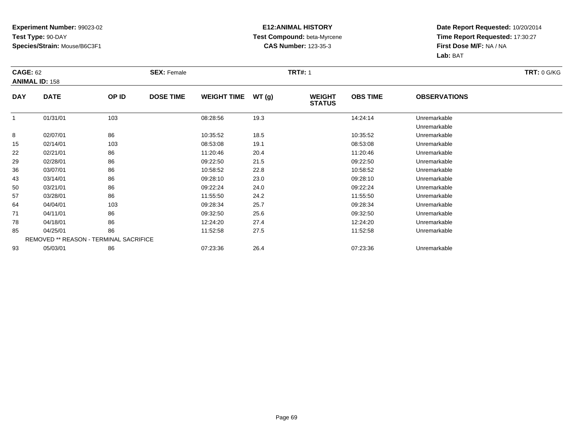### **E12:ANIMAL HISTORY Test Compound:** beta-Myrcene**CAS Number:** 123-35-3

| <b>CAGE: 62</b> |                                        |       | <b>SEX: Female</b> |                    |       | <b>TRT#: 1</b>                 |                 |                              | <b>TRT: 0 G/KG</b> |
|-----------------|----------------------------------------|-------|--------------------|--------------------|-------|--------------------------------|-----------------|------------------------------|--------------------|
|                 | <b>ANIMAL ID: 158</b>                  |       |                    |                    |       |                                |                 |                              |                    |
| <b>DAY</b>      | <b>DATE</b>                            | OP ID | <b>DOSE TIME</b>   | <b>WEIGHT TIME</b> | WT(g) | <b>WEIGHT</b><br><b>STATUS</b> | <b>OBS TIME</b> | <b>OBSERVATIONS</b>          |                    |
|                 | 01/31/01                               | 103   |                    | 08:28:56           | 19.3  |                                | 14:24:14        | Unremarkable<br>Unremarkable |                    |
| 8               | 02/07/01                               | 86    |                    | 10:35:52           | 18.5  |                                | 10:35:52        | Unremarkable                 |                    |
| 15              | 02/14/01                               | 103   |                    | 08:53:08           | 19.1  |                                | 08:53:08        | Unremarkable                 |                    |
| 22              | 02/21/01                               | 86    |                    | 11:20:46           | 20.4  |                                | 11:20:46        | Unremarkable                 |                    |
| 29              | 02/28/01                               | 86    |                    | 09:22:50           | 21.5  |                                | 09:22:50        | Unremarkable                 |                    |
| 36              | 03/07/01                               | 86    |                    | 10:58:52           | 22.8  |                                | 10:58:52        | Unremarkable                 |                    |
| 43              | 03/14/01                               | 86    |                    | 09:28:10           | 23.0  |                                | 09:28:10        | Unremarkable                 |                    |
| 50              | 03/21/01                               | 86    |                    | 09:22:24           | 24.0  |                                | 09:22:24        | Unremarkable                 |                    |
| 57              | 03/28/01                               | 86    |                    | 11:55:50           | 24.2  |                                | 11:55:50        | Unremarkable                 |                    |
| 64              | 04/04/01                               | 103   |                    | 09:28:34           | 25.7  |                                | 09:28:34        | Unremarkable                 |                    |
| 71              | 04/11/01                               | 86    |                    | 09:32:50           | 25.6  |                                | 09:32:50        | Unremarkable                 |                    |
| 78              | 04/18/01                               | 86    |                    | 12:24:20           | 27.4  |                                | 12:24:20        | Unremarkable                 |                    |
| 85              | 04/25/01                               | 86    |                    | 11:52:58           | 27.5  |                                | 11:52:58        | Unremarkable                 |                    |
|                 | REMOVED ** REASON - TERMINAL SACRIFICE |       |                    |                    |       |                                |                 |                              |                    |
| 93              | 05/03/01                               | 86    |                    | 07:23:36           | 26.4  |                                | 07:23:36        | Unremarkable                 |                    |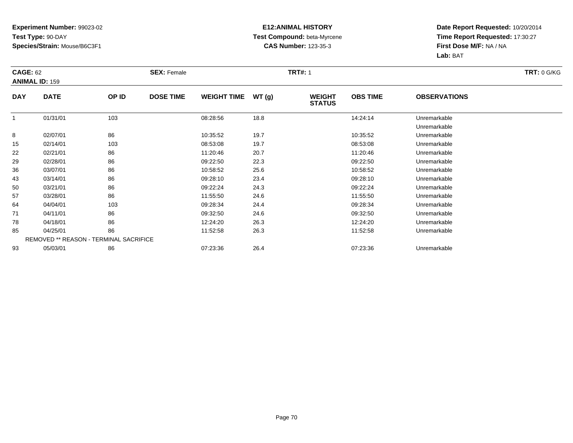### **E12:ANIMAL HISTORY Test Compound:** beta-Myrcene**CAS Number:** 123-35-3

| <b>CAGE: 62</b> |                                        |       | <b>SEX: Female</b> |                    |       | <b>TRT#: 1</b>                 |                 |                              | <b>TRT: 0 G/KG</b> |
|-----------------|----------------------------------------|-------|--------------------|--------------------|-------|--------------------------------|-----------------|------------------------------|--------------------|
|                 | <b>ANIMAL ID: 159</b>                  |       |                    |                    |       |                                |                 |                              |                    |
| <b>DAY</b>      | <b>DATE</b>                            | OP ID | <b>DOSE TIME</b>   | <b>WEIGHT TIME</b> | WT(g) | <b>WEIGHT</b><br><b>STATUS</b> | <b>OBS TIME</b> | <b>OBSERVATIONS</b>          |                    |
|                 | 01/31/01                               | 103   |                    | 08:28:56           | 18.8  |                                | 14:24:14        | Unremarkable<br>Unremarkable |                    |
| 8               | 02/07/01                               | 86    |                    | 10:35:52           | 19.7  |                                | 10:35:52        | Unremarkable                 |                    |
| 15              | 02/14/01                               | 103   |                    | 08:53:08           | 19.7  |                                | 08:53:08        | Unremarkable                 |                    |
| 22              | 02/21/01                               | 86    |                    | 11:20:46           | 20.7  |                                | 11:20:46        | Unremarkable                 |                    |
| 29              | 02/28/01                               | 86    |                    | 09:22:50           | 22.3  |                                | 09:22:50        | Unremarkable                 |                    |
| 36              | 03/07/01                               | 86    |                    | 10:58:52           | 25.6  |                                | 10:58:52        | Unremarkable                 |                    |
| 43              | 03/14/01                               | 86    |                    | 09:28:10           | 23.4  |                                | 09:28:10        | Unremarkable                 |                    |
| 50              | 03/21/01                               | 86    |                    | 09:22:24           | 24.3  |                                | 09:22:24        | Unremarkable                 |                    |
| 57              | 03/28/01                               | 86    |                    | 11:55:50           | 24.6  |                                | 11:55:50        | Unremarkable                 |                    |
| 64              | 04/04/01                               | 103   |                    | 09:28:34           | 24.4  |                                | 09:28:34        | Unremarkable                 |                    |
| 71              | 04/11/01                               | 86    |                    | 09:32:50           | 24.6  |                                | 09:32:50        | Unremarkable                 |                    |
| 78              | 04/18/01                               | 86    |                    | 12:24:20           | 26.3  |                                | 12:24:20        | Unremarkable                 |                    |
| 85              | 04/25/01                               | 86    |                    | 11:52:58           | 26.3  |                                | 11:52:58        | Unremarkable                 |                    |
|                 | REMOVED ** REASON - TERMINAL SACRIFICE |       |                    |                    |       |                                |                 |                              |                    |
| 93              | 05/03/01                               | 86    |                    | 07:23:36           | 26.4  |                                | 07:23:36        | Unremarkable                 |                    |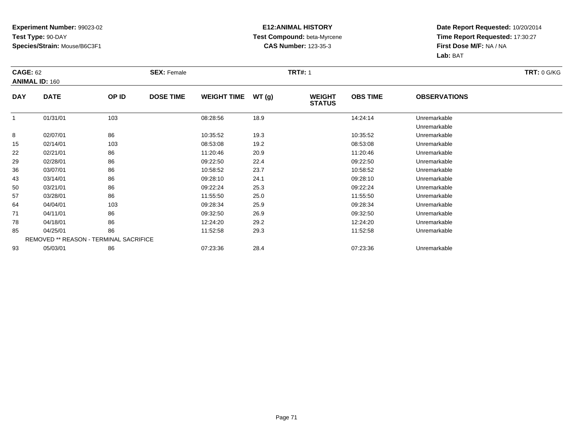### **E12:ANIMAL HISTORY Test Compound:** beta-Myrcene**CAS Number:** 123-35-3

|            | <b>CAGE: 62</b>                        |       | <b>SEX: Female</b> |                    |       |                                | <b>TRT#: 1</b>  |                              |  |  |  |
|------------|----------------------------------------|-------|--------------------|--------------------|-------|--------------------------------|-----------------|------------------------------|--|--|--|
|            | <b>ANIMAL ID: 160</b>                  |       |                    |                    |       |                                |                 |                              |  |  |  |
| <b>DAY</b> | <b>DATE</b>                            | OP ID | <b>DOSE TIME</b>   | <b>WEIGHT TIME</b> | WT(g) | <b>WEIGHT</b><br><b>STATUS</b> | <b>OBS TIME</b> | <b>OBSERVATIONS</b>          |  |  |  |
|            | 01/31/01                               | 103   |                    | 08:28:56           | 18.9  |                                | 14:24:14        | Unremarkable<br>Unremarkable |  |  |  |
| 8          | 02/07/01                               | 86    |                    | 10:35:52           | 19.3  |                                | 10:35:52        | Unremarkable                 |  |  |  |
| 15         | 02/14/01                               | 103   |                    | 08:53:08           | 19.2  |                                | 08:53:08        | Unremarkable                 |  |  |  |
| 22         | 02/21/01                               | 86    |                    | 11:20:46           | 20.9  |                                | 11:20:46        | Unremarkable                 |  |  |  |
| 29         | 02/28/01                               | 86    |                    | 09:22:50           | 22.4  |                                | 09:22:50        | Unremarkable                 |  |  |  |
| 36         | 03/07/01                               | 86    |                    | 10:58:52           | 23.7  |                                | 10:58:52        | Unremarkable                 |  |  |  |
| 43         | 03/14/01                               | 86    |                    | 09:28:10           | 24.1  |                                | 09:28:10        | Unremarkable                 |  |  |  |
| 50         | 03/21/01                               | 86    |                    | 09:22:24           | 25.3  |                                | 09:22:24        | Unremarkable                 |  |  |  |
| 57         | 03/28/01                               | 86    |                    | 11:55:50           | 25.0  |                                | 11:55:50        | Unremarkable                 |  |  |  |
| 64         | 04/04/01                               | 103   |                    | 09:28:34           | 25.9  |                                | 09:28:34        | Unremarkable                 |  |  |  |
| 71         | 04/11/01                               | 86    |                    | 09:32:50           | 26.9  |                                | 09:32:50        | Unremarkable                 |  |  |  |
| 78         | 04/18/01                               | 86    |                    | 12:24:20           | 29.2  |                                | 12:24:20        | Unremarkable                 |  |  |  |
| 85         | 04/25/01                               | 86    |                    | 11:52:58           | 29.3  |                                | 11:52:58        | Unremarkable                 |  |  |  |
|            | REMOVED ** REASON - TERMINAL SACRIFICE |       |                    |                    |       |                                |                 |                              |  |  |  |
| 93         | 05/03/01                               | 86    |                    | 07:23:36           | 28.4  |                                | 07:23:36        | Unremarkable                 |  |  |  |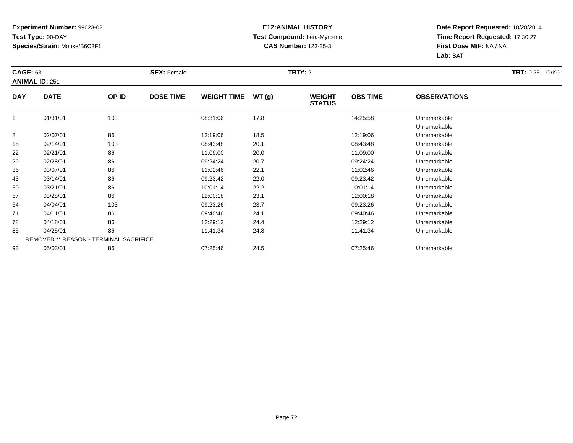### **E12:ANIMAL HISTORY Test Compound:** beta-Myrcene**CAS Number:** 123-35-3

| <b>CAGE: 63</b><br><b>ANIMAL ID: 251</b> |             | <b>SEX: Female</b>                     |                  |                    | <b>TRT#: 2</b> |                                | <b>TRT: 0.25</b> | G/KG                         |  |
|------------------------------------------|-------------|----------------------------------------|------------------|--------------------|----------------|--------------------------------|------------------|------------------------------|--|
| <b>DAY</b>                               | <b>DATE</b> | OP ID                                  | <b>DOSE TIME</b> | <b>WEIGHT TIME</b> | WT(g)          | <b>WEIGHT</b><br><b>STATUS</b> | <b>OBS TIME</b>  | <b>OBSERVATIONS</b>          |  |
|                                          | 01/31/01    | 103                                    |                  | 08:31:06           | 17.8           |                                | 14:25:58         | Unremarkable<br>Unremarkable |  |
| 8                                        | 02/07/01    | 86                                     |                  | 12:19:06           | 18.5           |                                | 12:19:06         | Unremarkable                 |  |
| 15                                       | 02/14/01    | 103                                    |                  | 08:43:48           | 20.1           |                                | 08:43:48         | Unremarkable                 |  |
| 22                                       | 02/21/01    | 86                                     |                  | 11:09:00           | 20.0           |                                | 11:09:00         | Unremarkable                 |  |
| 29                                       | 02/28/01    | 86                                     |                  | 09:24:24           | 20.7           |                                | 09:24:24         | Unremarkable                 |  |
| 36                                       | 03/07/01    | 86                                     |                  | 11:02:46           | 22.1           |                                | 11:02:46         | Unremarkable                 |  |
| 43                                       | 03/14/01    | 86                                     |                  | 09:23:42           | 22.0           |                                | 09:23:42         | Unremarkable                 |  |
| 50                                       | 03/21/01    | 86                                     |                  | 10:01:14           | 22.2           |                                | 10:01:14         | Unremarkable                 |  |
| 57                                       | 03/28/01    | 86                                     |                  | 12:00:18           | 23.1           |                                | 12:00:18         | Unremarkable                 |  |
| 64                                       | 04/04/01    | 103                                    |                  | 09:23:26           | 23.7           |                                | 09:23:26         | Unremarkable                 |  |
| 71                                       | 04/11/01    | 86                                     |                  | 09:40:46           | 24.1           |                                | 09:40:46         | Unremarkable                 |  |
| 78                                       | 04/18/01    | 86                                     |                  | 12:29:12           | 24.4           |                                | 12:29:12         | Unremarkable                 |  |
| 85                                       | 04/25/01    | 86                                     |                  | 11:41:34           | 24.8           |                                | 11:41:34         | Unremarkable                 |  |
|                                          |             | REMOVED ** REASON - TERMINAL SACRIFICE |                  |                    |                |                                |                  |                              |  |
| 93                                       | 05/03/01    | 86                                     |                  | 07:25:46           | 24.5           |                                | 07:25:46         | Unremarkable                 |  |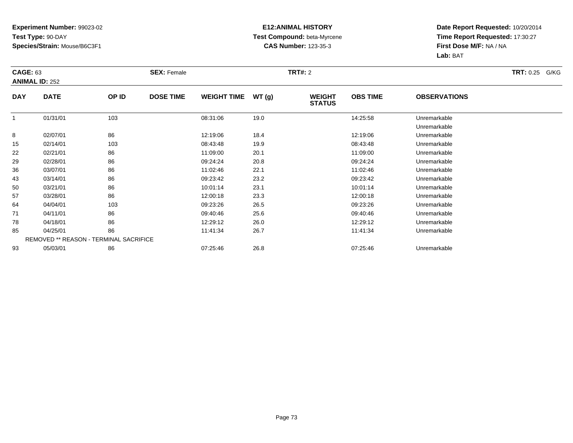#### **E12:ANIMAL HISTORY Test Compound:** beta-Myrcene**CAS Number:** 123-35-3

|            | <b>CAGE: 63</b><br><b>ANIMAL ID: 252</b> |                                        | <b>SEX: Female</b> |                    |       | <b>TRT#: 2</b>                 |                 | <b>TRT: 0.25</b><br>G/KG     |  |
|------------|------------------------------------------|----------------------------------------|--------------------|--------------------|-------|--------------------------------|-----------------|------------------------------|--|
| <b>DAY</b> | <b>DATE</b>                              | OP ID                                  | <b>DOSE TIME</b>   | <b>WEIGHT TIME</b> | WT(g) | <b>WEIGHT</b><br><b>STATUS</b> | <b>OBS TIME</b> | <b>OBSERVATIONS</b>          |  |
|            | 01/31/01                                 | 103                                    |                    | 08:31:06           | 19.0  |                                | 14:25:58        | Unremarkable<br>Unremarkable |  |
| 8          | 02/07/01                                 | 86                                     |                    | 12:19:06           | 18.4  |                                | 12:19:06        | Unremarkable                 |  |
| 15         | 02/14/01                                 | 103                                    |                    | 08:43:48           | 19.9  |                                | 08:43:48        | Unremarkable                 |  |
| 22         | 02/21/01                                 | 86                                     |                    | 11:09:00           | 20.1  |                                | 11:09:00        | Unremarkable                 |  |
| 29         | 02/28/01                                 | 86                                     |                    | 09:24:24           | 20.8  |                                | 09:24:24        | Unremarkable                 |  |
| 36         | 03/07/01                                 | 86                                     |                    | 11:02:46           | 22.1  |                                | 11:02:46        | Unremarkable                 |  |
| 43         | 03/14/01                                 | 86                                     |                    | 09:23:42           | 23.2  |                                | 09:23:42        | Unremarkable                 |  |
| 50         | 03/21/01                                 | 86                                     |                    | 10:01:14           | 23.1  |                                | 10:01:14        | Unremarkable                 |  |
| 57         | 03/28/01                                 | 86                                     |                    | 12:00:18           | 23.3  |                                | 12:00:18        | Unremarkable                 |  |
| 64         | 04/04/01                                 | 103                                    |                    | 09:23:26           | 26.5  |                                | 09:23:26        | Unremarkable                 |  |
| 71         | 04/11/01                                 | 86                                     |                    | 09:40:46           | 25.6  |                                | 09:40:46        | Unremarkable                 |  |
| 78         | 04/18/01                                 | 86                                     |                    | 12:29:12           | 26.0  |                                | 12:29:12        | Unremarkable                 |  |
| 85         | 04/25/01                                 | 86                                     |                    | 11:41:34           | 26.7  |                                | 11:41:34        | Unremarkable                 |  |
|            |                                          | REMOVED ** REASON - TERMINAL SACRIFICE |                    |                    |       |                                |                 |                              |  |
| 93         | 05/03/01                                 | 86                                     |                    | 07:25:46           | 26.8  |                                | 07:25:46        | Unremarkable                 |  |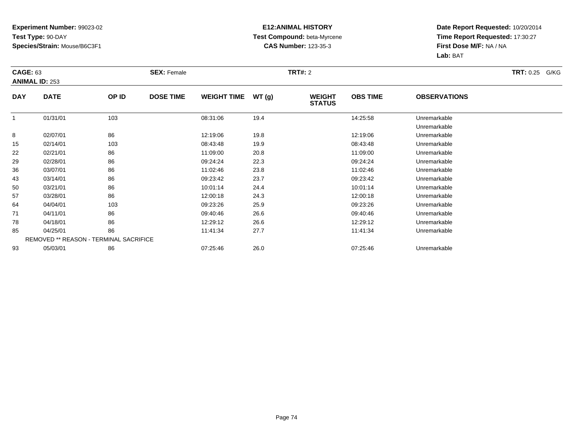#### **E12:ANIMAL HISTORY Test Compound:** beta-Myrcene**CAS Number:** 123-35-3

|            | <b>CAGE: 63</b><br><b>ANIMAL ID: 253</b> |                                        | <b>SEX: Female</b> |                    |       | <b>TRT#: 2</b>                 |                 | <b>TRT: 0.25</b><br>G/KG     |  |
|------------|------------------------------------------|----------------------------------------|--------------------|--------------------|-------|--------------------------------|-----------------|------------------------------|--|
| <b>DAY</b> | <b>DATE</b>                              | OP ID                                  | <b>DOSE TIME</b>   | <b>WEIGHT TIME</b> | WT(g) | <b>WEIGHT</b><br><b>STATUS</b> | <b>OBS TIME</b> | <b>OBSERVATIONS</b>          |  |
|            | 01/31/01                                 | 103                                    |                    | 08:31:06           | 19.4  |                                | 14:25:58        | Unremarkable<br>Unremarkable |  |
| 8          | 02/07/01                                 | 86                                     |                    | 12:19:06           | 19.8  |                                | 12:19:06        | Unremarkable                 |  |
| 15         | 02/14/01                                 | 103                                    |                    | 08:43:48           | 19.9  |                                | 08:43:48        | Unremarkable                 |  |
| 22         | 02/21/01                                 | 86                                     |                    | 11:09:00           | 20.8  |                                | 11:09:00        | Unremarkable                 |  |
| 29         | 02/28/01                                 | 86                                     |                    | 09:24:24           | 22.3  |                                | 09:24:24        | Unremarkable                 |  |
| 36         | 03/07/01                                 | 86                                     |                    | 11:02:46           | 23.8  |                                | 11:02:46        | Unremarkable                 |  |
| 43         | 03/14/01                                 | 86                                     |                    | 09:23:42           | 23.7  |                                | 09:23:42        | Unremarkable                 |  |
| 50         | 03/21/01                                 | 86                                     |                    | 10:01:14           | 24.4  |                                | 10:01:14        | Unremarkable                 |  |
| 57         | 03/28/01                                 | 86                                     |                    | 12:00:18           | 24.3  |                                | 12:00:18        | Unremarkable                 |  |
| 64         | 04/04/01                                 | 103                                    |                    | 09:23:26           | 25.9  |                                | 09:23:26        | Unremarkable                 |  |
| 71         | 04/11/01                                 | 86                                     |                    | 09:40:46           | 26.6  |                                | 09:40:46        | Unremarkable                 |  |
| 78         | 04/18/01                                 | 86                                     |                    | 12:29:12           | 26.6  |                                | 12:29:12        | Unremarkable                 |  |
| 85         | 04/25/01                                 | 86                                     |                    | 11:41:34           | 27.7  |                                | 11:41:34        | Unremarkable                 |  |
|            |                                          | REMOVED ** REASON - TERMINAL SACRIFICE |                    |                    |       |                                |                 |                              |  |
| 93         | 05/03/01                                 | 86                                     |                    | 07:25:46           | 26.0  |                                | 07:25:46        | Unremarkable                 |  |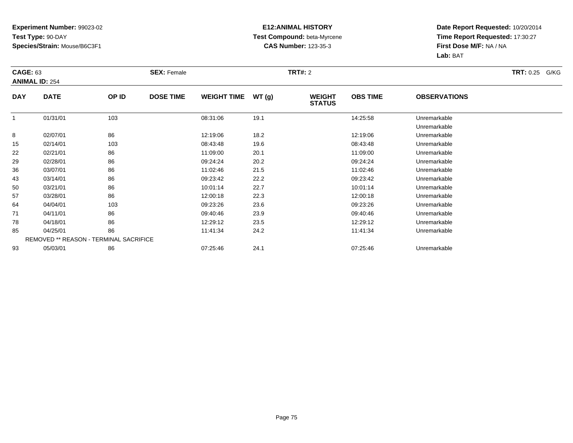#### **E12:ANIMAL HISTORY Test Compound:** beta-Myrcene**CAS Number:** 123-35-3

|            | <b>CAGE: 63</b><br><b>ANIMAL ID: 254</b> |                                        | <b>SEX: Female</b> |                    |       |                                | <b>TRT#:</b> 2  |                              |  |  |
|------------|------------------------------------------|----------------------------------------|--------------------|--------------------|-------|--------------------------------|-----------------|------------------------------|--|--|
| <b>DAY</b> | <b>DATE</b>                              | OP ID                                  | <b>DOSE TIME</b>   | <b>WEIGHT TIME</b> | WT(g) | <b>WEIGHT</b><br><b>STATUS</b> | <b>OBS TIME</b> | <b>OBSERVATIONS</b>          |  |  |
| 1          | 01/31/01                                 | 103                                    |                    | 08:31:06           | 19.1  |                                | 14:25:58        | Unremarkable<br>Unremarkable |  |  |
| 8          | 02/07/01                                 | 86                                     |                    | 12:19:06           | 18.2  |                                | 12:19:06        | Unremarkable                 |  |  |
| 15         | 02/14/01                                 | 103                                    |                    | 08:43:48           | 19.6  |                                | 08:43:48        | Unremarkable                 |  |  |
| 22         | 02/21/01                                 | 86                                     |                    | 11:09:00           | 20.1  |                                | 11:09:00        | Unremarkable                 |  |  |
| 29         | 02/28/01                                 | 86                                     |                    | 09:24:24           | 20.2  |                                | 09:24:24        | Unremarkable                 |  |  |
| 36         | 03/07/01                                 | 86                                     |                    | 11:02:46           | 21.5  |                                | 11:02:46        | Unremarkable                 |  |  |
| 43         | 03/14/01                                 | 86                                     |                    | 09:23:42           | 22.2  |                                | 09:23:42        | Unremarkable                 |  |  |
| 50         | 03/21/01                                 | 86                                     |                    | 10:01:14           | 22.7  |                                | 10:01:14        | Unremarkable                 |  |  |
| 57         | 03/28/01                                 | 86                                     |                    | 12:00:18           | 22.3  |                                | 12:00:18        | Unremarkable                 |  |  |
| 64         | 04/04/01                                 | 103                                    |                    | 09:23:26           | 23.6  |                                | 09:23:26        | Unremarkable                 |  |  |
| 71         | 04/11/01                                 | 86                                     |                    | 09:40:46           | 23.9  |                                | 09:40:46        | Unremarkable                 |  |  |
| 78         | 04/18/01                                 | 86                                     |                    | 12:29:12           | 23.5  |                                | 12:29:12        | Unremarkable                 |  |  |
| 85         | 04/25/01                                 | 86                                     |                    | 11:41:34           | 24.2  |                                | 11:41:34        | Unremarkable                 |  |  |
|            |                                          | REMOVED ** REASON - TERMINAL SACRIFICE |                    |                    |       |                                |                 |                              |  |  |
| 93         | 05/03/01                                 | 86                                     |                    | 07:25:46           | 24.1  |                                | 07:25:46        | Unremarkable                 |  |  |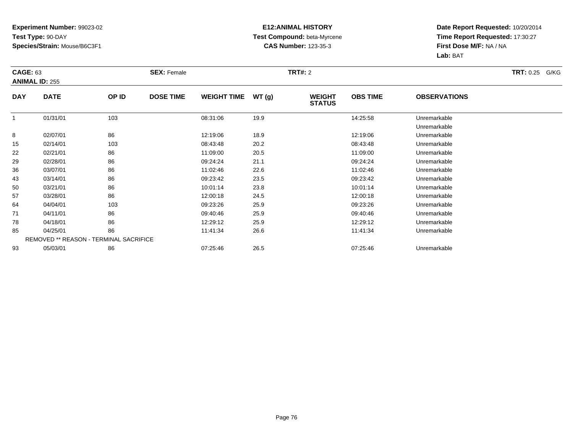#### **E12:ANIMAL HISTORY Test Compound:** beta-Myrcene**CAS Number:** 123-35-3

|            | <b>CAGE: 63</b><br><b>ANIMAL ID: 255</b> |       | <b>SEX: Female</b> |                    |       | <b>TRT#: 2</b>                 |                 | <b>TRT: 0.25</b><br>G/KG     |  |
|------------|------------------------------------------|-------|--------------------|--------------------|-------|--------------------------------|-----------------|------------------------------|--|
| <b>DAY</b> | <b>DATE</b>                              | OP ID | <b>DOSE TIME</b>   | <b>WEIGHT TIME</b> | WT(g) | <b>WEIGHT</b><br><b>STATUS</b> | <b>OBS TIME</b> | <b>OBSERVATIONS</b>          |  |
|            | 01/31/01                                 | 103   |                    | 08:31:06           | 19.9  |                                | 14:25:58        | Unremarkable<br>Unremarkable |  |
| 8          | 02/07/01                                 | 86    |                    | 12:19:06           | 18.9  |                                | 12:19:06        | Unremarkable                 |  |
| 15         | 02/14/01                                 | 103   |                    | 08:43:48           | 20.2  |                                | 08:43:48        | Unremarkable                 |  |
| 22         | 02/21/01                                 | 86    |                    | 11:09:00           | 20.5  |                                | 11:09:00        | Unremarkable                 |  |
| 29         | 02/28/01                                 | 86    |                    | 09:24:24           | 21.1  |                                | 09:24:24        | Unremarkable                 |  |
| 36         | 03/07/01                                 | 86    |                    | 11:02:46           | 22.6  |                                | 11:02:46        | Unremarkable                 |  |
| 43         | 03/14/01                                 | 86    |                    | 09:23:42           | 23.5  |                                | 09:23:42        | Unremarkable                 |  |
| 50         | 03/21/01                                 | 86    |                    | 10:01:14           | 23.8  |                                | 10:01:14        | Unremarkable                 |  |
| 57         | 03/28/01                                 | 86    |                    | 12:00:18           | 24.5  |                                | 12:00:18        | Unremarkable                 |  |
| 64         | 04/04/01                                 | 103   |                    | 09:23:26           | 25.9  |                                | 09:23:26        | Unremarkable                 |  |
| 71         | 04/11/01                                 | 86    |                    | 09:40:46           | 25.9  |                                | 09:40:46        | Unremarkable                 |  |
| 78         | 04/18/01                                 | 86    |                    | 12:29:12           | 25.9  |                                | 12:29:12        | Unremarkable                 |  |
| 85         | 04/25/01                                 | 86    |                    | 11:41:34           | 26.6  |                                | 11:41:34        | Unremarkable                 |  |
|            | REMOVED ** REASON - TERMINAL SACRIFICE   |       |                    |                    |       |                                |                 |                              |  |
| 93         | 05/03/01                                 | 86    |                    | 07:25:46           | 26.5  |                                | 07:25:46        | Unremarkable                 |  |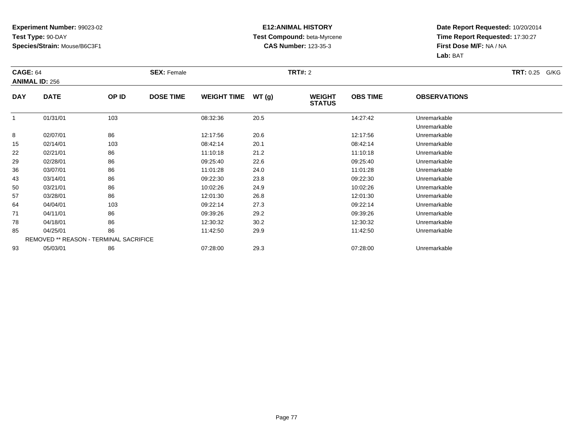#### **E12:ANIMAL HISTORY Test Compound:** beta-Myrcene**CAS Number:** 123-35-3

|            | <b>CAGE: 64</b><br><b>ANIMAL ID: 256</b> |       | <b>SEX: Female</b> |                    |       | <b>TRT#: 2</b>                 |                 | <b>TRT: 0.25</b><br>G/KG     |  |
|------------|------------------------------------------|-------|--------------------|--------------------|-------|--------------------------------|-----------------|------------------------------|--|
| <b>DAY</b> | <b>DATE</b>                              | OP ID | <b>DOSE TIME</b>   | <b>WEIGHT TIME</b> | WT(g) | <b>WEIGHT</b><br><b>STATUS</b> | <b>OBS TIME</b> | <b>OBSERVATIONS</b>          |  |
|            | 01/31/01                                 | 103   |                    | 08:32:36           | 20.5  |                                | 14:27:42        | Unremarkable<br>Unremarkable |  |
| 8          | 02/07/01                                 | 86    |                    | 12:17:56           | 20.6  |                                | 12:17:56        | Unremarkable                 |  |
| 15         | 02/14/01                                 | 103   |                    | 08:42:14           | 20.1  |                                | 08:42:14        | Unremarkable                 |  |
| 22         | 02/21/01                                 | 86    |                    | 11:10:18           | 21.2  |                                | 11:10:18        | Unremarkable                 |  |
| 29         | 02/28/01                                 | 86    |                    | 09:25:40           | 22.6  |                                | 09:25:40        | Unremarkable                 |  |
| 36         | 03/07/01                                 | 86    |                    | 11:01:28           | 24.0  |                                | 11:01:28        | Unremarkable                 |  |
| 43         | 03/14/01                                 | 86    |                    | 09:22:30           | 23.8  |                                | 09:22:30        | Unremarkable                 |  |
| 50         | 03/21/01                                 | 86    |                    | 10:02:26           | 24.9  |                                | 10:02:26        | Unremarkable                 |  |
| 57         | 03/28/01                                 | 86    |                    | 12:01:30           | 26.8  |                                | 12:01:30        | Unremarkable                 |  |
| 64         | 04/04/01                                 | 103   |                    | 09:22:14           | 27.3  |                                | 09:22:14        | Unremarkable                 |  |
| 71         | 04/11/01                                 | 86    |                    | 09:39:26           | 29.2  |                                | 09:39:26        | Unremarkable                 |  |
| 78         | 04/18/01                                 | 86    |                    | 12:30:32           | 30.2  |                                | 12:30:32        | Unremarkable                 |  |
| 85         | 04/25/01                                 | 86    |                    | 11:42:50           | 29.9  |                                | 11:42:50        | Unremarkable                 |  |
|            | REMOVED ** REASON - TERMINAL SACRIFICE   |       |                    |                    |       |                                |                 |                              |  |
| 93         | 05/03/01                                 | 86    |                    | 07:28:00           | 29.3  |                                | 07:28:00        | Unremarkable                 |  |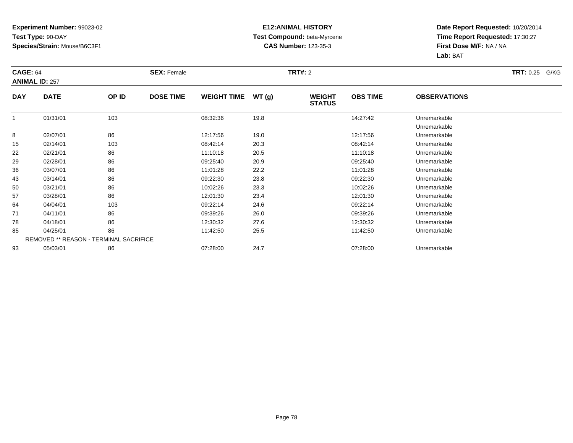#### **E12:ANIMAL HISTORY Test Compound:** beta-Myrcene**CAS Number:** 123-35-3

|            | <b>CAGE: 64</b><br><b>ANIMAL ID: 257</b> |       | <b>SEX: Female</b> |                    |       |                                | <b>TRT#: 2</b>  |                              |  |  |
|------------|------------------------------------------|-------|--------------------|--------------------|-------|--------------------------------|-----------------|------------------------------|--|--|
| <b>DAY</b> | <b>DATE</b>                              | OP ID | <b>DOSE TIME</b>   | <b>WEIGHT TIME</b> | WT(g) | <b>WEIGHT</b><br><b>STATUS</b> | <b>OBS TIME</b> | <b>OBSERVATIONS</b>          |  |  |
| 1          | 01/31/01                                 | 103   |                    | 08:32:36           | 19.8  |                                | 14:27:42        | Unremarkable<br>Unremarkable |  |  |
| 8          | 02/07/01                                 | 86    |                    | 12:17:56           | 19.0  |                                | 12:17:56        | Unremarkable                 |  |  |
| 15         | 02/14/01                                 | 103   |                    | 08:42:14           | 20.3  |                                | 08:42:14        | Unremarkable                 |  |  |
| 22         | 02/21/01                                 | 86    |                    | 11:10:18           | 20.5  |                                | 11:10:18        | Unremarkable                 |  |  |
| 29         | 02/28/01                                 | 86    |                    | 09:25:40           | 20.9  |                                | 09:25:40        | Unremarkable                 |  |  |
| 36         | 03/07/01                                 | 86    |                    | 11:01:28           | 22.2  |                                | 11:01:28        | Unremarkable                 |  |  |
| 43         | 03/14/01                                 | 86    |                    | 09:22:30           | 23.8  |                                | 09:22:30        | Unremarkable                 |  |  |
| 50         | 03/21/01                                 | 86    |                    | 10:02:26           | 23.3  |                                | 10:02:26        | Unremarkable                 |  |  |
| 57         | 03/28/01                                 | 86    |                    | 12:01:30           | 23.4  |                                | 12:01:30        | Unremarkable                 |  |  |
| 64         | 04/04/01                                 | 103   |                    | 09:22:14           | 24.6  |                                | 09:22:14        | Unremarkable                 |  |  |
| 71         | 04/11/01                                 | 86    |                    | 09:39:26           | 26.0  |                                | 09:39:26        | Unremarkable                 |  |  |
| 78         | 04/18/01                                 | 86    |                    | 12:30:32           | 27.6  |                                | 12:30:32        | Unremarkable                 |  |  |
| 85         | 04/25/01                                 | 86    |                    | 11:42:50           | 25.5  |                                | 11:42:50        | Unremarkable                 |  |  |
|            | REMOVED ** REASON - TERMINAL SACRIFICE   |       |                    |                    |       |                                |                 |                              |  |  |
| 93         | 05/03/01                                 | 86    |                    | 07:28:00           | 24.7  |                                | 07:28:00        | Unremarkable                 |  |  |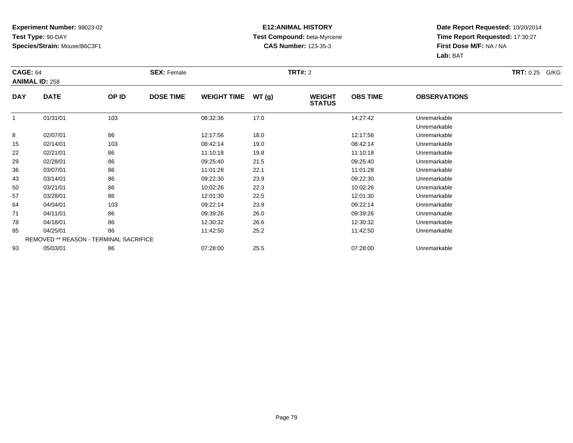#### **E12:ANIMAL HISTORY Test Compound:** beta-Myrcene**CAS Number:** 123-35-3

|            | <b>CAGE: 64</b><br><b>ANIMAL ID: 258</b> |                                        | <b>SEX: Female</b> |                    |       |                                | <b>TRT#: 2</b>  |                              |  |  |
|------------|------------------------------------------|----------------------------------------|--------------------|--------------------|-------|--------------------------------|-----------------|------------------------------|--|--|
| <b>DAY</b> | <b>DATE</b>                              | OP ID                                  | <b>DOSE TIME</b>   | <b>WEIGHT TIME</b> | WT(g) | <b>WEIGHT</b><br><b>STATUS</b> | <b>OBS TIME</b> | <b>OBSERVATIONS</b>          |  |  |
|            | 01/31/01                                 | 103                                    |                    | 08:32:36           | 17.0  |                                | 14:27:42        | Unremarkable<br>Unremarkable |  |  |
| 8          | 02/07/01                                 | 86                                     |                    | 12:17:56           | 18.0  |                                | 12:17:56        | Unremarkable                 |  |  |
| 15         | 02/14/01                                 | 103                                    |                    | 08:42:14           | 19.0  |                                | 08:42:14        | Unremarkable                 |  |  |
| 22         | 02/21/01                                 | 86                                     |                    | 11:10:18           | 19.8  |                                | 11:10:18        | Unremarkable                 |  |  |
| 29         | 02/28/01                                 | 86                                     |                    | 09:25:40           | 21.5  |                                | 09:25:40        | Unremarkable                 |  |  |
| 36         | 03/07/01                                 | 86                                     |                    | 11:01:28           | 22.1  |                                | 11:01:28        | Unremarkable                 |  |  |
| 43         | 03/14/01                                 | 86                                     |                    | 09:22:30           | 23.9  |                                | 09:22:30        | Unremarkable                 |  |  |
| 50         | 03/21/01                                 | 86                                     |                    | 10:02:26           | 22.3  |                                | 10:02:26        | Unremarkable                 |  |  |
| 57         | 03/28/01                                 | 86                                     |                    | 12:01:30           | 22.5  |                                | 12:01:30        | Unremarkable                 |  |  |
| 64         | 04/04/01                                 | 103                                    |                    | 09:22:14           | 23.9  |                                | 09:22:14        | Unremarkable                 |  |  |
| 71         | 04/11/01                                 | 86                                     |                    | 09:39:26           | 26.0  |                                | 09:39:26        | Unremarkable                 |  |  |
| 78         | 04/18/01                                 | 86                                     |                    | 12:30:32           | 26.6  |                                | 12:30:32        | Unremarkable                 |  |  |
| 85         | 04/25/01                                 | 86                                     |                    | 11:42:50           | 25.2  |                                | 11:42:50        | Unremarkable                 |  |  |
|            |                                          | REMOVED ** REASON - TERMINAL SACRIFICE |                    |                    |       |                                |                 |                              |  |  |
| 93         | 05/03/01                                 | 86                                     |                    | 07:28:00           | 25.5  |                                | 07:28:00        | Unremarkable                 |  |  |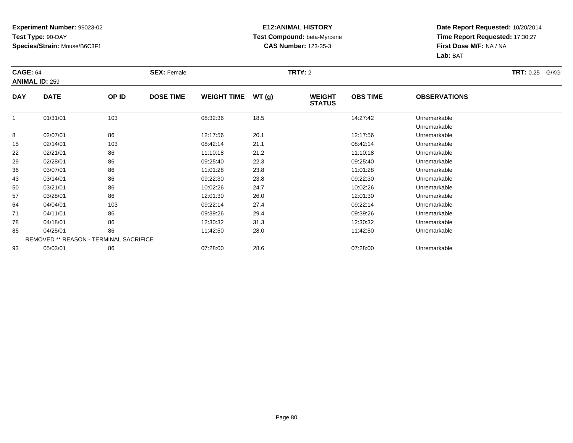#### **E12:ANIMAL HISTORY Test Compound:** beta-Myrcene**CAS Number:** 123-35-3

|            | <b>CAGE: 64</b><br><b>ANIMAL ID: 259</b> |       | <b>SEX: Female</b> |                    |       | <b>TRT#: 2</b>                 |                 | <b>TRT: 0.25</b><br>G/KG     |  |
|------------|------------------------------------------|-------|--------------------|--------------------|-------|--------------------------------|-----------------|------------------------------|--|
| <b>DAY</b> | <b>DATE</b>                              | OP ID | <b>DOSE TIME</b>   | <b>WEIGHT TIME</b> | WT(g) | <b>WEIGHT</b><br><b>STATUS</b> | <b>OBS TIME</b> | <b>OBSERVATIONS</b>          |  |
|            | 01/31/01                                 | 103   |                    | 08:32:36           | 18.5  |                                | 14:27:42        | Unremarkable<br>Unremarkable |  |
| 8          | 02/07/01                                 | 86    |                    | 12:17:56           | 20.1  |                                | 12:17:56        | Unremarkable                 |  |
| 15         | 02/14/01                                 | 103   |                    | 08:42:14           | 21.1  |                                | 08:42:14        | Unremarkable                 |  |
| 22         | 02/21/01                                 | 86    |                    | 11:10:18           | 21.2  |                                | 11:10:18        | Unremarkable                 |  |
| 29         | 02/28/01                                 | 86    |                    | 09:25:40           | 22.3  |                                | 09:25:40        | Unremarkable                 |  |
| 36         | 03/07/01                                 | 86    |                    | 11:01:28           | 23.8  |                                | 11:01:28        | Unremarkable                 |  |
| 43         | 03/14/01                                 | 86    |                    | 09:22:30           | 23.8  |                                | 09:22:30        | Unremarkable                 |  |
| 50         | 03/21/01                                 | 86    |                    | 10:02:26           | 24.7  |                                | 10:02:26        | Unremarkable                 |  |
| 57         | 03/28/01                                 | 86    |                    | 12:01:30           | 26.0  |                                | 12:01:30        | Unremarkable                 |  |
| 64         | 04/04/01                                 | 103   |                    | 09:22:14           | 27.4  |                                | 09:22:14        | Unremarkable                 |  |
| 71         | 04/11/01                                 | 86    |                    | 09:39:26           | 29.4  |                                | 09:39:26        | Unremarkable                 |  |
| 78         | 04/18/01                                 | 86    |                    | 12:30:32           | 31.3  |                                | 12:30:32        | Unremarkable                 |  |
| 85         | 04/25/01                                 | 86    |                    | 11:42:50           | 28.0  |                                | 11:42:50        | Unremarkable                 |  |
|            | REMOVED ** REASON - TERMINAL SACRIFICE   |       |                    |                    |       |                                |                 |                              |  |
| 93         | 05/03/01                                 | 86    |                    | 07:28:00           | 28.6  |                                | 07:28:00        | Unremarkable                 |  |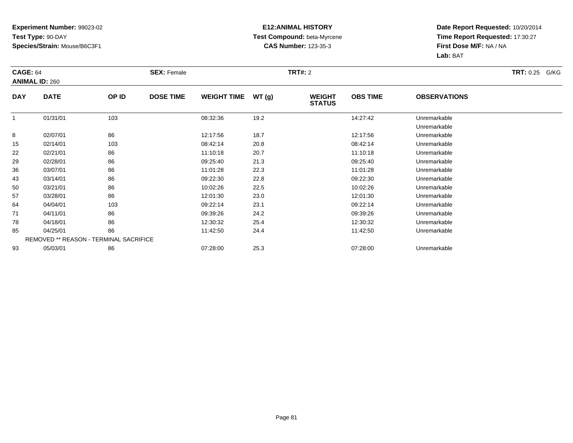#### **E12:ANIMAL HISTORY Test Compound:** beta-Myrcene**CAS Number:** 123-35-3

|            | <b>CAGE: 64</b><br><b>ANIMAL ID: 260</b> |       | <b>SEX: Female</b> |                    |       |                                | <b>TRT#: 2</b>  |                              |  |  |
|------------|------------------------------------------|-------|--------------------|--------------------|-------|--------------------------------|-----------------|------------------------------|--|--|
| <b>DAY</b> | <b>DATE</b>                              | OP ID | <b>DOSE TIME</b>   | <b>WEIGHT TIME</b> | WT(g) | <b>WEIGHT</b><br><b>STATUS</b> | <b>OBS TIME</b> | <b>OBSERVATIONS</b>          |  |  |
|            | 01/31/01                                 | 103   |                    | 08:32:36           | 19.2  |                                | 14:27:42        | Unremarkable<br>Unremarkable |  |  |
| 8          | 02/07/01                                 | 86    |                    | 12:17:56           | 18.7  |                                | 12:17:56        | Unremarkable                 |  |  |
| 15         | 02/14/01                                 | 103   |                    | 08:42:14           | 20.8  |                                | 08:42:14        | Unremarkable                 |  |  |
| 22         | 02/21/01                                 | 86    |                    | 11:10:18           | 20.7  |                                | 11:10:18        | Unremarkable                 |  |  |
| 29         | 02/28/01                                 | 86    |                    | 09:25:40           | 21.3  |                                | 09:25:40        | Unremarkable                 |  |  |
| 36         | 03/07/01                                 | 86    |                    | 11:01:28           | 22.3  |                                | 11:01:28        | Unremarkable                 |  |  |
| 43         | 03/14/01                                 | 86    |                    | 09:22:30           | 22.8  |                                | 09:22:30        | Unremarkable                 |  |  |
| 50         | 03/21/01                                 | 86    |                    | 10:02:26           | 22.5  |                                | 10:02:26        | Unremarkable                 |  |  |
| 57         | 03/28/01                                 | 86    |                    | 12:01:30           | 23.0  |                                | 12:01:30        | Unremarkable                 |  |  |
| 64         | 04/04/01                                 | 103   |                    | 09:22:14           | 23.1  |                                | 09:22:14        | Unremarkable                 |  |  |
| 71         | 04/11/01                                 | 86    |                    | 09:39:26           | 24.2  |                                | 09:39:26        | Unremarkable                 |  |  |
| 78         | 04/18/01                                 | 86    |                    | 12:30:32           | 25.4  |                                | 12:30:32        | Unremarkable                 |  |  |
| 85         | 04/25/01                                 | 86    |                    | 11:42:50           | 24.4  |                                | 11:42:50        | Unremarkable                 |  |  |
|            | REMOVED ** REASON - TERMINAL SACRIFICE   |       |                    |                    |       |                                |                 |                              |  |  |
| 93         | 05/03/01                                 | 86    |                    | 07:28:00           | 25.3  |                                | 07:28:00        | Unremarkable                 |  |  |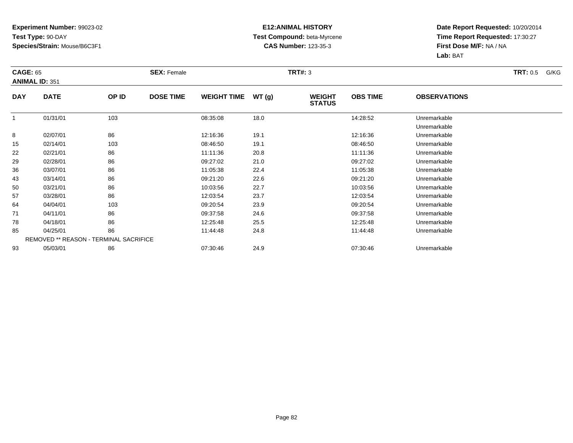#### **E12:ANIMAL HISTORY Test Compound:** beta-Myrcene**CAS Number:** 123-35-3

| <b>CAGE: 65</b> | <b>ANIMAL ID: 351</b> |                                        | <b>SEX: Female</b> |                    |       | <b>TRT#: 3</b>                 |                 |                              | <b>TRT:</b> 0.5<br>G/KG |
|-----------------|-----------------------|----------------------------------------|--------------------|--------------------|-------|--------------------------------|-----------------|------------------------------|-------------------------|
| <b>DAY</b>      | <b>DATE</b>           | OP ID                                  | <b>DOSE TIME</b>   | <b>WEIGHT TIME</b> | WT(g) | <b>WEIGHT</b><br><b>STATUS</b> | <b>OBS TIME</b> | <b>OBSERVATIONS</b>          |                         |
|                 | 01/31/01              | 103                                    |                    | 08:35:08           | 18.0  |                                | 14:28:52        | Unremarkable<br>Unremarkable |                         |
| 8               | 02/07/01              | 86                                     |                    | 12:16:36           | 19.1  |                                | 12:16:36        | Unremarkable                 |                         |
| 15              | 02/14/01              | 103                                    |                    | 08:46:50           | 19.1  |                                | 08:46:50        | Unremarkable                 |                         |
| 22              | 02/21/01              | 86                                     |                    | 11:11:36           | 20.8  |                                | 11:11:36        | Unremarkable                 |                         |
| 29              | 02/28/01              | 86                                     |                    | 09:27:02           | 21.0  |                                | 09:27:02        | Unremarkable                 |                         |
| 36              | 03/07/01              | 86                                     |                    | 11:05:38           | 22.4  |                                | 11:05:38        | Unremarkable                 |                         |
| 43              | 03/14/01              | 86                                     |                    | 09:21:20           | 22.6  |                                | 09:21:20        | Unremarkable                 |                         |
| 50              | 03/21/01              | 86                                     |                    | 10:03:56           | 22.7  |                                | 10:03:56        | Unremarkable                 |                         |
| 57              | 03/28/01              | 86                                     |                    | 12:03:54           | 23.7  |                                | 12:03:54        | Unremarkable                 |                         |
| 64              | 04/04/01              | 103                                    |                    | 09:20:54           | 23.9  |                                | 09:20:54        | Unremarkable                 |                         |
| 71              | 04/11/01              | 86                                     |                    | 09:37:58           | 24.6  |                                | 09:37:58        | Unremarkable                 |                         |
| 78              | 04/18/01              | 86                                     |                    | 12:25:48           | 25.5  |                                | 12:25:48        | Unremarkable                 |                         |
| 85              | 04/25/01              | 86                                     |                    | 11:44:48           | 24.8  |                                | 11:44:48        | Unremarkable                 |                         |
|                 |                       | REMOVED ** REASON - TERMINAL SACRIFICE |                    |                    |       |                                |                 |                              |                         |
| 93              | 05/03/01              | 86                                     |                    | 07:30:46           | 24.9  |                                | 07:30:46        | Unremarkable                 |                         |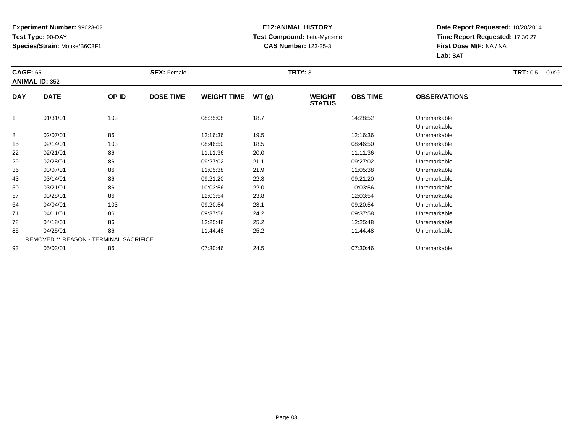#### **E12:ANIMAL HISTORY Test Compound:** beta-Myrcene**CAS Number:** 123-35-3

| <b>CAGE: 65</b> | <b>ANIMAL ID: 352</b>                  |       | <b>SEX: Female</b> |                    |       | <b>TRT#: 3</b>                 |                 |                              | <b>TRT:</b> 0.5<br>G/KG |
|-----------------|----------------------------------------|-------|--------------------|--------------------|-------|--------------------------------|-----------------|------------------------------|-------------------------|
| <b>DAY</b>      | <b>DATE</b>                            | OP ID | <b>DOSE TIME</b>   | <b>WEIGHT TIME</b> | WT(g) | <b>WEIGHT</b><br><b>STATUS</b> | <b>OBS TIME</b> | <b>OBSERVATIONS</b>          |                         |
|                 | 01/31/01                               | 103   |                    | 08:35:08           | 18.7  |                                | 14:28:52        | Unremarkable<br>Unremarkable |                         |
| 8               | 02/07/01                               | 86    |                    | 12:16:36           | 19.5  |                                | 12:16:36        | Unremarkable                 |                         |
| 15              | 02/14/01                               | 103   |                    | 08:46:50           | 18.5  |                                | 08:46:50        | Unremarkable                 |                         |
| 22              | 02/21/01                               | 86    |                    | 11:11:36           | 20.0  |                                | 11:11:36        | Unremarkable                 |                         |
| 29              | 02/28/01                               | 86    |                    | 09:27:02           | 21.1  |                                | 09:27:02        | Unremarkable                 |                         |
| 36              | 03/07/01                               | 86    |                    | 11:05:38           | 21.9  |                                | 11:05:38        | Unremarkable                 |                         |
| 43              | 03/14/01                               | 86    |                    | 09:21:20           | 22.3  |                                | 09:21:20        | Unremarkable                 |                         |
| 50              | 03/21/01                               | 86    |                    | 10:03:56           | 22.0  |                                | 10:03:56        | Unremarkable                 |                         |
| 57              | 03/28/01                               | 86    |                    | 12:03:54           | 23.8  |                                | 12:03:54        | Unremarkable                 |                         |
| 64              | 04/04/01                               | 103   |                    | 09:20:54           | 23.1  |                                | 09:20:54        | Unremarkable                 |                         |
| 71              | 04/11/01                               | 86    |                    | 09:37:58           | 24.2  |                                | 09:37:58        | Unremarkable                 |                         |
| 78              | 04/18/01                               | 86    |                    | 12:25:48           | 25.2  |                                | 12:25:48        | Unremarkable                 |                         |
| 85              | 04/25/01                               | 86    |                    | 11:44:48           | 25.2  |                                | 11:44:48        | Unremarkable                 |                         |
|                 | REMOVED ** REASON - TERMINAL SACRIFICE |       |                    |                    |       |                                |                 |                              |                         |
| 93              | 05/03/01                               | 86    |                    | 07:30:46           | 24.5  |                                | 07:30:46        | Unremarkable                 |                         |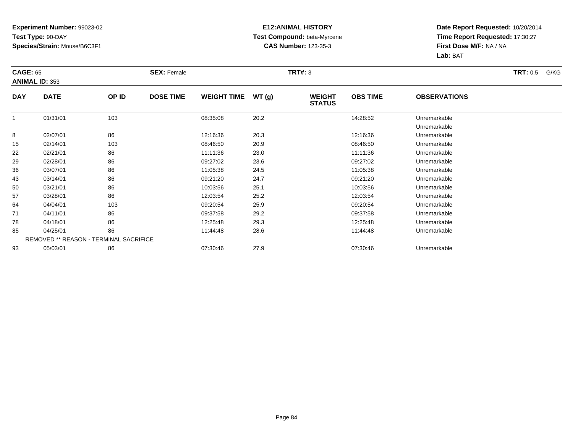#### **E12:ANIMAL HISTORY Test Compound:** beta-Myrcene**CAS Number:** 123-35-3

| <b>CAGE: 65</b> | <b>ANIMAL ID: 353</b> |                                        | <b>SEX: Female</b> |                    |       | <b>TRT#: 3</b>                 |                 |                              | <b>TRT:</b> 0.5<br>G/KG |
|-----------------|-----------------------|----------------------------------------|--------------------|--------------------|-------|--------------------------------|-----------------|------------------------------|-------------------------|
| <b>DAY</b>      | <b>DATE</b>           | OP ID                                  | <b>DOSE TIME</b>   | <b>WEIGHT TIME</b> | WT(g) | <b>WEIGHT</b><br><b>STATUS</b> | <b>OBS TIME</b> | <b>OBSERVATIONS</b>          |                         |
|                 | 01/31/01              | 103                                    |                    | 08:35:08           | 20.2  |                                | 14:28:52        | Unremarkable<br>Unremarkable |                         |
| 8               | 02/07/01              | 86                                     |                    | 12:16:36           | 20.3  |                                | 12:16:36        | Unremarkable                 |                         |
| 15              | 02/14/01              | 103                                    |                    | 08:46:50           | 20.9  |                                | 08:46:50        | Unremarkable                 |                         |
| 22              | 02/21/01              | 86                                     |                    | 11:11:36           | 23.0  |                                | 11:11:36        | Unremarkable                 |                         |
| 29              | 02/28/01              | 86                                     |                    | 09:27:02           | 23.6  |                                | 09:27:02        | Unremarkable                 |                         |
| 36              | 03/07/01              | 86                                     |                    | 11:05:38           | 24.5  |                                | 11:05:38        | Unremarkable                 |                         |
| 43              | 03/14/01              | 86                                     |                    | 09:21:20           | 24.7  |                                | 09:21:20        | Unremarkable                 |                         |
| 50              | 03/21/01              | 86                                     |                    | 10:03:56           | 25.1  |                                | 10:03:56        | Unremarkable                 |                         |
| 57              | 03/28/01              | 86                                     |                    | 12:03:54           | 25.2  |                                | 12:03:54        | Unremarkable                 |                         |
| 64              | 04/04/01              | 103                                    |                    | 09:20:54           | 25.9  |                                | 09:20:54        | Unremarkable                 |                         |
| 71              | 04/11/01              | 86                                     |                    | 09:37:58           | 29.2  |                                | 09:37:58        | Unremarkable                 |                         |
| 78              | 04/18/01              | 86                                     |                    | 12:25:48           | 29.3  |                                | 12:25:48        | Unremarkable                 |                         |
| 85              | 04/25/01              | 86                                     |                    | 11:44:48           | 28.6  |                                | 11:44:48        | Unremarkable                 |                         |
|                 |                       | REMOVED ** REASON - TERMINAL SACRIFICE |                    |                    |       |                                |                 |                              |                         |
| 93              | 05/03/01              | 86                                     |                    | 07:30:46           | 27.9  |                                | 07:30:46        | Unremarkable                 |                         |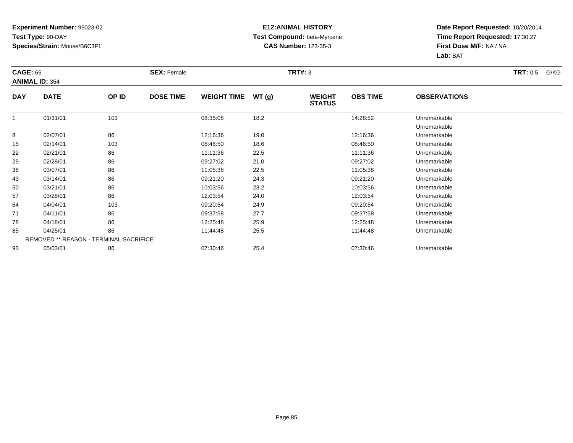#### **E12:ANIMAL HISTORY Test Compound:** beta-Myrcene**CAS Number:** 123-35-3

| <b>CAGE: 65</b> |                       |                                        | <b>SEX: Female</b> |                    |                                         | <b>TRT#: 3</b>  |                     |                              | <b>TRT:</b> 0.5<br>G/KG |
|-----------------|-----------------------|----------------------------------------|--------------------|--------------------|-----------------------------------------|-----------------|---------------------|------------------------------|-------------------------|
|                 | <b>ANIMAL ID: 354</b> |                                        |                    |                    |                                         |                 |                     |                              |                         |
| <b>DAY</b>      | <b>DATE</b>           | OP ID                                  | <b>DOSE TIME</b>   | <b>WEIGHT TIME</b> | WT(g)<br><b>WEIGHT</b><br><b>STATUS</b> | <b>OBS TIME</b> | <b>OBSERVATIONS</b> |                              |                         |
| $\mathbf{1}$    | 01/31/01              | 103                                    |                    | 08:35:08           | 18.2                                    |                 | 14:28:52            | Unremarkable<br>Unremarkable |                         |
| 8               | 02/07/01              | 86                                     |                    | 12:16:36           | 19.0                                    |                 | 12:16:36            | Unremarkable                 |                         |
| 15              | 02/14/01              | 103                                    |                    | 08:46:50           | 18.6                                    |                 | 08:46:50            | Unremarkable                 |                         |
| 22              | 02/21/01              | 86                                     |                    | 11:11:36           | 22.5                                    |                 | 11:11:36            | Unremarkable                 |                         |
| 29              | 02/28/01              | 86                                     |                    | 09:27:02           | 21.0                                    |                 | 09:27:02            | Unremarkable                 |                         |
| 36              | 03/07/01              | 86                                     |                    | 11:05:38           | 22.5                                    |                 | 11:05:38            | Unremarkable                 |                         |
| 43              | 03/14/01              | 86                                     |                    | 09:21:20           | 24.3                                    |                 | 09:21:20            | Unremarkable                 |                         |
| 50              | 03/21/01              | 86                                     |                    | 10:03:56           | 23.2                                    |                 | 10:03:56            | Unremarkable                 |                         |
| 57              | 03/28/01              | 86                                     |                    | 12:03:54           | 24.0                                    |                 | 12:03:54            | Unremarkable                 |                         |
| 64              | 04/04/01              | 103                                    |                    | 09:20:54           | 24.9                                    |                 | 09:20:54            | Unremarkable                 |                         |
| 71              | 04/11/01              | 86                                     |                    | 09:37:58           | 27.7                                    |                 | 09:37:58            | Unremarkable                 |                         |
| 78              | 04/18/01              | 86                                     |                    | 12:25:48           | 25.9                                    |                 | 12:25:48            | Unremarkable                 |                         |
| 85              | 04/25/01              | 86                                     |                    | 11:44:48           | 25.5                                    |                 | 11:44:48            | Unremarkable                 |                         |
|                 |                       | REMOVED ** REASON - TERMINAL SACRIFICE |                    |                    |                                         |                 |                     |                              |                         |
| 93              | 05/03/01              | 86                                     |                    | 07:30:46           | 25.4                                    |                 | 07:30:46            | Unremarkable                 |                         |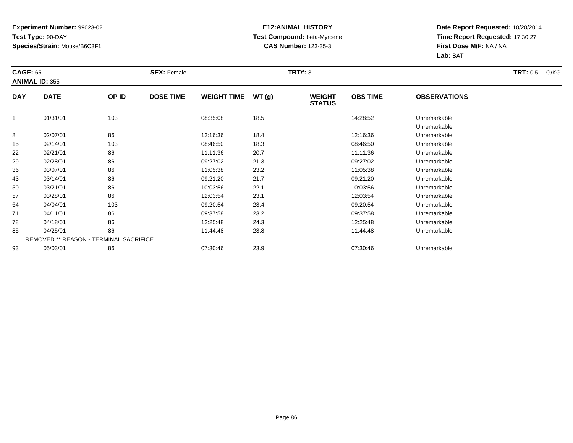#### **E12:ANIMAL HISTORY Test Compound:** beta-Myrcene**CAS Number:** 123-35-3

| <b>CAGE: 65</b> |                                        |       | <b>SEX: Female</b> |                    |       | <b>TRT#: 3</b>                 |                 |                              | <b>TRT:</b> 0.5<br>G/KG |
|-----------------|----------------------------------------|-------|--------------------|--------------------|-------|--------------------------------|-----------------|------------------------------|-------------------------|
|                 | <b>ANIMAL ID: 355</b>                  |       |                    |                    |       |                                |                 |                              |                         |
| <b>DAY</b>      | <b>DATE</b>                            | OP ID | <b>DOSE TIME</b>   | <b>WEIGHT TIME</b> | WT(g) | <b>WEIGHT</b><br><b>STATUS</b> | <b>OBS TIME</b> | <b>OBSERVATIONS</b>          |                         |
|                 | 01/31/01                               | 103   |                    | 08:35:08           | 18.5  |                                | 14:28:52        | Unremarkable<br>Unremarkable |                         |
| 8               | 02/07/01                               | 86    |                    | 12:16:36           | 18.4  |                                | 12:16:36        | Unremarkable                 |                         |
| 15              | 02/14/01                               | 103   |                    | 08:46:50           | 18.3  |                                | 08:46:50        | Unremarkable                 |                         |
| 22              | 02/21/01                               | 86    |                    | 11:11:36           | 20.7  |                                | 11:11:36        | Unremarkable                 |                         |
| 29              | 02/28/01                               | 86    |                    | 09:27:02           | 21.3  |                                | 09:27:02        | Unremarkable                 |                         |
| 36              | 03/07/01                               | 86    |                    | 11:05:38           | 23.2  |                                | 11:05:38        | Unremarkable                 |                         |
| 43              | 03/14/01                               | 86    |                    | 09:21:20           | 21.7  |                                | 09:21:20        | Unremarkable                 |                         |
| 50              | 03/21/01                               | 86    |                    | 10:03:56           | 22.1  |                                | 10:03:56        | Unremarkable                 |                         |
| 57              | 03/28/01                               | 86    |                    | 12:03:54           | 23.1  |                                | 12:03:54        | Unremarkable                 |                         |
| 64              | 04/04/01                               | 103   |                    | 09:20:54           | 23.4  |                                | 09:20:54        | Unremarkable                 |                         |
| 71              | 04/11/01                               | 86    |                    | 09:37:58           | 23.2  |                                | 09:37:58        | Unremarkable                 |                         |
| 78              | 04/18/01                               | 86    |                    | 12:25:48           | 24.3  |                                | 12:25:48        | Unremarkable                 |                         |
| 85              | 04/25/01                               | 86    |                    | 11:44:48           | 23.8  |                                | 11:44:48        | Unremarkable                 |                         |
|                 | REMOVED ** REASON - TERMINAL SACRIFICE |       |                    |                    |       |                                |                 |                              |                         |
| 93              | 05/03/01                               | 86    |                    | 07:30:46           | 23.9  |                                | 07:30:46        | Unremarkable                 |                         |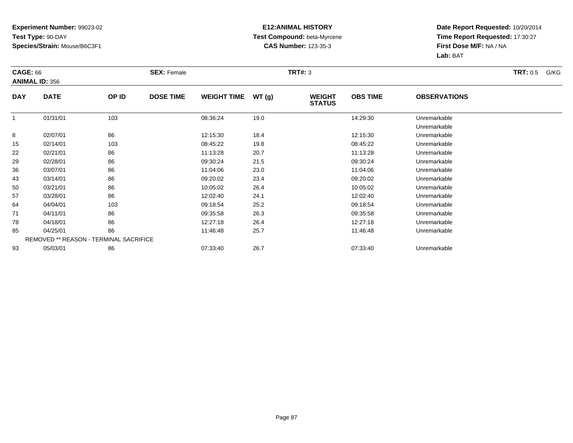#### **E12:ANIMAL HISTORY Test Compound:** beta-Myrcene**CAS Number:** 123-35-3

| <b>CAGE: 66</b> | <b>ANIMAL ID: 356</b> |                                        | <b>SEX: Female</b> |                    |       | <b>TRT#: 3</b>                 |                 |                              | <b>TRT:</b> 0.5<br>G/KG |
|-----------------|-----------------------|----------------------------------------|--------------------|--------------------|-------|--------------------------------|-----------------|------------------------------|-------------------------|
| <b>DAY</b>      | <b>DATE</b>           | OP ID                                  | <b>DOSE TIME</b>   | <b>WEIGHT TIME</b> | WT(g) | <b>WEIGHT</b><br><b>STATUS</b> | <b>OBS TIME</b> | <b>OBSERVATIONS</b>          |                         |
|                 | 01/31/01              | 103                                    |                    | 08:36:24           | 19.0  |                                | 14:29:30        | Unremarkable<br>Unremarkable |                         |
| 8               | 02/07/01              | 86                                     |                    | 12:15:30           | 18.4  |                                | 12:15:30        | Unremarkable                 |                         |
| 15              | 02/14/01              | 103                                    |                    | 08:45:22           | 19.8  |                                | 08:45:22        | Unremarkable                 |                         |
| 22              | 02/21/01              | 86                                     |                    | 11:13:28           | 20.7  |                                | 11:13:28        | Unremarkable                 |                         |
| 29              | 02/28/01              | 86                                     |                    | 09:30:24           | 21.5  |                                | 09:30:24        | Unremarkable                 |                         |
| 36              | 03/07/01              | 86                                     |                    | 11:04:06           | 23.0  |                                | 11:04:06        | Unremarkable                 |                         |
| 43              | 03/14/01              | 86                                     |                    | 09:20:02           | 23.4  |                                | 09:20:02        | Unremarkable                 |                         |
| 50              | 03/21/01              | 86                                     |                    | 10:05:02           | 26.4  |                                | 10:05:02        | Unremarkable                 |                         |
| 57              | 03/28/01              | 86                                     |                    | 12:02:40           | 24.1  |                                | 12:02:40        | Unremarkable                 |                         |
| 64              | 04/04/01              | 103                                    |                    | 09:18:54           | 25.2  |                                | 09:18:54        | Unremarkable                 |                         |
| 71              | 04/11/01              | 86                                     |                    | 09:35:58           | 26.3  |                                | 09:35:58        | Unremarkable                 |                         |
| 78              | 04/18/01              | 86                                     |                    | 12:27:18           | 26.4  |                                | 12:27:18        | Unremarkable                 |                         |
| 85              | 04/25/01              | 86                                     |                    | 11:46:48           | 25.7  |                                | 11:46:48        | Unremarkable                 |                         |
|                 |                       | REMOVED ** REASON - TERMINAL SACRIFICE |                    |                    |       |                                |                 |                              |                         |
| 93              | 05/03/01              | 86                                     |                    | 07:33:40           | 26.7  |                                | 07:33:40        | Unremarkable                 |                         |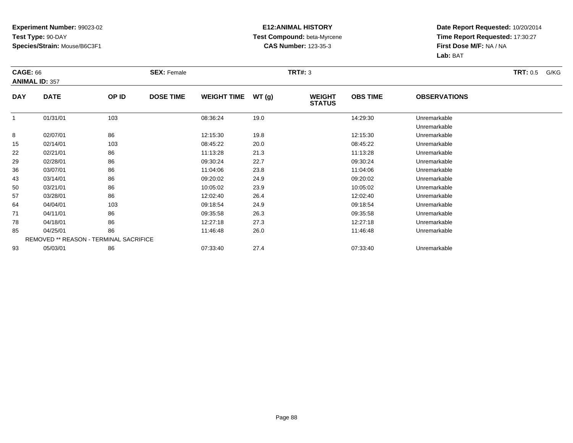#### **E12:ANIMAL HISTORY Test Compound:** beta-Myrcene**CAS Number:** 123-35-3

| <b>CAGE: 66</b> | <b>ANIMAL ID: 357</b> |                                        | <b>SEX: Female</b> |                    |       | <b>TRT#: 3</b>                 |                 |                              | <b>TRT:</b> 0.5<br>G/KG |
|-----------------|-----------------------|----------------------------------------|--------------------|--------------------|-------|--------------------------------|-----------------|------------------------------|-------------------------|
| <b>DAY</b>      | <b>DATE</b>           | OP ID                                  | <b>DOSE TIME</b>   | <b>WEIGHT TIME</b> | WT(g) | <b>WEIGHT</b><br><b>STATUS</b> | <b>OBS TIME</b> | <b>OBSERVATIONS</b>          |                         |
| -1              | 01/31/01              | 103                                    |                    | 08:36:24           | 19.0  |                                | 14:29:30        | Unremarkable<br>Unremarkable |                         |
| 8               | 02/07/01              | 86                                     |                    | 12:15:30           | 19.8  |                                | 12:15:30        | Unremarkable                 |                         |
| 15              | 02/14/01              | 103                                    |                    | 08:45:22           | 20.0  |                                | 08:45:22        | Unremarkable                 |                         |
| 22              | 02/21/01              | 86                                     |                    | 11:13:28           | 21.3  |                                | 11:13:28        | Unremarkable                 |                         |
| 29              | 02/28/01              | 86                                     |                    | 09:30:24           | 22.7  |                                | 09:30:24        | Unremarkable                 |                         |
| 36              | 03/07/01              | 86                                     |                    | 11:04:06           | 23.8  |                                | 11:04:06        | Unremarkable                 |                         |
| 43              | 03/14/01              | 86                                     |                    | 09:20:02           | 24.9  |                                | 09:20:02        | Unremarkable                 |                         |
| 50              | 03/21/01              | 86                                     |                    | 10:05:02           | 23.9  |                                | 10:05:02        | Unremarkable                 |                         |
| 57              | 03/28/01              | 86                                     |                    | 12:02:40           | 26.4  |                                | 12:02:40        | Unremarkable                 |                         |
| 64              | 04/04/01              | 103                                    |                    | 09:18:54           | 24.9  |                                | 09:18:54        | Unremarkable                 |                         |
| 71              | 04/11/01              | 86                                     |                    | 09:35:58           | 26.3  |                                | 09:35:58        | Unremarkable                 |                         |
| 78              | 04/18/01              | 86                                     |                    | 12:27:18           | 27.3  |                                | 12:27:18        | Unremarkable                 |                         |
| 85              | 04/25/01              | 86                                     |                    | 11:46:48           | 26.0  |                                | 11:46:48        | Unremarkable                 |                         |
|                 |                       | REMOVED ** REASON - TERMINAL SACRIFICE |                    |                    |       |                                |                 |                              |                         |
| 93              | 05/03/01              | 86                                     |                    | 07:33:40           | 27.4  |                                | 07:33:40        | Unremarkable                 |                         |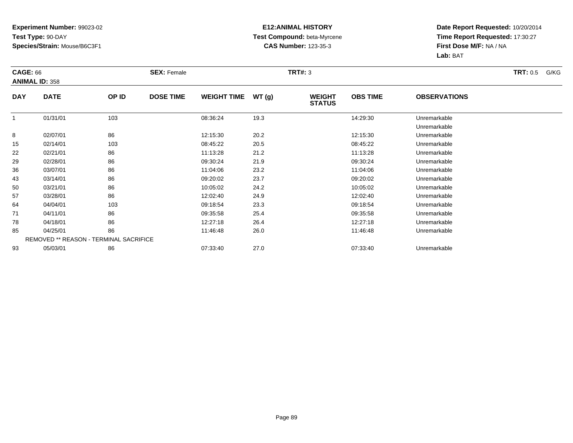#### **E12:ANIMAL HISTORY Test Compound:** beta-Myrcene**CAS Number:** 123-35-3

| <b>CAGE: 66</b> | <b>ANIMAL ID: 358</b>                  |       | <b>SEX: Female</b> |                    |       | <b>TRT#: 3</b>                 |                 |                              | <b>TRT:</b> 0.5<br>G/KG |
|-----------------|----------------------------------------|-------|--------------------|--------------------|-------|--------------------------------|-----------------|------------------------------|-------------------------|
| <b>DAY</b>      | <b>DATE</b>                            | OP ID | <b>DOSE TIME</b>   | <b>WEIGHT TIME</b> | WT(g) | <b>WEIGHT</b><br><b>STATUS</b> | <b>OBS TIME</b> | <b>OBSERVATIONS</b>          |                         |
|                 | 01/31/01                               | 103   |                    | 08:36:24           | 19.3  |                                | 14:29:30        | Unremarkable<br>Unremarkable |                         |
| 8               | 02/07/01                               | 86    |                    | 12:15:30           | 20.2  |                                | 12:15:30        | Unremarkable                 |                         |
| 15              | 02/14/01                               | 103   |                    | 08:45:22           | 20.5  |                                | 08:45:22        | Unremarkable                 |                         |
| 22              | 02/21/01                               | 86    |                    | 11:13:28           | 21.2  |                                | 11:13:28        | Unremarkable                 |                         |
| 29              | 02/28/01                               | 86    |                    | 09:30:24           | 21.9  |                                | 09:30:24        | Unremarkable                 |                         |
| 36              | 03/07/01                               | 86    |                    | 11:04:06           | 23.2  |                                | 11:04:06        | Unremarkable                 |                         |
| 43              | 03/14/01                               | 86    |                    | 09:20:02           | 23.7  |                                | 09:20:02        | Unremarkable                 |                         |
| 50              | 03/21/01                               | 86    |                    | 10:05:02           | 24.2  |                                | 10:05:02        | Unremarkable                 |                         |
| 57              | 03/28/01                               | 86    |                    | 12:02:40           | 24.9  |                                | 12:02:40        | Unremarkable                 |                         |
| 64              | 04/04/01                               | 103   |                    | 09:18:54           | 23.3  |                                | 09:18:54        | Unremarkable                 |                         |
| 71              | 04/11/01                               | 86    |                    | 09:35:58           | 25.4  |                                | 09:35:58        | Unremarkable                 |                         |
| 78              | 04/18/01                               | 86    |                    | 12:27:18           | 26.4  |                                | 12:27:18        | Unremarkable                 |                         |
| 85              | 04/25/01                               | 86    |                    | 11:46:48           | 26.0  |                                | 11:46:48        | Unremarkable                 |                         |
|                 | REMOVED ** REASON - TERMINAL SACRIFICE |       |                    |                    |       |                                |                 |                              |                         |
| 93              | 05/03/01                               | 86    |                    | 07:33:40           | 27.0  |                                | 07:33:40        | Unremarkable                 |                         |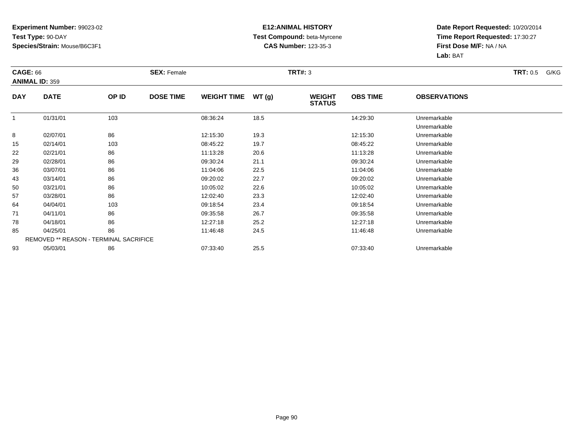#### **E12:ANIMAL HISTORY Test Compound:** beta-Myrcene**CAS Number:** 123-35-3

| <b>CAGE: 66</b> |                       |                                        | <b>SEX: Female</b> |                    |       | <b>TRT#: 3</b>                 |                 |                              | <b>TRT:</b> 0.5<br>G/KG |
|-----------------|-----------------------|----------------------------------------|--------------------|--------------------|-------|--------------------------------|-----------------|------------------------------|-------------------------|
|                 | <b>ANIMAL ID: 359</b> |                                        |                    |                    |       |                                |                 |                              |                         |
| <b>DAY</b>      | <b>DATE</b>           | OP ID                                  | <b>DOSE TIME</b>   | <b>WEIGHT TIME</b> | WT(g) | <b>WEIGHT</b><br><b>STATUS</b> | <b>OBS TIME</b> | <b>OBSERVATIONS</b>          |                         |
|                 | 01/31/01              | 103                                    |                    | 08:36:24           | 18.5  |                                | 14:29:30        | Unremarkable<br>Unremarkable |                         |
| 8               | 02/07/01              | 86                                     |                    | 12:15:30           | 19.3  |                                | 12:15:30        | Unremarkable                 |                         |
| 15              | 02/14/01              | 103                                    |                    | 08:45:22           | 19.7  |                                | 08:45:22        | Unremarkable                 |                         |
| 22              | 02/21/01              | 86                                     |                    | 11:13:28           | 20.6  |                                | 11:13:28        | Unremarkable                 |                         |
| 29              | 02/28/01              | 86                                     |                    | 09:30:24           | 21.1  |                                | 09:30:24        | Unremarkable                 |                         |
| 36              | 03/07/01              | 86                                     |                    | 11:04:06           | 22.5  |                                | 11:04:06        | Unremarkable                 |                         |
| 43              | 03/14/01              | 86                                     |                    | 09:20:02           | 22.7  |                                | 09:20:02        | Unremarkable                 |                         |
| 50              | 03/21/01              | 86                                     |                    | 10:05:02           | 22.6  |                                | 10:05:02        | Unremarkable                 |                         |
| 57              | 03/28/01              | 86                                     |                    | 12:02:40           | 23.3  |                                | 12:02:40        | Unremarkable                 |                         |
| 64              | 04/04/01              | 103                                    |                    | 09:18:54           | 23.4  |                                | 09:18:54        | Unremarkable                 |                         |
| 71              | 04/11/01              | 86                                     |                    | 09:35:58           | 26.7  |                                | 09:35:58        | Unremarkable                 |                         |
| 78              | 04/18/01              | 86                                     |                    | 12:27:18           | 25.2  |                                | 12:27:18        | Unremarkable                 |                         |
| 85              | 04/25/01              | 86                                     |                    | 11:46:48           | 24.5  |                                | 11:46:48        | Unremarkable                 |                         |
|                 |                       | REMOVED ** REASON - TERMINAL SACRIFICE |                    |                    |       |                                |                 |                              |                         |
| 93              | 05/03/01              | 86                                     |                    | 07:33:40           | 25.5  |                                | 07:33:40        | Unremarkable                 |                         |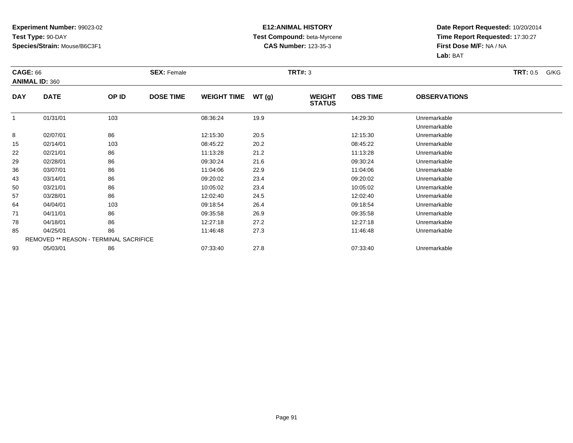#### **E12:ANIMAL HISTORY Test Compound:** beta-Myrcene**CAS Number:** 123-35-3

| <b>CAGE: 66</b> |                       |                                        | <b>SEX: Female</b> |                    |       | <b>TRT#: 3</b>                 |                 |                              | <b>TRT:</b> 0.5<br>G/KG |
|-----------------|-----------------------|----------------------------------------|--------------------|--------------------|-------|--------------------------------|-----------------|------------------------------|-------------------------|
|                 | <b>ANIMAL ID: 360</b> |                                        |                    |                    |       |                                |                 |                              |                         |
| <b>DAY</b>      | <b>DATE</b>           | OP ID                                  | <b>DOSE TIME</b>   | <b>WEIGHT TIME</b> | WT(g) | <b>WEIGHT</b><br><b>STATUS</b> | <b>OBS TIME</b> | <b>OBSERVATIONS</b>          |                         |
|                 | 01/31/01              | 103                                    |                    | 08:36:24           | 19.9  |                                | 14:29:30        | Unremarkable<br>Unremarkable |                         |
| 8               | 02/07/01              | 86                                     |                    | 12:15:30           | 20.5  |                                | 12:15:30        | Unremarkable                 |                         |
| 15              | 02/14/01              | 103                                    |                    | 08:45:22           | 20.2  |                                | 08:45:22        | Unremarkable                 |                         |
| 22              | 02/21/01              | 86                                     |                    | 11:13:28           | 21.2  |                                | 11:13:28        | Unremarkable                 |                         |
| 29              | 02/28/01              | 86                                     |                    | 09:30:24           | 21.6  |                                | 09:30:24        | Unremarkable                 |                         |
| 36              | 03/07/01              | 86                                     |                    | 11:04:06           | 22.9  |                                | 11:04:06        | Unremarkable                 |                         |
| 43              | 03/14/01              | 86                                     |                    | 09:20:02           | 23.4  |                                | 09:20:02        | Unremarkable                 |                         |
| 50              | 03/21/01              | 86                                     |                    | 10:05:02           | 23.4  |                                | 10:05:02        | Unremarkable                 |                         |
| 57              | 03/28/01              | 86                                     |                    | 12:02:40           | 24.5  |                                | 12:02:40        | Unremarkable                 |                         |
| 64              | 04/04/01              | 103                                    |                    | 09:18:54           | 26.4  |                                | 09:18:54        | Unremarkable                 |                         |
| 71              | 04/11/01              | 86                                     |                    | 09:35:58           | 26.9  |                                | 09:35:58        | Unremarkable                 |                         |
| 78              | 04/18/01              | 86                                     |                    | 12:27:18           | 27.2  |                                | 12:27:18        | Unremarkable                 |                         |
| 85              | 04/25/01              | 86                                     |                    | 11:46:48           | 27.3  |                                | 11:46:48        | Unremarkable                 |                         |
|                 |                       | REMOVED ** REASON - TERMINAL SACRIFICE |                    |                    |       |                                |                 |                              |                         |
| 93              | 05/03/01              | 86                                     |                    | 07:33:40           | 27.8  |                                | 07:33:40        | Unremarkable                 |                         |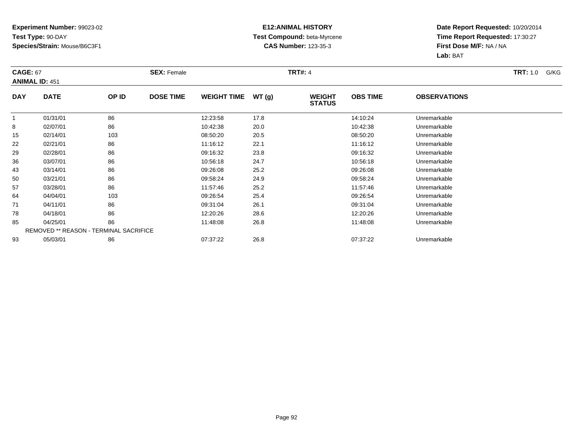#### **E12:ANIMAL HISTORY Test Compound:** beta-Myrcene**CAS Number:** 123-35-3

| <b>CAGE: 67</b> | <b>ANIMAL ID: 451</b>                         |       | <b>SEX: Female</b> |                    |       | <b>TRT#: 4</b>                 |                 |                     | <b>TRT:</b> 1.0<br>G/KG |
|-----------------|-----------------------------------------------|-------|--------------------|--------------------|-------|--------------------------------|-----------------|---------------------|-------------------------|
| <b>DAY</b>      | <b>DATE</b>                                   | OP ID | <b>DOSE TIME</b>   | <b>WEIGHT TIME</b> | WT(g) | <b>WEIGHT</b><br><b>STATUS</b> | <b>OBS TIME</b> | <b>OBSERVATIONS</b> |                         |
|                 | 01/31/01                                      | 86    |                    | 12:23:58           | 17.8  |                                | 14:10:24        | Unremarkable        |                         |
| 8               | 02/07/01                                      | 86    |                    | 10:42:38           | 20.0  |                                | 10:42:38        | Unremarkable        |                         |
| 15              | 02/14/01                                      | 103   |                    | 08:50:20           | 20.5  |                                | 08:50:20        | Unremarkable        |                         |
| 22              | 02/21/01                                      | 86    |                    | 11:16:12           | 22.1  |                                | 11:16:12        | Unremarkable        |                         |
| 29              | 02/28/01                                      | 86    |                    | 09:16:32           | 23.8  |                                | 09:16:32        | Unremarkable        |                         |
| 36              | 03/07/01                                      | 86    |                    | 10:56:18           | 24.7  |                                | 10:56:18        | Unremarkable        |                         |
| 43              | 03/14/01                                      | 86    |                    | 09:26:08           | 25.2  |                                | 09:26:08        | Unremarkable        |                         |
| 50              | 03/21/01                                      | 86    |                    | 09:58:24           | 24.9  |                                | 09:58:24        | Unremarkable        |                         |
| 57              | 03/28/01                                      | 86    |                    | 11:57:46           | 25.2  |                                | 11:57:46        | Unremarkable        |                         |
| 64              | 04/04/01                                      | 103   |                    | 09:26:54           | 25.4  |                                | 09:26:54        | Unremarkable        |                         |
| 71              | 04/11/01                                      | 86    |                    | 09:31:04           | 26.1  |                                | 09:31:04        | Unremarkable        |                         |
| 78              | 04/18/01                                      | 86    |                    | 12:20:26           | 28.6  |                                | 12:20:26        | Unremarkable        |                         |
| 85              | 04/25/01                                      | 86    |                    | 11:48:08           | 26.8  |                                | 11:48:08        | Unremarkable        |                         |
|                 | <b>REMOVED ** REASON - TERMINAL SACRIFICE</b> |       |                    |                    |       |                                |                 |                     |                         |
| 93              | 05/03/01                                      | 86    |                    | 07:37:22           | 26.8  |                                | 07:37:22        | Unremarkable        |                         |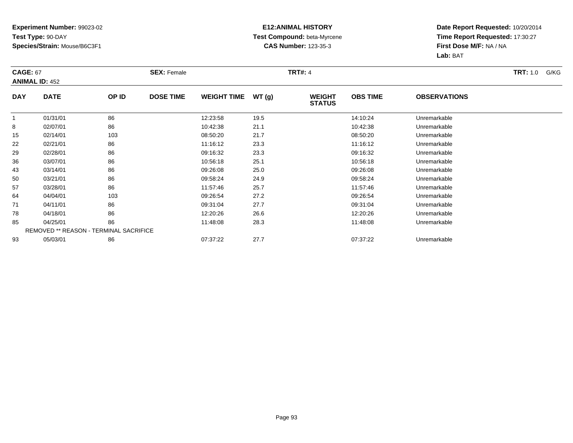#### **E12:ANIMAL HISTORY Test Compound:** beta-Myrcene**CAS Number:** 123-35-3

| <b>CAGE: 67</b> | <b>ANIMAL ID: 452</b>                         |       | <b>SEX: Female</b> |                    |       | <b>TRT#: 4</b>                 |                 |                     | <b>TRT:</b> 1.0<br>G/KG |
|-----------------|-----------------------------------------------|-------|--------------------|--------------------|-------|--------------------------------|-----------------|---------------------|-------------------------|
| <b>DAY</b>      | <b>DATE</b>                                   | OP ID | <b>DOSE TIME</b>   | <b>WEIGHT TIME</b> | WT(g) | <b>WEIGHT</b><br><b>STATUS</b> | <b>OBS TIME</b> | <b>OBSERVATIONS</b> |                         |
|                 | 01/31/01                                      | 86    |                    | 12:23:58           | 19.5  |                                | 14:10:24        | Unremarkable        |                         |
| 8               | 02/07/01                                      | 86    |                    | 10:42:38           | 21.1  |                                | 10:42:38        | Unremarkable        |                         |
| 15              | 02/14/01                                      | 103   |                    | 08:50:20           | 21.7  |                                | 08:50:20        | Unremarkable        |                         |
| 22              | 02/21/01                                      | 86    |                    | 11:16:12           | 23.3  |                                | 11:16:12        | Unremarkable        |                         |
| 29              | 02/28/01                                      | 86    |                    | 09:16:32           | 23.3  |                                | 09:16:32        | Unremarkable        |                         |
| 36              | 03/07/01                                      | 86    |                    | 10:56:18           | 25.1  |                                | 10:56:18        | Unremarkable        |                         |
| 43              | 03/14/01                                      | 86    |                    | 09:26:08           | 25.0  |                                | 09:26:08        | Unremarkable        |                         |
| 50              | 03/21/01                                      | 86    |                    | 09:58:24           | 24.9  |                                | 09:58:24        | Unremarkable        |                         |
| 57              | 03/28/01                                      | 86    |                    | 11:57:46           | 25.7  |                                | 11:57:46        | Unremarkable        |                         |
| 64              | 04/04/01                                      | 103   |                    | 09:26:54           | 27.2  |                                | 09:26:54        | Unremarkable        |                         |
| 71              | 04/11/01                                      | 86    |                    | 09:31:04           | 27.7  |                                | 09:31:04        | Unremarkable        |                         |
| 78              | 04/18/01                                      | 86    |                    | 12:20:26           | 26.6  |                                | 12:20:26        | Unremarkable        |                         |
| 85              | 04/25/01                                      | 86    |                    | 11:48:08           | 28.3  |                                | 11:48:08        | Unremarkable        |                         |
|                 | <b>REMOVED ** REASON - TERMINAL SACRIFICE</b> |       |                    |                    |       |                                |                 |                     |                         |
| 93              | 05/03/01                                      | 86    |                    | 07:37:22           | 27.7  |                                | 07:37:22        | Unremarkable        |                         |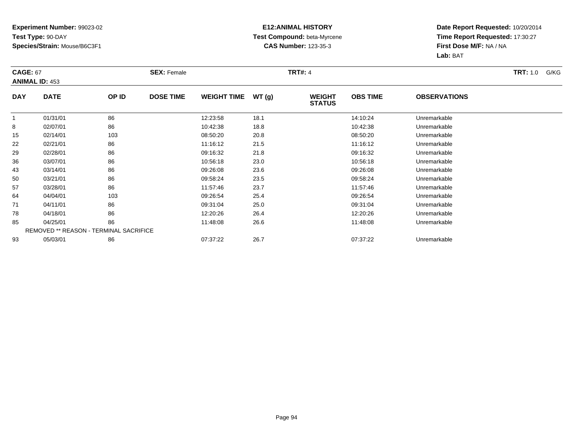#### **E12:ANIMAL HISTORY Test Compound:** beta-Myrcene**CAS Number:** 123-35-3

| <b>CAGE: 67</b> | <b>ANIMAL ID: 453</b>                  |       | <b>SEX: Female</b> |                    |       | <b>TRT#: 4</b>                 |                 |                     | <b>TRT:</b> 1.0<br>G/KG |
|-----------------|----------------------------------------|-------|--------------------|--------------------|-------|--------------------------------|-----------------|---------------------|-------------------------|
| <b>DAY</b>      | <b>DATE</b>                            | OP ID | <b>DOSE TIME</b>   | <b>WEIGHT TIME</b> | WT(g) | <b>WEIGHT</b><br><b>STATUS</b> | <b>OBS TIME</b> | <b>OBSERVATIONS</b> |                         |
|                 | 01/31/01                               | 86    |                    | 12:23:58           | 18.1  |                                | 14:10:24        | Unremarkable        |                         |
| 8               | 02/07/01                               | 86    |                    | 10:42:38           | 18.8  |                                | 10:42:38        | Unremarkable        |                         |
| 15              | 02/14/01                               | 103   |                    | 08:50:20           | 20.8  |                                | 08:50:20        | Unremarkable        |                         |
| 22              | 02/21/01                               | 86    |                    | 11:16:12           | 21.5  |                                | 11:16:12        | Unremarkable        |                         |
| 29              | 02/28/01                               | 86    |                    | 09:16:32           | 21.8  |                                | 09:16:32        | Unremarkable        |                         |
| 36              | 03/07/01                               | 86    |                    | 10:56:18           | 23.0  |                                | 10:56:18        | Unremarkable        |                         |
| 43              | 03/14/01                               | 86    |                    | 09:26:08           | 23.6  |                                | 09:26:08        | Unremarkable        |                         |
| 50              | 03/21/01                               | 86    |                    | 09:58:24           | 23.5  |                                | 09:58:24        | Unremarkable        |                         |
| 57              | 03/28/01                               | 86    |                    | 11:57:46           | 23.7  |                                | 11:57:46        | Unremarkable        |                         |
| 64              | 04/04/01                               | 103   |                    | 09:26:54           | 25.4  |                                | 09:26:54        | Unremarkable        |                         |
| 71              | 04/11/01                               | 86    |                    | 09:31:04           | 25.0  |                                | 09:31:04        | Unremarkable        |                         |
| 78              | 04/18/01                               | 86    |                    | 12:20:26           | 26.4  |                                | 12:20:26        | Unremarkable        |                         |
| 85              | 04/25/01                               | 86    |                    | 11:48:08           | 26.6  |                                | 11:48:08        | Unremarkable        |                         |
|                 | REMOVED ** REASON - TERMINAL SACRIFICE |       |                    |                    |       |                                |                 |                     |                         |
| 93              | 05/03/01                               | 86    |                    | 07:37:22           | 26.7  |                                | 07:37:22        | Unremarkable        |                         |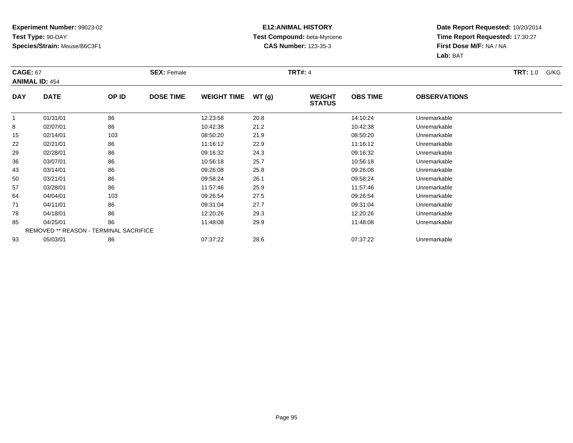#### **E12:ANIMAL HISTORY Test Compound:** beta-Myrcene**CAS Number:** 123-35-3

| <b>CAGE: 67</b> | <b>ANIMAL ID: 454</b>                         |       | <b>SEX: Female</b> |                    |       | <b>TRT#: 4</b>                 |                 |                     | <b>TRT:</b> 1.0<br>G/KG |
|-----------------|-----------------------------------------------|-------|--------------------|--------------------|-------|--------------------------------|-----------------|---------------------|-------------------------|
| <b>DAY</b>      | <b>DATE</b>                                   | OP ID | <b>DOSE TIME</b>   | <b>WEIGHT TIME</b> | WT(g) | <b>WEIGHT</b><br><b>STATUS</b> | <b>OBS TIME</b> | <b>OBSERVATIONS</b> |                         |
|                 | 01/31/01                                      | 86    |                    | 12:23:58           | 20.8  |                                | 14:10:24        | Unremarkable        |                         |
| 8               | 02/07/01                                      | 86    |                    | 10:42:38           | 21.2  |                                | 10:42:38        | Unremarkable        |                         |
| 15              | 02/14/01                                      | 103   |                    | 08:50:20           | 21.9  |                                | 08:50:20        | Unremarkable        |                         |
| 22              | 02/21/01                                      | 86    |                    | 11:16:12           | 22.9  |                                | 11:16:12        | Unremarkable        |                         |
| 29              | 02/28/01                                      | 86    |                    | 09:16:32           | 24.3  |                                | 09:16:32        | Unremarkable        |                         |
| 36              | 03/07/01                                      | 86    |                    | 10:56:18           | 25.7  |                                | 10:56:18        | Unremarkable        |                         |
| 43              | 03/14/01                                      | 86    |                    | 09:26:08           | 25.8  |                                | 09:26:08        | Unremarkable        |                         |
| 50              | 03/21/01                                      | 86    |                    | 09:58:24           | 26.1  |                                | 09:58:24        | Unremarkable        |                         |
| 57              | 03/28/01                                      | 86    |                    | 11:57:46           | 25.9  |                                | 11:57:46        | Unremarkable        |                         |
| 64              | 04/04/01                                      | 103   |                    | 09:26:54           | 27.5  |                                | 09:26:54        | Unremarkable        |                         |
| 71              | 04/11/01                                      | 86    |                    | 09:31:04           | 27.7  |                                | 09:31:04        | Unremarkable        |                         |
| 78              | 04/18/01                                      | 86    |                    | 12:20:26           | 29.3  |                                | 12:20:26        | Unremarkable        |                         |
| 85              | 04/25/01                                      | 86    |                    | 11:48:08           | 29.9  |                                | 11:48:08        | Unremarkable        |                         |
|                 | <b>REMOVED ** REASON - TERMINAL SACRIFICE</b> |       |                    |                    |       |                                |                 |                     |                         |
| 93              | 05/03/01                                      | 86    |                    | 07:37:22           | 28.6  |                                | 07:37:22        | Unremarkable        |                         |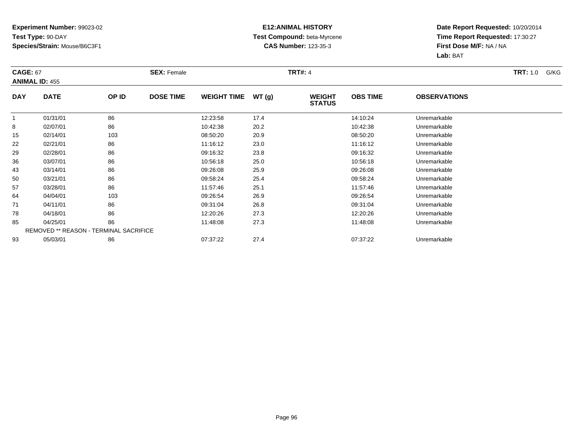#### **E12:ANIMAL HISTORY Test Compound:** beta-Myrcene**CAS Number:** 123-35-3

| <b>CAGE: 67</b> | <b>ANIMAL ID: 455</b>                  |       | <b>SEX: Female</b> |                    |       | <b>TRT#: 4</b>                 |                 |                     | <b>TRT:</b> 1.0<br>G/KG |
|-----------------|----------------------------------------|-------|--------------------|--------------------|-------|--------------------------------|-----------------|---------------------|-------------------------|
| <b>DAY</b>      | <b>DATE</b>                            | OP ID | <b>DOSE TIME</b>   | <b>WEIGHT TIME</b> | WT(g) | <b>WEIGHT</b><br><b>STATUS</b> | <b>OBS TIME</b> | <b>OBSERVATIONS</b> |                         |
|                 | 01/31/01                               | 86    |                    | 12:23:58           | 17.4  |                                | 14:10:24        | Unremarkable        |                         |
| 8               | 02/07/01                               | 86    |                    | 10:42:38           | 20.2  |                                | 10:42:38        | Unremarkable        |                         |
| 15              | 02/14/01                               | 103   |                    | 08:50:20           | 20.9  |                                | 08:50:20        | Unremarkable        |                         |
| 22              | 02/21/01                               | 86    |                    | 11:16:12           | 23.0  |                                | 11:16:12        | Unremarkable        |                         |
| 29              | 02/28/01                               | 86    |                    | 09:16:32           | 23.8  |                                | 09:16:32        | Unremarkable        |                         |
| 36              | 03/07/01                               | 86    |                    | 10:56:18           | 25.0  |                                | 10:56:18        | Unremarkable        |                         |
| 43              | 03/14/01                               | 86    |                    | 09:26:08           | 25.9  |                                | 09:26:08        | Unremarkable        |                         |
| 50              | 03/21/01                               | 86    |                    | 09:58:24           | 25.4  |                                | 09:58:24        | Unremarkable        |                         |
| 57              | 03/28/01                               | 86    |                    | 11:57:46           | 25.1  |                                | 11:57:46        | Unremarkable        |                         |
| 64              | 04/04/01                               | 103   |                    | 09:26:54           | 26.9  |                                | 09:26:54        | Unremarkable        |                         |
| 71              | 04/11/01                               | 86    |                    | 09:31:04           | 26.8  |                                | 09:31:04        | Unremarkable        |                         |
| 78              | 04/18/01                               | 86    |                    | 12:20:26           | 27.3  |                                | 12:20:26        | Unremarkable        |                         |
| 85              | 04/25/01                               | 86    |                    | 11:48:08           | 27.3  |                                | 11:48:08        | Unremarkable        |                         |
|                 | REMOVED ** REASON - TERMINAL SACRIFICE |       |                    |                    |       |                                |                 |                     |                         |
| 93              | 05/03/01                               | 86    |                    | 07:37:22           | 27.4  |                                | 07:37:22        | Unremarkable        |                         |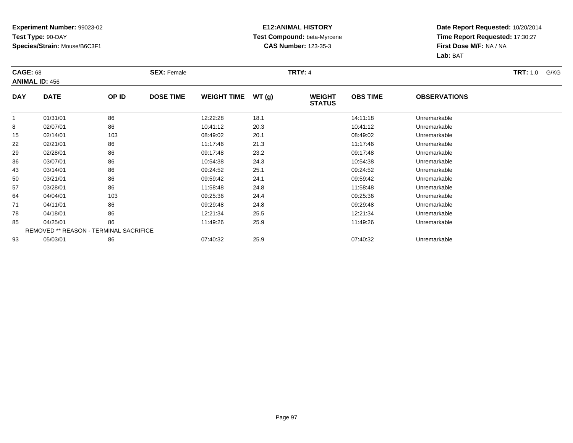#### **E12:ANIMAL HISTORY Test Compound:** beta-Myrcene**CAS Number:** 123-35-3

| <b>CAGE: 68</b> | <b>ANIMAL ID: 456</b>                         |       | <b>SEX: Female</b> |                    |       | <b>TRT#: 4</b>                 |                 |                     | <b>TRT:</b> 1.0<br>G/KG |
|-----------------|-----------------------------------------------|-------|--------------------|--------------------|-------|--------------------------------|-----------------|---------------------|-------------------------|
| <b>DAY</b>      | <b>DATE</b>                                   | OP ID | <b>DOSE TIME</b>   | <b>WEIGHT TIME</b> | WT(g) | <b>WEIGHT</b><br><b>STATUS</b> | <b>OBS TIME</b> | <b>OBSERVATIONS</b> |                         |
|                 | 01/31/01                                      | 86    |                    | 12:22:28           | 18.1  |                                | 14:11:18        | Unremarkable        |                         |
| 8               | 02/07/01                                      | 86    |                    | 10:41:12           | 20.3  |                                | 10:41:12        | Unremarkable        |                         |
| 15              | 02/14/01                                      | 103   |                    | 08:49:02           | 20.1  |                                | 08:49:02        | Unremarkable        |                         |
| 22              | 02/21/01                                      | 86    |                    | 11:17:46           | 21.3  |                                | 11:17:46        | Unremarkable        |                         |
| 29              | 02/28/01                                      | 86    |                    | 09:17:48           | 23.2  |                                | 09:17:48        | Unremarkable        |                         |
| 36              | 03/07/01                                      | 86    |                    | 10:54:38           | 24.3  |                                | 10:54:38        | Unremarkable        |                         |
| 43              | 03/14/01                                      | 86    |                    | 09:24:52           | 25.1  |                                | 09:24:52        | Unremarkable        |                         |
| 50              | 03/21/01                                      | 86    |                    | 09:59:42           | 24.1  |                                | 09:59:42        | Unremarkable        |                         |
| 57              | 03/28/01                                      | 86    |                    | 11:58:48           | 24.8  |                                | 11:58:48        | Unremarkable        |                         |
| 64              | 04/04/01                                      | 103   |                    | 09:25:36           | 24.4  |                                | 09:25:36        | Unremarkable        |                         |
| 71              | 04/11/01                                      | 86    |                    | 09:29:48           | 24.8  |                                | 09:29:48        | Unremarkable        |                         |
| 78              | 04/18/01                                      | 86    |                    | 12:21:34           | 25.5  |                                | 12:21:34        | Unremarkable        |                         |
| 85              | 04/25/01                                      | 86    |                    | 11:49:26           | 25.9  |                                | 11:49:26        | Unremarkable        |                         |
|                 | <b>REMOVED ** REASON - TERMINAL SACRIFICE</b> |       |                    |                    |       |                                |                 |                     |                         |
| 93              | 05/03/01                                      | 86    |                    | 07:40:32           | 25.9  |                                | 07:40:32        | Unremarkable        |                         |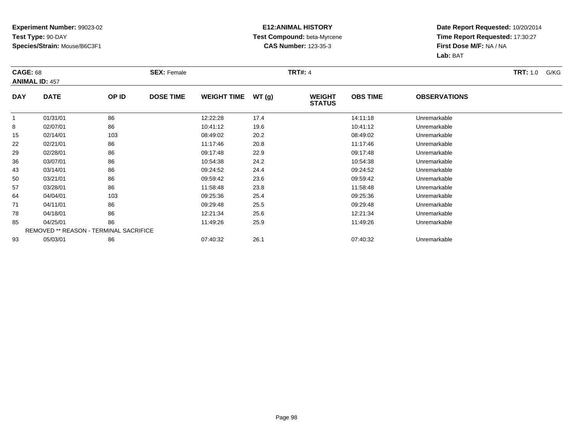#### **E12:ANIMAL HISTORY Test Compound:** beta-Myrcene**CAS Number:** 123-35-3

| <b>CAGE: 68</b> | <b>ANIMAL ID: 457</b>                  |       | <b>SEX: Female</b> |                    |       | <b>TRT#: 4</b>                 |                 |                     | <b>TRT:</b> 1.0<br>G/KG |
|-----------------|----------------------------------------|-------|--------------------|--------------------|-------|--------------------------------|-----------------|---------------------|-------------------------|
| <b>DAY</b>      | <b>DATE</b>                            | OP ID | <b>DOSE TIME</b>   | <b>WEIGHT TIME</b> | WT(g) | <b>WEIGHT</b><br><b>STATUS</b> | <b>OBS TIME</b> | <b>OBSERVATIONS</b> |                         |
| -1              | 01/31/01                               | 86    |                    | 12:22:28           | 17.4  |                                | 14:11:18        | Unremarkable        |                         |
| 8               | 02/07/01                               | 86    |                    | 10:41:12           | 19.6  |                                | 10:41:12        | Unremarkable        |                         |
| 15              | 02/14/01                               | 103   |                    | 08:49:02           | 20.2  |                                | 08:49:02        | Unremarkable        |                         |
| 22              | 02/21/01                               | 86    |                    | 11:17:46           | 20.8  |                                | 11:17:46        | Unremarkable        |                         |
| 29              | 02/28/01                               | 86    |                    | 09:17:48           | 22.9  |                                | 09:17:48        | Unremarkable        |                         |
| 36              | 03/07/01                               | 86    |                    | 10:54:38           | 24.2  |                                | 10:54:38        | Unremarkable        |                         |
| 43              | 03/14/01                               | 86    |                    | 09:24:52           | 24.4  |                                | 09:24:52        | Unremarkable        |                         |
| 50              | 03/21/01                               | 86    |                    | 09:59:42           | 23.6  |                                | 09:59:42        | Unremarkable        |                         |
| 57              | 03/28/01                               | 86    |                    | 11:58:48           | 23.8  |                                | 11:58:48        | Unremarkable        |                         |
| 64              | 04/04/01                               | 103   |                    | 09:25:36           | 25.4  |                                | 09:25:36        | Unremarkable        |                         |
| 71              | 04/11/01                               | 86    |                    | 09:29:48           | 25.5  |                                | 09:29:48        | Unremarkable        |                         |
| 78              | 04/18/01                               | 86    |                    | 12:21:34           | 25.6  |                                | 12:21:34        | Unremarkable        |                         |
| 85              | 04/25/01                               | 86    |                    | 11:49:26           | 25.9  |                                | 11:49:26        | Unremarkable        |                         |
|                 | REMOVED ** REASON - TERMINAL SACRIFICE |       |                    |                    |       |                                |                 |                     |                         |
| 93              | 05/03/01                               | 86    |                    | 07:40:32           | 26.1  |                                | 07:40:32        | Unremarkable        |                         |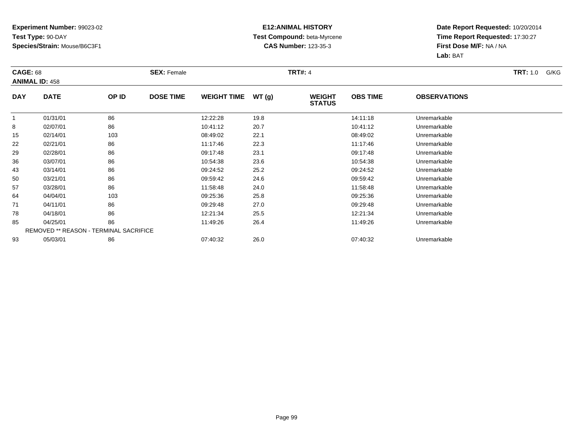#### **E12:ANIMAL HISTORY Test Compound:** beta-Myrcene**CAS Number:** 123-35-3

| <b>CAGE: 68</b> | <b>ANIMAL ID: 458</b>                  |       | <b>SEX: Female</b> |                    |       | <b>TRT#: 4</b>                 |                 |                     | <b>TRT:</b> 1.0<br>G/KG |
|-----------------|----------------------------------------|-------|--------------------|--------------------|-------|--------------------------------|-----------------|---------------------|-------------------------|
| <b>DAY</b>      | <b>DATE</b>                            | OP ID | <b>DOSE TIME</b>   | <b>WEIGHT TIME</b> | WT(g) | <b>WEIGHT</b><br><b>STATUS</b> | <b>OBS TIME</b> | <b>OBSERVATIONS</b> |                         |
| -1              | 01/31/01                               | 86    |                    | 12:22:28           | 19.8  |                                | 14:11:18        | Unremarkable        |                         |
| 8               | 02/07/01                               | 86    |                    | 10:41:12           | 20.7  |                                | 10:41:12        | Unremarkable        |                         |
| 15              | 02/14/01                               | 103   |                    | 08:49:02           | 22.1  |                                | 08:49:02        | Unremarkable        |                         |
| 22              | 02/21/01                               | 86    |                    | 11:17:46           | 22.3  |                                | 11:17:46        | Unremarkable        |                         |
| 29              | 02/28/01                               | 86    |                    | 09:17:48           | 23.1  |                                | 09:17:48        | Unremarkable        |                         |
| 36              | 03/07/01                               | 86    |                    | 10:54:38           | 23.6  |                                | 10:54:38        | Unremarkable        |                         |
| 43              | 03/14/01                               | 86    |                    | 09:24:52           | 25.2  |                                | 09:24:52        | Unremarkable        |                         |
| 50              | 03/21/01                               | 86    |                    | 09:59:42           | 24.6  |                                | 09:59:42        | Unremarkable        |                         |
| 57              | 03/28/01                               | 86    |                    | 11:58:48           | 24.0  |                                | 11:58:48        | Unremarkable        |                         |
| 64              | 04/04/01                               | 103   |                    | 09:25:36           | 25.8  |                                | 09:25:36        | Unremarkable        |                         |
| 71              | 04/11/01                               | 86    |                    | 09:29:48           | 27.0  |                                | 09:29:48        | Unremarkable        |                         |
| 78              | 04/18/01                               | 86    |                    | 12:21:34           | 25.5  |                                | 12:21:34        | Unremarkable        |                         |
| 85              | 04/25/01                               | 86    |                    | 11:49:26           | 26.4  |                                | 11:49:26        | Unremarkable        |                         |
|                 | REMOVED ** REASON - TERMINAL SACRIFICE |       |                    |                    |       |                                |                 |                     |                         |
| 93              | 05/03/01                               | 86    |                    | 07:40:32           | 26.0  |                                | 07:40:32        | Unremarkable        |                         |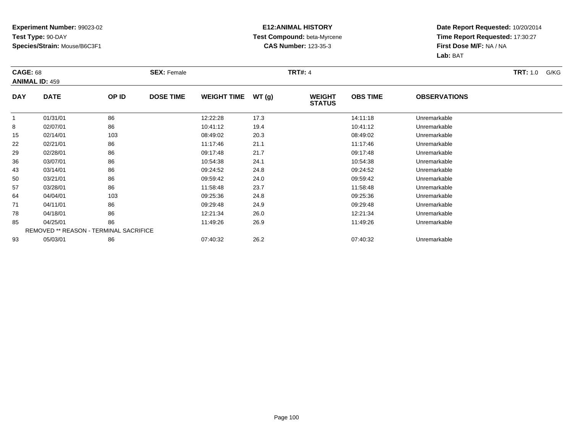#### **E12:ANIMAL HISTORY Test Compound:** beta-Myrcene**CAS Number:** 123-35-3

| <b>CAGE: 68</b> | <b>ANIMAL ID: 459</b>                  |       | <b>SEX: Female</b> |                    |       | <b>TRT#: 4</b>                 |                 |                     | <b>TRT:</b> 1.0<br>G/KG |
|-----------------|----------------------------------------|-------|--------------------|--------------------|-------|--------------------------------|-----------------|---------------------|-------------------------|
| <b>DAY</b>      | <b>DATE</b>                            | OP ID | <b>DOSE TIME</b>   | <b>WEIGHT TIME</b> | WT(g) | <b>WEIGHT</b><br><b>STATUS</b> | <b>OBS TIME</b> | <b>OBSERVATIONS</b> |                         |
|                 | 01/31/01                               | 86    |                    | 12:22:28           | 17.3  |                                | 14:11:18        | Unremarkable        |                         |
| 8               | 02/07/01                               | 86    |                    | 10:41:12           | 19.4  |                                | 10:41:12        | Unremarkable        |                         |
| 15              | 02/14/01                               | 103   |                    | 08:49:02           | 20.3  |                                | 08:49:02        | Unremarkable        |                         |
| 22              | 02/21/01                               | 86    |                    | 11:17:46           | 21.1  |                                | 11:17:46        | Unremarkable        |                         |
| 29              | 02/28/01                               | 86    |                    | 09:17:48           | 21.7  |                                | 09:17:48        | Unremarkable        |                         |
| 36              | 03/07/01                               | 86    |                    | 10:54:38           | 24.1  |                                | 10:54:38        | Unremarkable        |                         |
| 43              | 03/14/01                               | 86    |                    | 09:24:52           | 24.8  |                                | 09:24:52        | Unremarkable        |                         |
| 50              | 03/21/01                               | 86    |                    | 09:59:42           | 24.0  |                                | 09:59:42        | Unremarkable        |                         |
| 57              | 03/28/01                               | 86    |                    | 11:58:48           | 23.7  |                                | 11:58:48        | Unremarkable        |                         |
| 64              | 04/04/01                               | 103   |                    | 09:25:36           | 24.8  |                                | 09:25:36        | Unremarkable        |                         |
| 71              | 04/11/01                               | 86    |                    | 09:29:48           | 24.9  |                                | 09:29:48        | Unremarkable        |                         |
| 78              | 04/18/01                               | 86    |                    | 12:21:34           | 26.0  |                                | 12:21:34        | Unremarkable        |                         |
| 85              | 04/25/01                               | 86    |                    | 11:49:26           | 26.9  |                                | 11:49:26        | Unremarkable        |                         |
|                 | REMOVED ** REASON - TERMINAL SACRIFICE |       |                    |                    |       |                                |                 |                     |                         |
| 93              | 05/03/01                               | 86    |                    | 07:40:32           | 26.2  |                                | 07:40:32        | Unremarkable        |                         |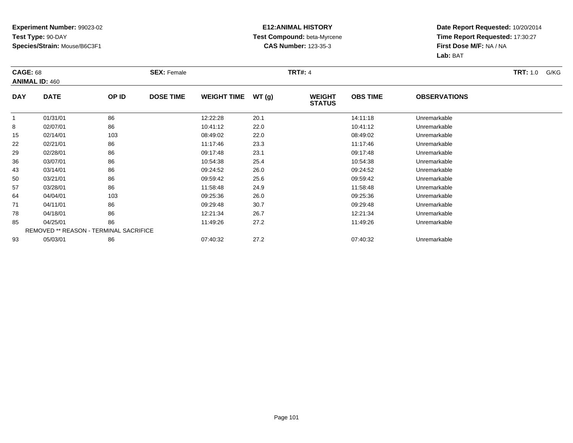#### **E12:ANIMAL HISTORY Test Compound:** beta-Myrcene**CAS Number:** 123-35-3

| <b>CAGE: 68</b> | <b>ANIMAL ID: 460</b>                  |       | <b>SEX: Female</b> |                    |       | <b>TRT#: 4</b>                 |                 |                     | <b>TRT:</b> 1.0<br>G/KG |
|-----------------|----------------------------------------|-------|--------------------|--------------------|-------|--------------------------------|-----------------|---------------------|-------------------------|
| <b>DAY</b>      | <b>DATE</b>                            | OP ID | <b>DOSE TIME</b>   | <b>WEIGHT TIME</b> | WT(g) | <b>WEIGHT</b><br><b>STATUS</b> | <b>OBS TIME</b> | <b>OBSERVATIONS</b> |                         |
|                 | 01/31/01                               | 86    |                    | 12:22:28           | 20.1  |                                | 14:11:18        | Unremarkable        |                         |
| 8               | 02/07/01                               | 86    |                    | 10:41:12           | 22.0  |                                | 10:41:12        | Unremarkable        |                         |
| 15              | 02/14/01                               | 103   |                    | 08:49:02           | 22.0  |                                | 08:49:02        | Unremarkable        |                         |
| 22              | 02/21/01                               | 86    |                    | 11:17:46           | 23.3  |                                | 11:17:46        | Unremarkable        |                         |
| 29              | 02/28/01                               | 86    |                    | 09:17:48           | 23.1  |                                | 09:17:48        | Unremarkable        |                         |
| 36              | 03/07/01                               | 86    |                    | 10:54:38           | 25.4  |                                | 10:54:38        | Unremarkable        |                         |
| 43              | 03/14/01                               | 86    |                    | 09:24:52           | 26.0  |                                | 09:24:52        | Unremarkable        |                         |
| 50              | 03/21/01                               | 86    |                    | 09:59:42           | 25.6  |                                | 09:59:42        | Unremarkable        |                         |
| 57              | 03/28/01                               | 86    |                    | 11:58:48           | 24.9  |                                | 11:58:48        | Unremarkable        |                         |
| 64              | 04/04/01                               | 103   |                    | 09:25:36           | 26.0  |                                | 09:25:36        | Unremarkable        |                         |
| 71              | 04/11/01                               | 86    |                    | 09:29:48           | 30.7  |                                | 09:29:48        | Unremarkable        |                         |
| 78              | 04/18/01                               | 86    |                    | 12:21:34           | 26.7  |                                | 12:21:34        | Unremarkable        |                         |
| 85              | 04/25/01                               | 86    |                    | 11:49:26           | 27.2  |                                | 11:49:26        | Unremarkable        |                         |
|                 | REMOVED ** REASON - TERMINAL SACRIFICE |       |                    |                    |       |                                |                 |                     |                         |
| 93              | 05/03/01                               | 86    |                    | 07:40:32           | 27.2  |                                | 07:40:32        | Unremarkable        |                         |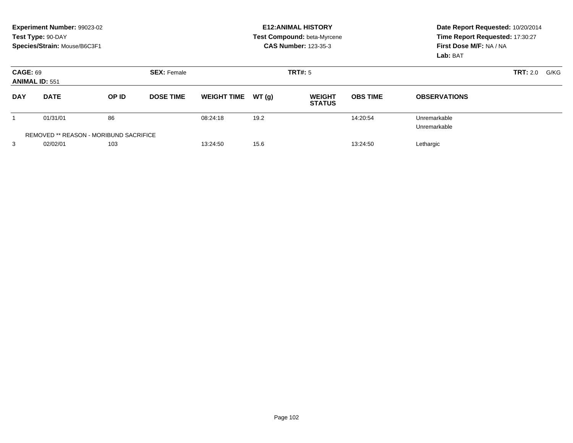|                                               | Experiment Number: 99023-02<br>Test Type: 90-DAY<br>Species/Strain: Mouse/B6C3F1 |       |                    | <b>E12: ANIMAL HISTORY</b><br>Test Compound: beta-Myrcene<br><b>CAS Number: 123-35-3</b> |       |                                |                 | Date Report Requested: 10/20/2014<br>Time Report Requested: 17:30:27<br>First Dose M/F: NA / NA<br>Lab: BAT |                         |
|-----------------------------------------------|----------------------------------------------------------------------------------|-------|--------------------|------------------------------------------------------------------------------------------|-------|--------------------------------|-----------------|-------------------------------------------------------------------------------------------------------------|-------------------------|
| <b>CAGE: 69</b><br><b>ANIMAL ID: 551</b>      |                                                                                  |       | <b>SEX: Female</b> | TRT#: 5                                                                                  |       |                                |                 |                                                                                                             | <b>TRT: 2.0</b><br>G/KG |
| <b>DAY</b>                                    | <b>DATE</b>                                                                      | OP ID | <b>DOSE TIME</b>   | <b>WEIGHT TIME</b>                                                                       | WT(g) | <b>WEIGHT</b><br><b>STATUS</b> | <b>OBS TIME</b> | <b>OBSERVATIONS</b>                                                                                         |                         |
|                                               | 01/31/01                                                                         | 86    |                    | 08:24:18                                                                                 | 19.2  |                                | 14:20:54        | Unremarkable<br>Unremarkable                                                                                |                         |
| <b>REMOVED ** REASON - MORIBUND SACRIFICE</b> |                                                                                  |       |                    |                                                                                          |       |                                |                 |                                                                                                             |                         |
| 3                                             | 02/02/01                                                                         | 103   |                    | 13:24:50                                                                                 | 15.6  |                                | 13:24:50        | Lethargic                                                                                                   |                         |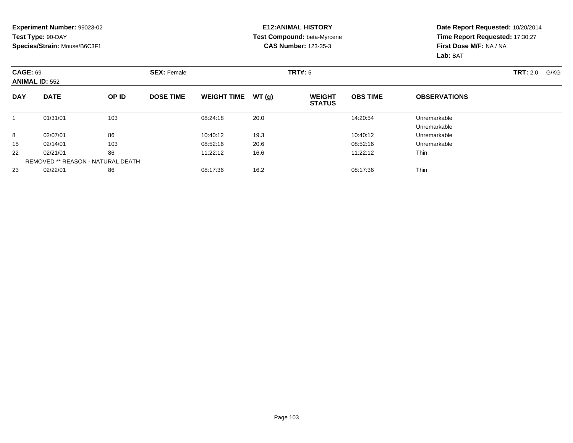#### **E12:ANIMAL HISTORY Test Compound:** beta-Myrcene**CAS Number:** 123-35-3

| <b>CAGE: 69</b><br><b>ANIMAL ID: 552</b> |             |                                   | <b>SEX: Female</b> |                    |       | <b>TRT#: 5</b>                 |                 |                     | <b>TRT: 2.0</b><br>G/KG |
|------------------------------------------|-------------|-----------------------------------|--------------------|--------------------|-------|--------------------------------|-----------------|---------------------|-------------------------|
| <b>DAY</b>                               | <b>DATE</b> | OP ID                             | <b>DOSE TIME</b>   | <b>WEIGHT TIME</b> | WT(g) | <b>WEIGHT</b><br><b>STATUS</b> | <b>OBS TIME</b> | <b>OBSERVATIONS</b> |                         |
|                                          | 01/31/01    | 103                               |                    | 08:24:18           | 20.0  |                                | 14:20:54        | Unremarkable        |                         |
|                                          |             |                                   |                    |                    |       |                                |                 | Unremarkable        |                         |
| 8                                        | 02/07/01    | 86                                |                    | 10:40:12           | 19.3  |                                | 10:40:12        | Unremarkable        |                         |
| 15                                       | 02/14/01    | 103                               |                    | 08:52:16           | 20.6  |                                | 08:52:16        | Unremarkable        |                         |
| 22                                       | 02/21/01    | 86                                |                    | 11:22:12           | 16.6  |                                | 11:22:12        | <b>Thin</b>         |                         |
|                                          |             | REMOVED ** REASON - NATURAL DEATH |                    |                    |       |                                |                 |                     |                         |
| 23                                       | 02/22/01    | 86                                |                    | 08:17:36           | 16.2  |                                | 08:17:36        | Thin                |                         |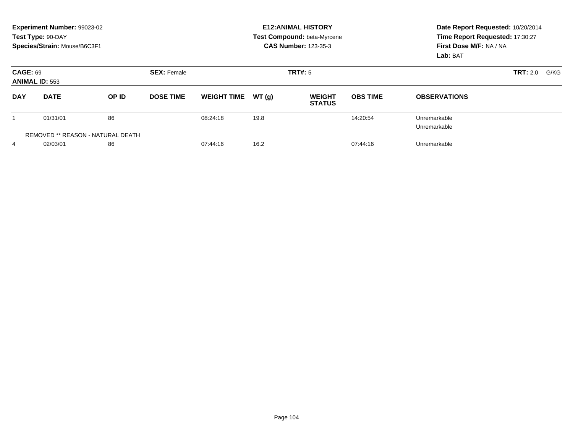|                                          | Experiment Number: 99023-02<br>Test Type: 90-DAY<br>Species/Strain: Mouse/B6C3F1 |       |                               |                    |       | <b>E12: ANIMAL HISTORY</b><br>Test Compound: beta-Myrcene<br><b>CAS Number: 123-35-3</b> | Date Report Requested: 10/20/2014<br>Time Report Requested: 17:30:27<br>First Dose M/F: NA / NA<br>Lab: BAT |                              |  |
|------------------------------------------|----------------------------------------------------------------------------------|-------|-------------------------------|--------------------|-------|------------------------------------------------------------------------------------------|-------------------------------------------------------------------------------------------------------------|------------------------------|--|
| <b>CAGE: 69</b>                          | <b>ANIMAL ID: 553</b>                                                            |       | TRT#: 5<br><b>SEX: Female</b> |                    |       |                                                                                          |                                                                                                             | <b>TRT:</b> 2.0<br>G/KG      |  |
| <b>DAY</b>                               | <b>DATE</b>                                                                      | OP ID | <b>DOSE TIME</b>              | <b>WEIGHT TIME</b> | WT(q) | <b>WEIGHT</b><br><b>STATUS</b>                                                           | <b>OBS TIME</b>                                                                                             | <b>OBSERVATIONS</b>          |  |
|                                          | 01/31/01                                                                         | 86    |                               | 08:24:18           | 19.8  |                                                                                          | 14:20:54                                                                                                    | Unremarkable<br>Unremarkable |  |
| <b>REMOVED ** REASON - NATURAL DEATH</b> |                                                                                  |       |                               |                    |       |                                                                                          |                                                                                                             |                              |  |
| 4                                        | 02/03/01                                                                         | 86    |                               | 07:44:16           | 16.2  |                                                                                          | 07:44:16                                                                                                    | Unremarkable                 |  |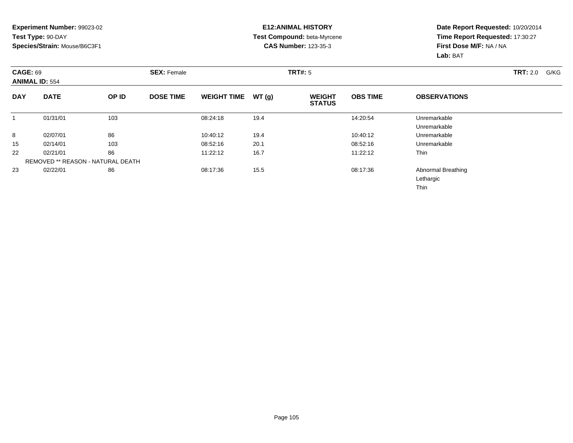#### **E12:ANIMAL HISTORY Test Compound:** beta-Myrcene**CAS Number:** 123-35-3

| <b>CAGE: 69</b> | <b>ANIMAL ID: 554</b>                    |       | <b>SEX: Female</b> |                    |       | TRT#: 5                        |                 |                                                | <b>TRT: 2.0</b><br>G/KG |
|-----------------|------------------------------------------|-------|--------------------|--------------------|-------|--------------------------------|-----------------|------------------------------------------------|-------------------------|
| <b>DAY</b>      | <b>DATE</b>                              | OP ID | <b>DOSE TIME</b>   | <b>WEIGHT TIME</b> | WT(g) | <b>WEIGHT</b><br><b>STATUS</b> | <b>OBS TIME</b> | <b>OBSERVATIONS</b>                            |                         |
|                 | 01/31/01                                 | 103   |                    | 08:24:18           | 19.4  |                                | 14:20:54        | Unremarkable<br>Unremarkable                   |                         |
| 8               | 02/07/01                                 | 86    |                    | 10:40:12           | 19.4  |                                | 10:40:12        | Unremarkable                                   |                         |
| 15              | 02/14/01                                 | 103   |                    | 08:52:16           | 20.1  |                                | 08:52:16        | Unremarkable                                   |                         |
| 22              | 02/21/01                                 | 86    |                    | 11:22:12           | 16.7  |                                | 11:22:12        | Thin                                           |                         |
|                 | <b>REMOVED ** REASON - NATURAL DEATH</b> |       |                    |                    |       |                                |                 |                                                |                         |
| 23              | 02/22/01                                 | 86    |                    | 08:17:36           | 15.5  |                                | 08:17:36        | Abnormal Breathing<br>Lethargic<br><b>Thin</b> |                         |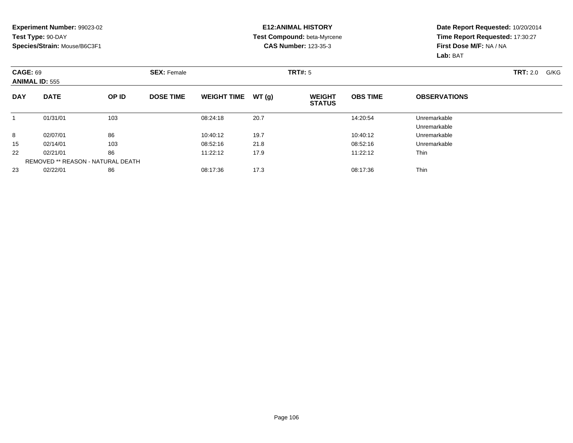#### **E12:ANIMAL HISTORY Test Compound:** beta-Myrcene**CAS Number:** 123-35-3

| <b>CAGE: 69</b><br><b>ANIMAL ID: 555</b> |             |                                   | <b>SEX: Female</b> |                    |       | TRT#: 5                        |                 |                     | <b>TRT:</b> 2.0<br>G/KG |
|------------------------------------------|-------------|-----------------------------------|--------------------|--------------------|-------|--------------------------------|-----------------|---------------------|-------------------------|
| <b>DAY</b>                               | <b>DATE</b> | OP ID                             | <b>DOSE TIME</b>   | <b>WEIGHT TIME</b> | WT(g) | <b>WEIGHT</b><br><b>STATUS</b> | <b>OBS TIME</b> | <b>OBSERVATIONS</b> |                         |
|                                          | 01/31/01    | 103                               |                    | 08:24:18           | 20.7  |                                | 14:20:54        | Unremarkable        |                         |
|                                          |             |                                   |                    |                    |       |                                |                 | Unremarkable        |                         |
| 8                                        | 02/07/01    | 86                                |                    | 10:40:12           | 19.7  |                                | 10:40:12        | Unremarkable        |                         |
| 15                                       | 02/14/01    | 103                               |                    | 08:52:16           | 21.8  |                                | 08:52:16        | Unremarkable        |                         |
| 22                                       | 02/21/01    | 86                                |                    | 11:22:12           | 17.9  |                                | 11:22:12        | <b>Thin</b>         |                         |
|                                          |             | REMOVED ** REASON - NATURAL DEATH |                    |                    |       |                                |                 |                     |                         |
| 23                                       | 02/22/01    | 86                                |                    | 08:17:36           | 17.3  |                                | 08:17:36        | <b>Thin</b>         |                         |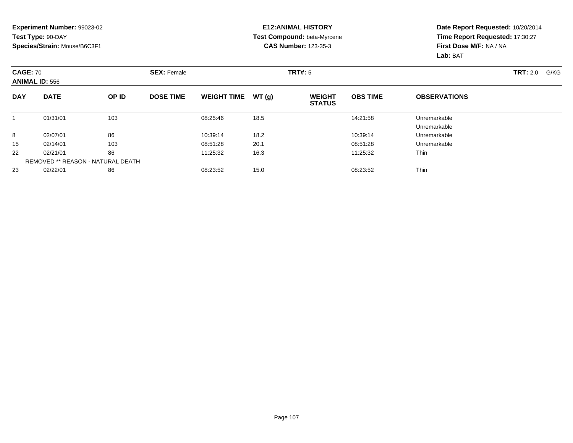#### **E12:ANIMAL HISTORY Test Compound:** beta-Myrcene**CAS Number:** 123-35-3

| <b>CAGE: 70</b><br><b>ANIMAL ID: 556</b> |             |                                   | <b>SEX: Female</b> |                    |       | <b>TRT#: 5</b>                 |                 |                              | <b>TRT: 2.0</b><br>G/KG |
|------------------------------------------|-------------|-----------------------------------|--------------------|--------------------|-------|--------------------------------|-----------------|------------------------------|-------------------------|
| <b>DAY</b>                               | <b>DATE</b> | <b>OP ID</b>                      | <b>DOSE TIME</b>   | <b>WEIGHT TIME</b> | WT(g) | <b>WEIGHT</b><br><b>STATUS</b> | <b>OBS TIME</b> | <b>OBSERVATIONS</b>          |                         |
|                                          | 01/31/01    | 103                               |                    | 08:25:46           | 18.5  |                                | 14:21:58        | Unremarkable<br>Unremarkable |                         |
| 8                                        | 02/07/01    | 86                                |                    | 10:39:14           | 18.2  |                                | 10:39:14        | Unremarkable                 |                         |
| 15                                       | 02/14/01    | 103                               |                    | 08:51:28           | 20.1  |                                | 08:51:28        | Unremarkable                 |                         |
| 22                                       | 02/21/01    | 86                                |                    | 11:25:32           | 16.3  |                                | 11:25:32        | Thin                         |                         |
|                                          |             | REMOVED ** REASON - NATURAL DEATH |                    |                    |       |                                |                 |                              |                         |
| 23                                       | 02/22/01    | 86                                |                    | 08:23:52           | 15.0  |                                | 08:23:52        | Thin                         |                         |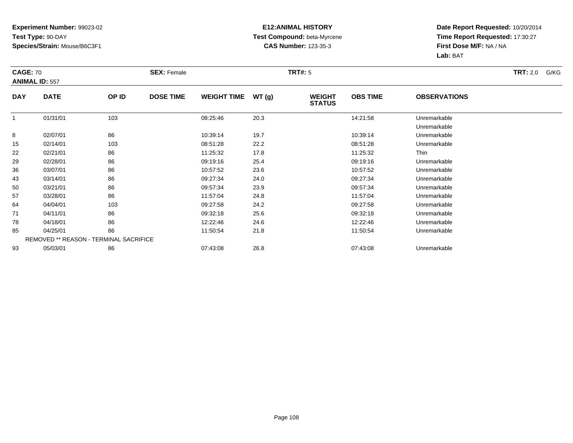#### **E12:ANIMAL HISTORY Test Compound:** beta-Myrcene**CAS Number:** 123-35-3

| <b>CAGE: 70</b> | <b>ANIMAL ID: 557</b>                  |       | <b>SEX: Female</b> |                    |       | <b>TRT#:</b> 5                 |                 |                              | <b>TRT:</b> 2.0<br>G/KG |
|-----------------|----------------------------------------|-------|--------------------|--------------------|-------|--------------------------------|-----------------|------------------------------|-------------------------|
| <b>DAY</b>      | <b>DATE</b>                            | OP ID | <b>DOSE TIME</b>   | <b>WEIGHT TIME</b> | WT(g) | <b>WEIGHT</b><br><b>STATUS</b> | <b>OBS TIME</b> | <b>OBSERVATIONS</b>          |                         |
|                 | 01/31/01                               | 103   |                    | 08:25:46           | 20.3  |                                | 14:21:58        | Unremarkable<br>Unremarkable |                         |
| 8               | 02/07/01                               | 86    |                    | 10:39:14           | 19.7  |                                | 10:39:14        | Unremarkable                 |                         |
| 15              | 02/14/01                               | 103   |                    | 08:51:28           | 22.2  |                                | 08:51:28        | Unremarkable                 |                         |
| 22              | 02/21/01                               | 86    |                    | 11:25:32           | 17.8  |                                | 11:25:32        | Thin                         |                         |
| 29              | 02/28/01                               | 86    |                    | 09:19:16           | 25.4  |                                | 09:19:16        | Unremarkable                 |                         |
| 36              | 03/07/01                               | 86    |                    | 10:57:52           | 23.6  |                                | 10:57:52        | Unremarkable                 |                         |
| 43              | 03/14/01                               | 86    |                    | 09:27:34           | 24.0  |                                | 09:27:34        | Unremarkable                 |                         |
| 50              | 03/21/01                               | 86    |                    | 09:57:34           | 23.9  |                                | 09:57:34        | Unremarkable                 |                         |
| 57              | 03/28/01                               | 86    |                    | 11:57:04           | 24.8  |                                | 11:57:04        | Unremarkable                 |                         |
| 64              | 04/04/01                               | 103   |                    | 09:27:58           | 24.2  |                                | 09:27:58        | Unremarkable                 |                         |
| 71              | 04/11/01                               | 86    |                    | 09:32:18           | 25.6  |                                | 09:32:18        | Unremarkable                 |                         |
| 78              | 04/18/01                               | 86    |                    | 12:22:46           | 24.6  |                                | 12:22:46        | Unremarkable                 |                         |
| 85              | 04/25/01                               | 86    |                    | 11:50:54           | 21.8  |                                | 11:50:54        | Unremarkable                 |                         |
|                 | REMOVED ** REASON - TERMINAL SACRIFICE |       |                    |                    |       |                                |                 |                              |                         |
| 93              | 05/03/01                               | 86    |                    | 07:43:08           | 26.8  |                                | 07:43:08        | Unremarkable                 |                         |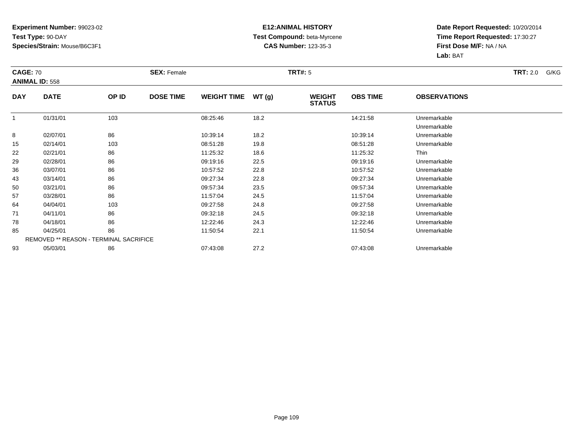## **Experiment Number:** 99023-02**Test Type:** 90-DAY**Species/Strain:** Mouse/B6C3F1

## **E12:ANIMAL HISTORY Test Compound:** beta-Myrcene**CAS Number:** 123-35-3

**Date Report Requested:** 10/20/2014 **Time Report Requested:** 17:30:27**First Dose M/F:** NA / NA**Lab:** BAT

| <b>CAGE: 70</b> | <b>ANIMAL ID: 558</b> |                                        | <b>SEX: Female</b> |                    |       | <b>TRT#:</b> 5                 |                 |                              | <b>TRT:</b> 2.0<br>G/KG |
|-----------------|-----------------------|----------------------------------------|--------------------|--------------------|-------|--------------------------------|-----------------|------------------------------|-------------------------|
| <b>DAY</b>      | <b>DATE</b>           | OP ID                                  | <b>DOSE TIME</b>   | <b>WEIGHT TIME</b> | WT(g) | <b>WEIGHT</b><br><b>STATUS</b> | <b>OBS TIME</b> | <b>OBSERVATIONS</b>          |                         |
|                 | 01/31/01              | 103                                    |                    | 08:25:46           | 18.2  |                                | 14:21:58        | Unremarkable<br>Unremarkable |                         |
| 8               | 02/07/01              | 86                                     |                    | 10:39:14           | 18.2  |                                | 10:39:14        | Unremarkable                 |                         |
| 15              | 02/14/01              | 103                                    |                    | 08:51:28           | 19.8  |                                | 08:51:28        | Unremarkable                 |                         |
| 22              | 02/21/01              | 86                                     |                    | 11:25:32           | 18.6  |                                | 11:25:32        | Thin                         |                         |
| 29              | 02/28/01              | 86                                     |                    | 09:19:16           | 22.5  |                                | 09:19:16        | Unremarkable                 |                         |
| 36              | 03/07/01              | 86                                     |                    | 10:57:52           | 22.8  |                                | 10:57:52        | Unremarkable                 |                         |
| 43              | 03/14/01              | 86                                     |                    | 09:27:34           | 22.8  |                                | 09:27:34        | Unremarkable                 |                         |
| 50              | 03/21/01              | 86                                     |                    | 09:57:34           | 23.5  |                                | 09:57:34        | Unremarkable                 |                         |
| 57              | 03/28/01              | 86                                     |                    | 11:57:04           | 24.5  |                                | 11:57:04        | Unremarkable                 |                         |
| 64              | 04/04/01              | 103                                    |                    | 09:27:58           | 24.8  |                                | 09:27:58        | Unremarkable                 |                         |
| 71              | 04/11/01              | 86                                     |                    | 09:32:18           | 24.5  |                                | 09:32:18        | Unremarkable                 |                         |
| 78              | 04/18/01              | 86                                     |                    | 12:22:46           | 24.3  |                                | 12:22:46        | Unremarkable                 |                         |
| 85              | 04/25/01              | 86                                     |                    | 11:50:54           | 22.1  |                                | 11:50:54        | Unremarkable                 |                         |
|                 |                       | REMOVED ** REASON - TERMINAL SACRIFICE |                    |                    |       |                                |                 |                              |                         |
| 93              | 05/03/01              | 86                                     |                    | 07:43:08           | 27.2  |                                | 07:43:08        | Unremarkable                 |                         |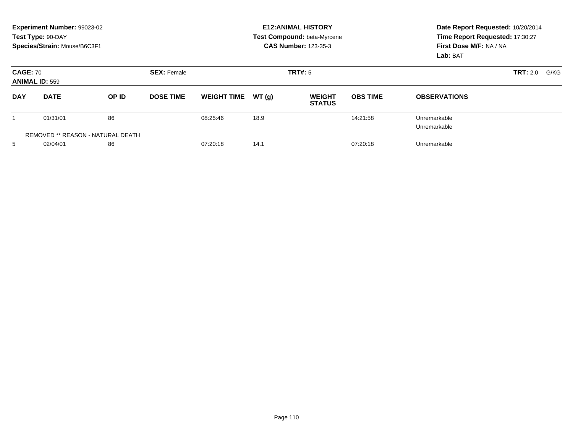|                                          | Experiment Number: 99023-02<br>Test Type: 90-DAY<br>Species/Strain: Mouse/B6C3F1 |       |                    | <b>E12:ANIMAL HISTORY</b><br><b>Test Compound: beta-Myrcene</b><br><b>CAS Number: 123-35-3</b> |       |                                |                 | Date Report Requested: 10/20/2014<br>Time Report Requested: 17:30:27<br>First Dose M/F: NA / NA<br>Lab: BAT |                  |  |
|------------------------------------------|----------------------------------------------------------------------------------|-------|--------------------|------------------------------------------------------------------------------------------------|-------|--------------------------------|-----------------|-------------------------------------------------------------------------------------------------------------|------------------|--|
| <b>CAGE: 70</b><br><b>ANIMAL ID: 559</b> |                                                                                  |       | <b>SEX: Female</b> | TRT#: 5                                                                                        |       |                                |                 |                                                                                                             | TRT: 2.0<br>G/KG |  |
| <b>DAY</b>                               | <b>DATE</b>                                                                      | OP ID | <b>DOSE TIME</b>   | <b>WEIGHT TIME</b>                                                                             | WT(g) | <b>WEIGHT</b><br><b>STATUS</b> | <b>OBS TIME</b> | <b>OBSERVATIONS</b>                                                                                         |                  |  |
|                                          | 01/31/01                                                                         | 86    |                    | 08:25:46                                                                                       | 18.9  |                                | 14:21:58        | Unremarkable<br>Unremarkable                                                                                |                  |  |
|                                          | REMOVED ** REASON - NATURAL DEATH                                                |       |                    |                                                                                                |       |                                |                 |                                                                                                             |                  |  |
| 5                                        | 02/04/01                                                                         | 86    |                    | 07:20:18                                                                                       | 14.1  |                                | 07:20:18        | Unremarkable                                                                                                |                  |  |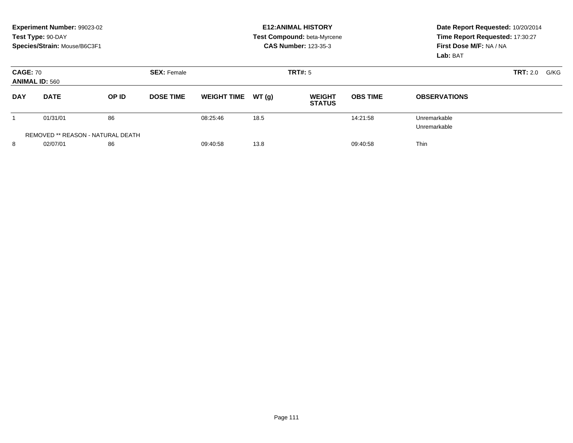|                                          | Experiment Number: 99023-02<br>Test Type: 90-DAY<br>Species/Strain: Mouse/B6C3F1 |              |                    | <b>E12:ANIMAL HISTORY</b><br><b>Test Compound: beta-Myrcene</b><br><b>CAS Number: 123-35-3</b> |       |                                |                 | Date Report Requested: 10/20/2014<br>Time Report Requested: 17:30:27<br>First Dose M/F: NA / NA<br>Lab: BAT |      |  |
|------------------------------------------|----------------------------------------------------------------------------------|--------------|--------------------|------------------------------------------------------------------------------------------------|-------|--------------------------------|-----------------|-------------------------------------------------------------------------------------------------------------|------|--|
| <b>CAGE: 70</b><br><b>ANIMAL ID: 560</b> |                                                                                  |              | <b>SEX: Female</b> |                                                                                                |       | <b>TRT#:</b> 5                 | <b>TRT: 2.0</b> |                                                                                                             | G/KG |  |
| <b>DAY</b>                               | <b>DATE</b>                                                                      | <b>OP ID</b> | <b>DOSE TIME</b>   | <b>WEIGHT TIME</b>                                                                             | WT(q) | <b>WEIGHT</b><br><b>STATUS</b> | <b>OBS TIME</b> | <b>OBSERVATIONS</b>                                                                                         |      |  |
|                                          | 01/31/01                                                                         | 86           |                    | 08:25:46                                                                                       | 18.5  |                                | 14:21:58        | Unremarkable<br>Unremarkable                                                                                |      |  |
|                                          | REMOVED ** REASON - NATURAL DEATH                                                |              |                    |                                                                                                |       |                                |                 |                                                                                                             |      |  |
| 8                                        | 02/07/01                                                                         | 86           |                    | 09:40:58                                                                                       | 13.8  |                                | 09:40:58        | <b>Thin</b>                                                                                                 |      |  |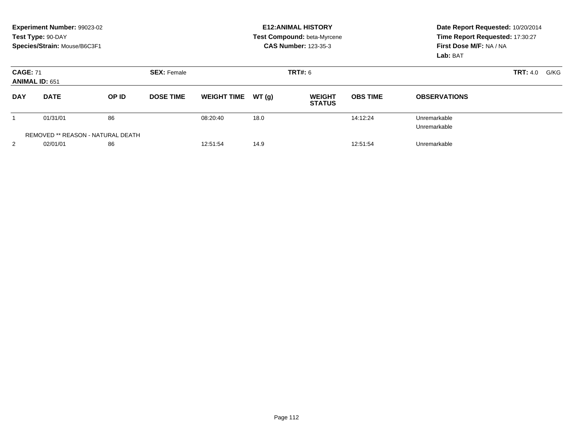|                                          | Experiment Number: 99023-02<br>Test Type: 90-DAY<br>Species/Strain: Mouse/B6C3F1 |       |                    |                    |       | <b>E12: ANIMAL HISTORY</b><br>Test Compound: beta-Myrcene<br><b>CAS Number: 123-35-3</b> | Date Report Requested: 10/20/2014<br>Time Report Requested: 17:30:27<br>First Dose M/F: NA / NA<br>Lab: BAT |                              |      |  |
|------------------------------------------|----------------------------------------------------------------------------------|-------|--------------------|--------------------|-------|------------------------------------------------------------------------------------------|-------------------------------------------------------------------------------------------------------------|------------------------------|------|--|
| <b>CAGE: 71</b><br><b>ANIMAL ID: 651</b> |                                                                                  |       | <b>SEX: Female</b> |                    |       | TRT#: 6                                                                                  |                                                                                                             | TRT: 4.0                     | G/KG |  |
| <b>DAY</b>                               | <b>DATE</b>                                                                      | OP ID | <b>DOSE TIME</b>   | <b>WEIGHT TIME</b> | WT(q) | <b>WEIGHT</b><br><b>STATUS</b>                                                           | <b>OBS TIME</b>                                                                                             | <b>OBSERVATIONS</b>          |      |  |
|                                          | 01/31/01                                                                         | 86    |                    | 08:20:40           | 18.0  |                                                                                          | 14:12:24                                                                                                    | Unremarkable<br>Unremarkable |      |  |
|                                          | <b>REMOVED ** REASON - NATURAL DEATH</b>                                         |       |                    |                    |       |                                                                                          |                                                                                                             |                              |      |  |
| 2                                        | 02/01/01                                                                         | 86    |                    | 12:51:54           | 14.9  |                                                                                          | 12:51:54                                                                                                    | Unremarkable                 |      |  |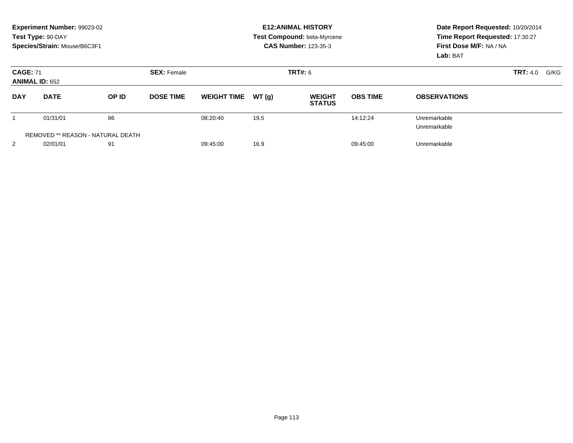|                                          | Experiment Number: 99023-02<br>Test Type: 90-DAY<br>Species/Strain: Mouse/B6C3F1 |       |                    | <b>E12: ANIMAL HISTORY</b><br>Test Compound: beta-Myrcene<br><b>CAS Number: 123-35-3</b> |       |                                |                 | Date Report Requested: 10/20/2014<br>Time Report Requested: 17:30:27<br>First Dose M/F: NA / NA<br>Lab: BAT |                         |
|------------------------------------------|----------------------------------------------------------------------------------|-------|--------------------|------------------------------------------------------------------------------------------|-------|--------------------------------|-----------------|-------------------------------------------------------------------------------------------------------------|-------------------------|
| <b>CAGE: 71</b><br><b>ANIMAL ID: 652</b> |                                                                                  |       | <b>SEX: Female</b> | TRT#: 6                                                                                  |       |                                |                 |                                                                                                             | <b>TRT:</b> 4.0<br>G/KG |
| <b>DAY</b>                               | <b>DATE</b>                                                                      | OP ID | <b>DOSE TIME</b>   | <b>WEIGHT TIME</b>                                                                       | WT(q) | <b>WEIGHT</b><br><b>STATUS</b> | <b>OBS TIME</b> | <b>OBSERVATIONS</b>                                                                                         |                         |
|                                          | 01/31/01                                                                         | 86    |                    | 08:20:40                                                                                 | 19.5  |                                | 14:12:24        | Unremarkable<br>Unremarkable                                                                                |                         |
|                                          | REMOVED ** REASON - NATURAL DEATH                                                |       |                    |                                                                                          |       |                                |                 |                                                                                                             |                         |
| 2                                        | 02/01/01                                                                         | 91    |                    | 09:45:00                                                                                 | 16.9  |                                | 09:45:00        | Unremarkable                                                                                                |                         |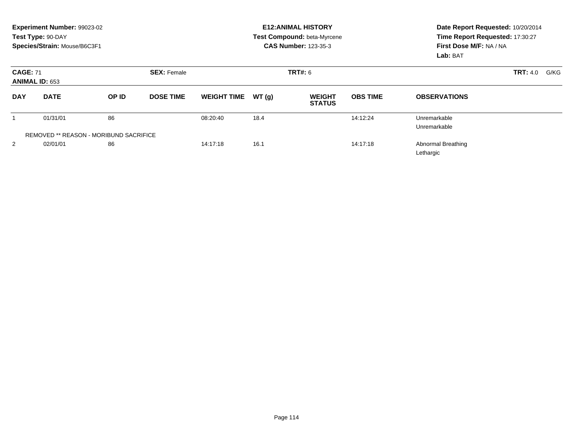|                 | Experiment Number: 99023-02<br>Test Type: 90-DAY<br>Species/Strain: Mouse/B6C3F1 |                                               |                    |                    |        | <b>E12: ANIMAL HISTORY</b><br>Test Compound: beta-Myrcene<br><b>CAS Number: 123-35-3</b> | Date Report Requested: 10/20/2014<br>Time Report Requested: 17:30:27<br>First Dose M/F: NA / NA<br>Lab: BAT |                                        |  |
|-----------------|----------------------------------------------------------------------------------|-----------------------------------------------|--------------------|--------------------|--------|------------------------------------------------------------------------------------------|-------------------------------------------------------------------------------------------------------------|----------------------------------------|--|
| <b>CAGE: 71</b> | <b>ANIMAL ID: 653</b>                                                            |                                               | <b>SEX: Female</b> |                    |        | <b>TRT#: 6</b>                                                                           | <b>TRT:</b> 4.0                                                                                             |                                        |  |
| <b>DAY</b>      | <b>DATE</b>                                                                      | OP ID                                         | <b>DOSE TIME</b>   | <b>WEIGHT TIME</b> | WT (q) | <b>WEIGHT</b><br><b>STATUS</b>                                                           | <b>OBS TIME</b>                                                                                             | <b>OBSERVATIONS</b>                    |  |
|                 | 01/31/01                                                                         | 86                                            |                    | 08:20:40           | 18.4   |                                                                                          | 14:12:24                                                                                                    | Unremarkable<br>Unremarkable           |  |
|                 |                                                                                  | <b>REMOVED ** REASON - MORIBUND SACRIFICE</b> |                    |                    |        |                                                                                          |                                                                                                             |                                        |  |
| $\overline{2}$  | 02/01/01                                                                         | 86                                            |                    | 14:17:18           | 16.1   |                                                                                          | 14:17:18                                                                                                    | <b>Abnormal Breathing</b><br>Lethargic |  |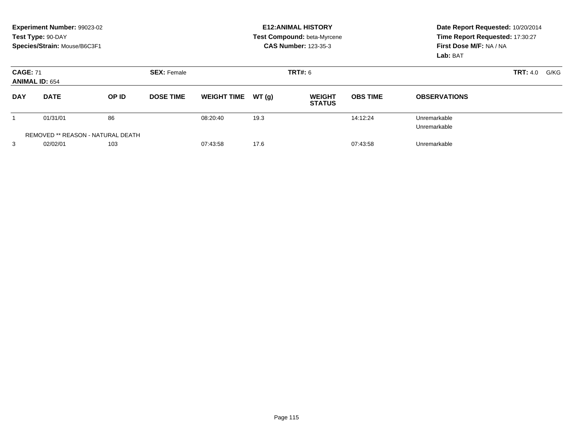|                                          | Experiment Number: 99023-02<br>Test Type: 90-DAY<br>Species/Strain: Mouse/B6C3F1 |       |                    | <b>E12: ANIMAL HISTORY</b><br>Test Compound: beta-Myrcene<br><b>CAS Number: 123-35-3</b> |       |                                |                 | Date Report Requested: 10/20/2014<br>Time Report Requested: 17:30:27<br>First Dose M/F: NA / NA<br>Lab: BAT |                         |  |
|------------------------------------------|----------------------------------------------------------------------------------|-------|--------------------|------------------------------------------------------------------------------------------|-------|--------------------------------|-----------------|-------------------------------------------------------------------------------------------------------------|-------------------------|--|
| <b>CAGE: 71</b><br><b>ANIMAL ID: 654</b> |                                                                                  |       | <b>SEX: Female</b> | TRT#: 6                                                                                  |       |                                |                 |                                                                                                             | <b>TRT:</b> 4.0<br>G/KG |  |
| <b>DAY</b>                               | <b>DATE</b>                                                                      | OP ID | <b>DOSE TIME</b>   | <b>WEIGHT TIME</b>                                                                       | WT(q) | <b>WEIGHT</b><br><b>STATUS</b> | <b>OBS TIME</b> | <b>OBSERVATIONS</b>                                                                                         |                         |  |
|                                          | 01/31/01                                                                         | 86    |                    | 08:20:40                                                                                 | 19.3  |                                | 14:12:24        | Unremarkable<br>Unremarkable                                                                                |                         |  |
|                                          | REMOVED ** REASON - NATURAL DEATH                                                |       |                    |                                                                                          |       |                                |                 |                                                                                                             |                         |  |
| 3                                        | 02/02/01                                                                         | 103   |                    | 07:43:58                                                                                 | 17.6  |                                | 07:43:58        | Unremarkable                                                                                                |                         |  |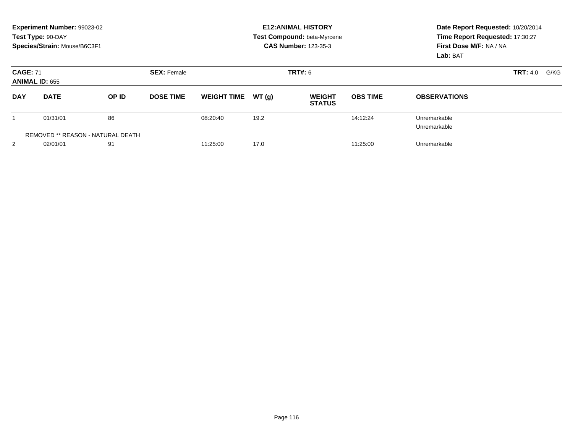|                                          | Experiment Number: 99023-02<br>Test Type: 90-DAY<br>Species/Strain: Mouse/B6C3F1 |       |                    |                    |       | <b>E12: ANIMAL HISTORY</b><br>Test Compound: beta-Myrcene<br><b>CAS Number: 123-35-3</b> | Date Report Requested: 10/20/2014<br>Time Report Requested: 17:30:27<br>First Dose M/F: NA / NA<br>Lab: BAT |                              |                  |
|------------------------------------------|----------------------------------------------------------------------------------|-------|--------------------|--------------------|-------|------------------------------------------------------------------------------------------|-------------------------------------------------------------------------------------------------------------|------------------------------|------------------|
| <b>CAGE: 71</b><br><b>ANIMAL ID: 655</b> |                                                                                  |       | <b>SEX: Female</b> | TRT#: 6            |       |                                                                                          |                                                                                                             |                              | TRT: 4.0<br>G/KG |
| <b>DAY</b>                               | <b>DATE</b>                                                                      | OP ID | <b>DOSE TIME</b>   | <b>WEIGHT TIME</b> | WT(q) | <b>WEIGHT</b><br><b>STATUS</b>                                                           | <b>OBS TIME</b>                                                                                             | <b>OBSERVATIONS</b>          |                  |
|                                          | 01/31/01                                                                         | 86    |                    | 08:20:40           | 19.2  |                                                                                          | 14:12:24                                                                                                    | Unremarkable<br>Unremarkable |                  |
|                                          | <b>REMOVED ** REASON - NATURAL DEATH</b>                                         |       |                    |                    |       |                                                                                          |                                                                                                             |                              |                  |
| 2                                        | 02/01/01                                                                         | 91    |                    | 11:25:00           | 17.0  |                                                                                          | 11:25:00                                                                                                    | Unremarkable                 |                  |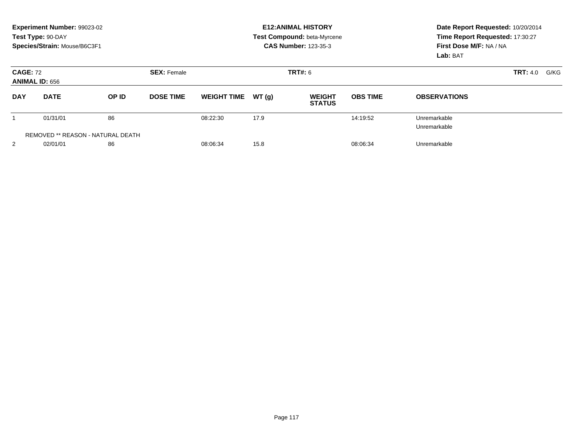|                                          | Experiment Number: 99023-02<br>Test Type: 90-DAY<br>Species/Strain: Mouse/B6C3F1 |       |                    | <b>E12: ANIMAL HISTORY</b><br>Test Compound: beta-Myrcene<br><b>CAS Number: 123-35-3</b> |       |                                |                 | Date Report Requested: 10/20/2014<br>Time Report Requested: 17:30:27<br>First Dose M/F: NA / NA<br>Lab: BAT |  |  |
|------------------------------------------|----------------------------------------------------------------------------------|-------|--------------------|------------------------------------------------------------------------------------------|-------|--------------------------------|-----------------|-------------------------------------------------------------------------------------------------------------|--|--|
| <b>CAGE: 72</b><br><b>ANIMAL ID: 656</b> |                                                                                  |       | <b>SEX: Female</b> |                                                                                          |       | TRT#: 6                        |                 | <b>TRT:</b> 4.0<br>G/KG                                                                                     |  |  |
| <b>DAY</b>                               | <b>DATE</b>                                                                      | OP ID | <b>DOSE TIME</b>   | <b>WEIGHT TIME</b>                                                                       | WT(q) | <b>WEIGHT</b><br><b>STATUS</b> | <b>OBS TIME</b> | <b>OBSERVATIONS</b>                                                                                         |  |  |
|                                          | 01/31/01                                                                         | 86    |                    | 08:22:30                                                                                 | 17.9  |                                | 14:19:52        | Unremarkable<br>Unremarkable                                                                                |  |  |
|                                          | REMOVED ** REASON - NATURAL DEATH                                                |       |                    |                                                                                          |       |                                |                 |                                                                                                             |  |  |
| 2                                        | 02/01/01                                                                         | 86    |                    | 08:06:34                                                                                 | 15.8  |                                | 08:06:34        | Unremarkable                                                                                                |  |  |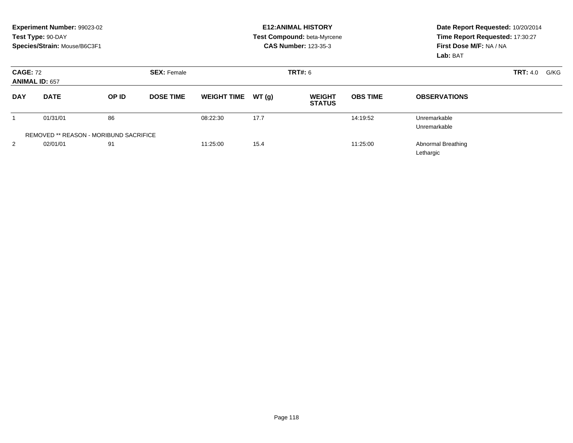|                 | Experiment Number: 99023-02<br>Test Type: 90-DAY<br>Species/Strain: Mouse/B6C3F1 |       |                    |                    |       | <b>E12: ANIMAL HISTORY</b><br>Test Compound: beta-Myrcene<br><b>CAS Number: 123-35-3</b> | Date Report Requested: 10/20/2014<br>Time Report Requested: 17:30:27<br>First Dose M/F: NA / NA<br>Lab: BAT |                                        |  |
|-----------------|----------------------------------------------------------------------------------|-------|--------------------|--------------------|-------|------------------------------------------------------------------------------------------|-------------------------------------------------------------------------------------------------------------|----------------------------------------|--|
| <b>CAGE: 72</b> | <b>ANIMAL ID: 657</b>                                                            |       | <b>SEX: Female</b> |                    |       | <b>TRT#: 6</b>                                                                           | <b>TRT:</b> 4.0<br>G/KG                                                                                     |                                        |  |
| <b>DAY</b>      | <b>DATE</b>                                                                      | OP ID | <b>DOSE TIME</b>   | <b>WEIGHT TIME</b> | WT(q) | <b>WEIGHT</b><br><b>STATUS</b>                                                           | <b>OBS TIME</b>                                                                                             | <b>OBSERVATIONS</b>                    |  |
|                 | 01/31/01                                                                         | 86    |                    | 08:22:30           | 17.7  |                                                                                          | 14:19:52                                                                                                    | Unremarkable<br>Unremarkable           |  |
|                 | REMOVED ** REASON - MORIBUND SACRIFICE                                           |       |                    |                    |       |                                                                                          |                                                                                                             |                                        |  |
| 2               | 02/01/01                                                                         | 91    |                    | 11:25:00           | 15.4  |                                                                                          | 11:25:00                                                                                                    | <b>Abnormal Breathing</b><br>Lethargic |  |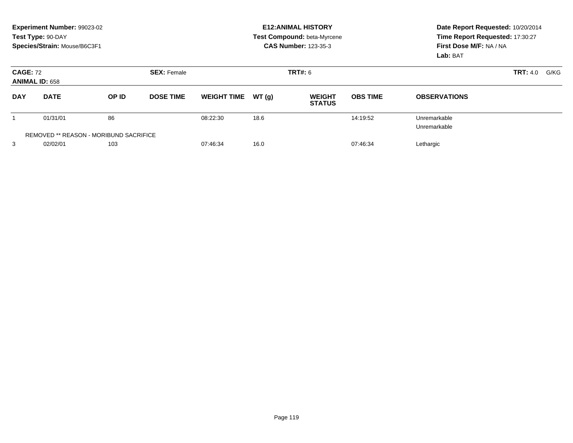|                                          | Experiment Number: 99023-02<br>Test Type: 90-DAY<br>Species/Strain: Mouse/B6C3F1 |       |                    | <b>E12: ANIMAL HISTORY</b><br>Test Compound: beta-Myrcene<br><b>CAS Number: 123-35-3</b> |       |                                |                 | Date Report Requested: 10/20/2014<br>Time Report Requested: 17:30:27<br>First Dose M/F: NA / NA<br>Lab: BAT |                         |  |
|------------------------------------------|----------------------------------------------------------------------------------|-------|--------------------|------------------------------------------------------------------------------------------|-------|--------------------------------|-----------------|-------------------------------------------------------------------------------------------------------------|-------------------------|--|
| <b>CAGE: 72</b><br><b>ANIMAL ID: 658</b> |                                                                                  |       | <b>SEX: Female</b> | TRT#: 6                                                                                  |       |                                |                 |                                                                                                             | <b>TRT:</b> 4.0<br>G/KG |  |
| <b>DAY</b>                               | <b>DATE</b>                                                                      | OP ID | <b>DOSE TIME</b>   | <b>WEIGHT TIME</b>                                                                       | WT(q) | <b>WEIGHT</b><br><b>STATUS</b> | <b>OBS TIME</b> | <b>OBSERVATIONS</b>                                                                                         |                         |  |
|                                          | 01/31/01                                                                         | 86    |                    | 08:22:30                                                                                 | 18.6  |                                | 14:19:52        | Unremarkable<br>Unremarkable                                                                                |                         |  |
|                                          | REMOVED ** REASON - MORIBUND SACRIFICE                                           |       |                    |                                                                                          |       |                                |                 |                                                                                                             |                         |  |
| 3                                        | 02/02/01                                                                         | 103   |                    | 07:46:34                                                                                 | 16.0  |                                | 07:46:34        | Lethargic                                                                                                   |                         |  |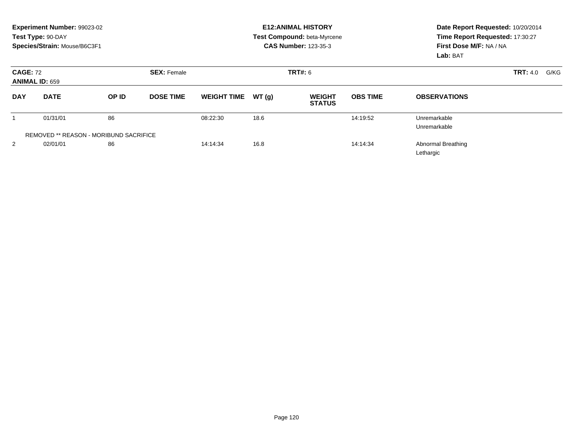|                 | Experiment Number: 99023-02<br>Test Type: 90-DAY<br>Species/Strain: Mouse/B6C3F1 |                                               |                    |                    |        | <b>E12: ANIMAL HISTORY</b><br>Test Compound: beta-Myrcene<br><b>CAS Number: 123-35-3</b> | Date Report Requested: 10/20/2014<br>Time Report Requested: 17:30:27<br>First Dose M/F: NA / NA<br>Lab: BAT |                                        |  |
|-----------------|----------------------------------------------------------------------------------|-----------------------------------------------|--------------------|--------------------|--------|------------------------------------------------------------------------------------------|-------------------------------------------------------------------------------------------------------------|----------------------------------------|--|
| <b>CAGE: 72</b> | <b>ANIMAL ID: 659</b>                                                            |                                               | <b>SEX: Female</b> |                    |        | <b>TRT#: 6</b>                                                                           |                                                                                                             | <b>TRT:</b> 4.0<br>G/KG                |  |
| <b>DAY</b>      | <b>DATE</b>                                                                      | OP ID                                         | <b>DOSE TIME</b>   | <b>WEIGHT TIME</b> | WT (g) | <b>WEIGHT</b><br><b>STATUS</b>                                                           | <b>OBS TIME</b>                                                                                             | <b>OBSERVATIONS</b>                    |  |
|                 | 01/31/01                                                                         | 86                                            |                    | 08:22:30           | 18.6   |                                                                                          | 14:19:52                                                                                                    | Unremarkable<br>Unremarkable           |  |
|                 |                                                                                  | <b>REMOVED ** REASON - MORIBUND SACRIFICE</b> |                    |                    |        |                                                                                          |                                                                                                             |                                        |  |
| 2               | 02/01/01                                                                         | 86                                            |                    | 14:14:34           | 16.8   |                                                                                          | 14:14:34                                                                                                    | <b>Abnormal Breathing</b><br>Lethargic |  |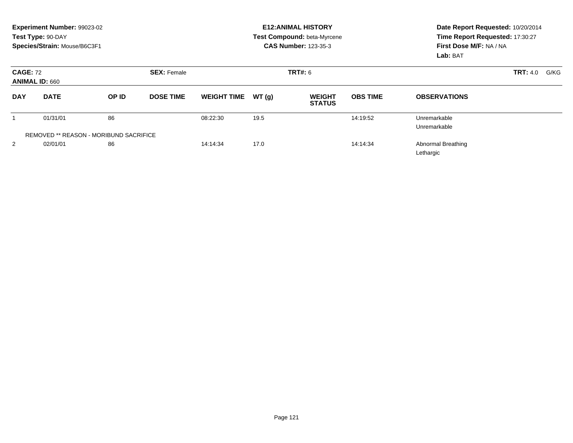| Experiment Number: 99023-02<br>Test Type: 90-DAY<br>Species/Strain: Mouse/B6C3F1 |                                        |       |                    | <b>E12: ANIMAL HISTORY</b><br>Test Compound: beta-Myrcene<br><b>CAS Number: 123-35-3</b> |                |                                |                 | Date Report Requested: 10/20/2014<br>Time Report Requested: 17:30:27<br>First Dose M/F: NA / NA<br>Lab: BAT |                         |
|----------------------------------------------------------------------------------|----------------------------------------|-------|--------------------|------------------------------------------------------------------------------------------|----------------|--------------------------------|-----------------|-------------------------------------------------------------------------------------------------------------|-------------------------|
| <b>CAGE: 72</b><br><b>ANIMAL ID: 660</b>                                         |                                        |       | <b>SEX: Female</b> |                                                                                          | <b>TRT#: 6</b> |                                |                 |                                                                                                             | <b>TRT:</b> 4.0<br>G/KG |
| <b>DAY</b>                                                                       | <b>DATE</b>                            | OP ID | <b>DOSE TIME</b>   | <b>WEIGHT TIME</b>                                                                       | WT(q)          | <b>WEIGHT</b><br><b>STATUS</b> | <b>OBS TIME</b> | <b>OBSERVATIONS</b>                                                                                         |                         |
|                                                                                  | 01/31/01                               | 86    |                    | 08:22:30                                                                                 | 19.5           |                                | 14:19:52        | Unremarkable<br>Unremarkable                                                                                |                         |
|                                                                                  | REMOVED ** REASON - MORIBUND SACRIFICE |       |                    |                                                                                          |                |                                |                 |                                                                                                             |                         |
| 2                                                                                | 02/01/01                               | 86    |                    | 14:14:34                                                                                 | 17.0           |                                | 14:14:34        | <b>Abnormal Breathing</b><br>Lethargic                                                                      |                         |